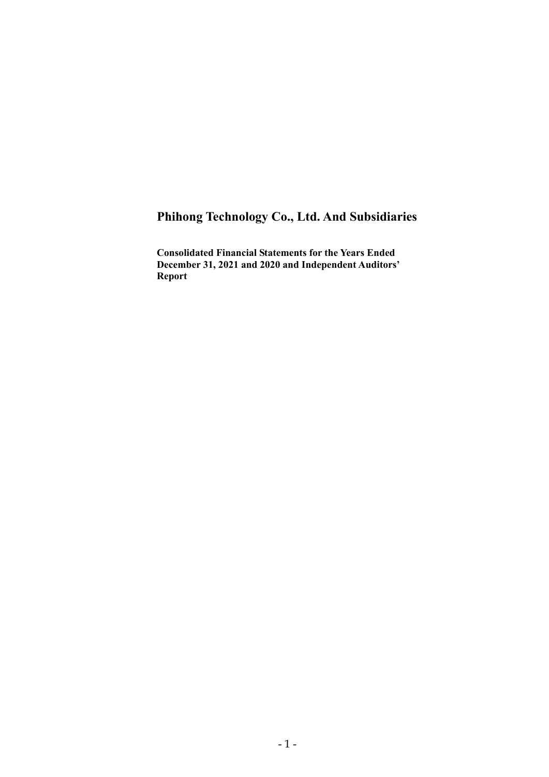# **Phihong Technology Co., Ltd. And Subsidiaries**

**Consolidated Financial Statements for the Years Ended December 31, 2021 and 2020 and Independent Auditors' Report**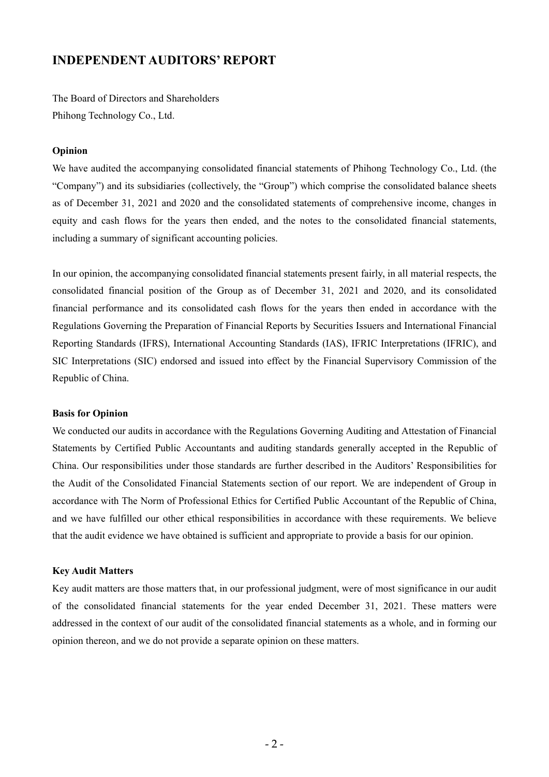# **INDEPENDENT AUDITORS' REPORT**

The Board of Directors and Shareholders Phihong Technology Co., Ltd.

### **Opinion**

We have audited the accompanying consolidated financial statements of Phihong Technology Co., Ltd. (the "Company") and its subsidiaries (collectively, the "Group") which comprise the consolidated balance sheets as of December 31, 2021 and 2020 and the consolidated statements of comprehensive income, changes in equity and cash flows for the years then ended, and the notes to the consolidated financial statements, including a summary of significant accounting policies.

In our opinion, the accompanying consolidated financial statements present fairly, in all material respects, the consolidated financial position of the Group as of December 31, 2021 and 2020, and its consolidated financial performance and its consolidated cash flows for the years then ended in accordance with the Regulations Governing the Preparation of Financial Reports by Securities Issuers and International Financial Reporting Standards (IFRS), International Accounting Standards (IAS), IFRIC Interpretations (IFRIC), and SIC Interpretations (SIC) endorsed and issued into effect by the Financial Supervisory Commission of the Republic of China.

#### **Basis for Opinion**

We conducted our audits in accordance with the Regulations Governing Auditing and Attestation of Financial Statements by Certified Public Accountants and auditing standards generally accepted in the Republic of China. Our responsibilities under those standards are further described in the Auditors' Responsibilities for the Audit of the Consolidated Financial Statements section of our report. We are independent of Group in accordance with The Norm of Professional Ethics for Certified Public Accountant of the Republic of China, and we have fulfilled our other ethical responsibilities in accordance with these requirements. We believe that the audit evidence we have obtained is sufficient and appropriate to provide a basis for our opinion.

### **Key Audit Matters**

Key audit matters are those matters that, in our professional judgment, were of most significance in our audit of the consolidated financial statements for the year ended December 31, 2021. These matters were addressed in the context of our audit of the consolidated financial statements as a whole, and in forming our opinion thereon, and we do not provide a separate opinion on these matters.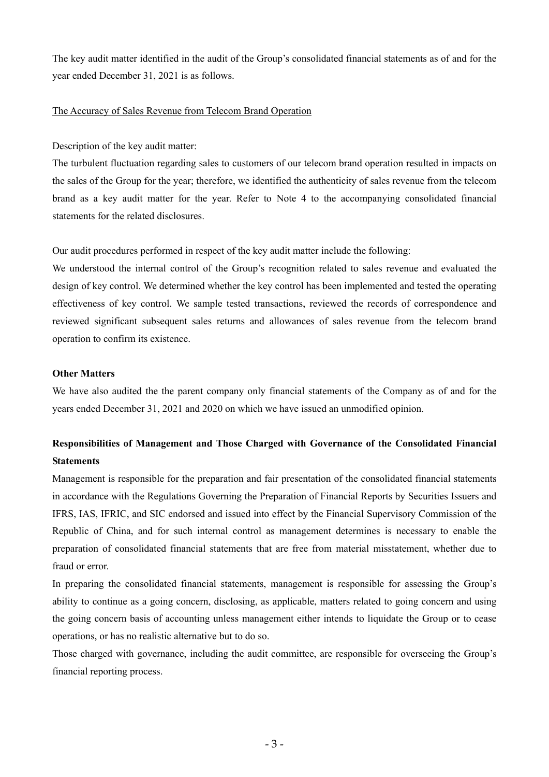The key audit matter identified in the audit of the Group's consolidated financial statements as of and for the year ended December 31, 2021 is as follows.

# The Accuracy of Sales Revenue from Telecom Brand Operation

Description of the key audit matter:

The turbulent fluctuation regarding sales to customers of our telecom brand operation resulted in impacts on the sales of the Group for the year; therefore, we identified the authenticity of sales revenue from the telecom brand as a key audit matter for the year. Refer to Note 4 to the accompanying consolidated financial statements for the related disclosures.

Our audit procedures performed in respect of the key audit matter include the following:

We understood the internal control of the Group's recognition related to sales revenue and evaluated the design of key control. We determined whether the key control has been implemented and tested the operating effectiveness of key control. We sample tested transactions, reviewed the records of correspondence and reviewed significant subsequent sales returns and allowances of sales revenue from the telecom brand operation to confirm its existence.

### **Other Matters**

We have also audited the the parent company only financial statements of the Company as of and for the years ended December 31, 2021 and 2020 on which we have issued an unmodified opinion.

# **Responsibilities of Management and Those Charged with Governance of the Consolidated Financial Statements**

Management is responsible for the preparation and fair presentation of the consolidated financial statements in accordance with the Regulations Governing the Preparation of Financial Reports by Securities Issuers and IFRS, IAS, IFRIC, and SIC endorsed and issued into effect by the Financial Supervisory Commission of the Republic of China, and for such internal control as management determines is necessary to enable the preparation of consolidated financial statements that are free from material misstatement, whether due to fraud or error.

In preparing the consolidated financial statements, management is responsible for assessing the Group's ability to continue as a going concern, disclosing, as applicable, matters related to going concern and using the going concern basis of accounting unless management either intends to liquidate the Group or to cease operations, or has no realistic alternative but to do so.

Those charged with governance, including the audit committee, are responsible for overseeing the Group's financial reporting process.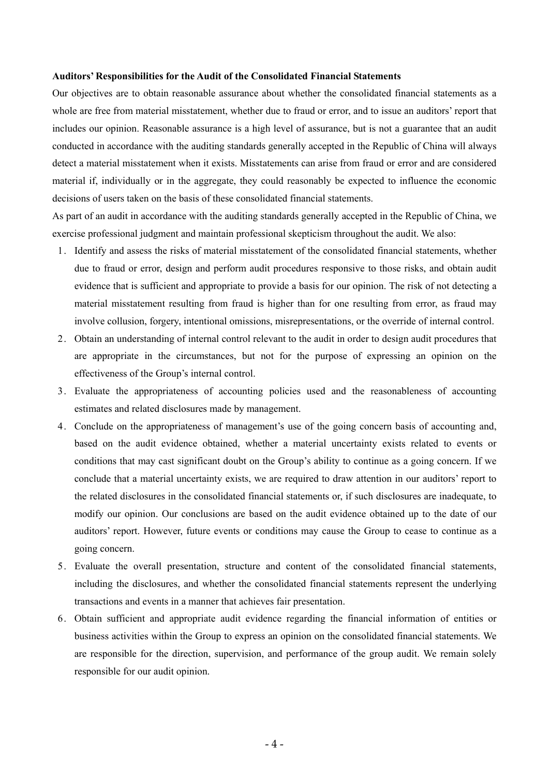#### **Auditors' Responsibilities for the Audit of the Consolidated Financial Statements**

Our objectives are to obtain reasonable assurance about whether the consolidated financial statements as a whole are free from material misstatement, whether due to fraud or error, and to issue an auditors' report that includes our opinion. Reasonable assurance is a high level of assurance, but is not a guarantee that an audit conducted in accordance with the auditing standards generally accepted in the Republic of China will always detect a material misstatement when it exists. Misstatements can arise from fraud or error and are considered material if, individually or in the aggregate, they could reasonably be expected to influence the economic decisions of users taken on the basis of these consolidated financial statements.

As part of an audit in accordance with the auditing standards generally accepted in the Republic of China, we exercise professional judgment and maintain professional skepticism throughout the audit. We also:

- 1. Identify and assess the risks of material misstatement of the consolidated financial statements, whether due to fraud or error, design and perform audit procedures responsive to those risks, and obtain audit evidence that is sufficient and appropriate to provide a basis for our opinion. The risk of not detecting a material misstatement resulting from fraud is higher than for one resulting from error, as fraud may involve collusion, forgery, intentional omissions, misrepresentations, or the override of internal control.
- 2. Obtain an understanding of internal control relevant to the audit in order to design audit procedures that are appropriate in the circumstances, but not for the purpose of expressing an opinion on the effectiveness of the Group's internal control.
- 3. Evaluate the appropriateness of accounting policies used and the reasonableness of accounting estimates and related disclosures made by management.
- 4. Conclude on the appropriateness of management's use of the going concern basis of accounting and, based on the audit evidence obtained, whether a material uncertainty exists related to events or conditions that may cast significant doubt on the Group's ability to continue as a going concern. If we conclude that a material uncertainty exists, we are required to draw attention in our auditors' report to the related disclosures in the consolidated financial statements or, if such disclosures are inadequate, to modify our opinion. Our conclusions are based on the audit evidence obtained up to the date of our auditors' report. However, future events or conditions may cause the Group to cease to continue as a going concern.
- 5. Evaluate the overall presentation, structure and content of the consolidated financial statements, including the disclosures, and whether the consolidated financial statements represent the underlying transactions and events in a manner that achieves fair presentation.
- 6. Obtain sufficient and appropriate audit evidence regarding the financial information of entities or business activities within the Group to express an opinion on the consolidated financial statements. We are responsible for the direction, supervision, and performance of the group audit. We remain solely responsible for our audit opinion.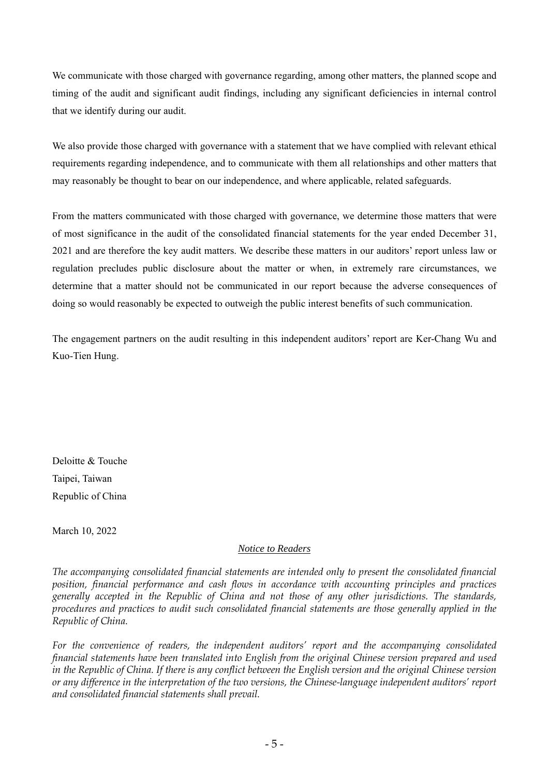We communicate with those charged with governance regarding, among other matters, the planned scope and timing of the audit and significant audit findings, including any significant deficiencies in internal control that we identify during our audit.

We also provide those charged with governance with a statement that we have complied with relevant ethical requirements regarding independence, and to communicate with them all relationships and other matters that may reasonably be thought to bear on our independence, and where applicable, related safeguards.

From the matters communicated with those charged with governance, we determine those matters that were of most significance in the audit of the consolidated financial statements for the year ended December 31, 2021 and are therefore the key audit matters. We describe these matters in our auditors' report unless law or regulation precludes public disclosure about the matter or when, in extremely rare circumstances, we determine that a matter should not be communicated in our report because the adverse consequences of doing so would reasonably be expected to outweigh the public interest benefits of such communication.

The engagement partners on the audit resulting in this independent auditors' report are Ker-Chang Wu and Kuo-Tien Hung.

Deloitte & Touche Taipei, Taiwan Republic of China

March 10, 2022

# *Notice to Readers*

*The accompanying consolidated financial statements are intended only to present the consolidated financial position, financial performance and cash flows in accordance with accounting principles and practices generally accepted in the Republic of China and not those of any other jurisdictions. The standards, procedures and practices to audit such consolidated financial statements are those generally applied in the Republic of China.* 

*For the convenience of readers, the independent auditors' report and the accompanying consolidated financial statements have been translated into English from the original Chinese version prepared and used in the Republic of China. If there is any conflict between the English version and the original Chinese version or any difference in the interpretation of the two versions, the Chinese-language independent auditors' report and consolidated financial statements shall prevail.*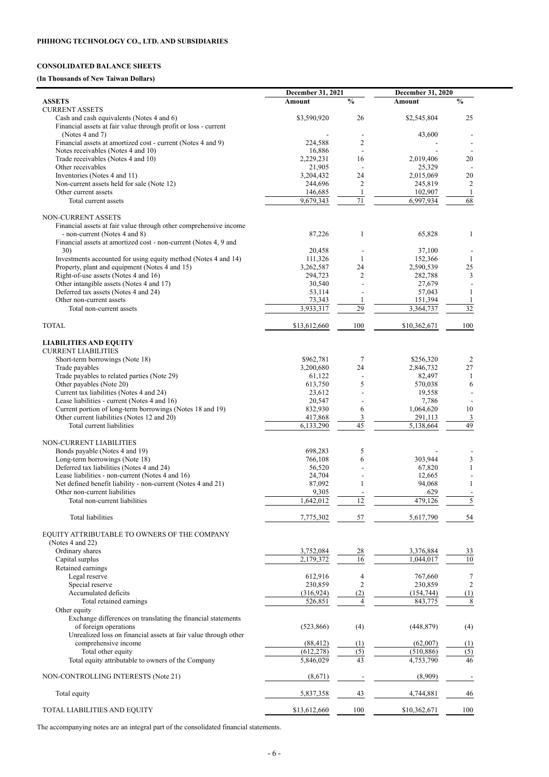# **CONSOLIDATED BALANCE SHEETS**

# **(In Thousands of New Taiwan Dollars)**

|                                                                                                          | December 31, 2021      |                | <b>December 31, 2020</b> |                                |
|----------------------------------------------------------------------------------------------------------|------------------------|----------------|--------------------------|--------------------------------|
| <b>ASSETS</b>                                                                                            | Amount                 | $\frac{0}{0}$  | Amount                   | $\frac{0}{0}$                  |
| <b>CURRENT ASSETS</b><br>Cash and cash equivalents (Notes 4 and 6)                                       | \$3,590,920            | 26             | \$2,545,804              | 25                             |
| Financial assets at fair value through profit or loss - current                                          |                        |                |                          |                                |
| (Notes 4 and 7)                                                                                          |                        |                | 43,600                   |                                |
| Financial assets at amortized cost - current (Notes 4 and 9)                                             | 224,588                | $\overline{2}$ |                          |                                |
| Notes receivables (Notes 4 and 10)                                                                       | 16,886                 | 16             |                          | $\overline{\phantom{a}}$<br>20 |
| Trade receivables (Notes 4 and 10)<br>Other receivables                                                  | 2,229,231<br>21,905    |                | 2,019,406<br>25,329      |                                |
| Inventories (Notes 4 and 11)                                                                             | 3,204,432              | 24             | 2,015,069                | 20                             |
| Non-current assets held for sale (Note 12)                                                               | 244,696                | $\overline{2}$ | 245,819                  | $\overline{2}$                 |
| Other current assets                                                                                     | 146,685                |                | 102,907                  |                                |
| Total current assets                                                                                     | 9,679,343              | 71             | 6,997,934                | $\overline{68}$                |
| NON-CURRENT ASSETS                                                                                       |                        |                |                          |                                |
| Financial assets at fair value through other comprehensive income                                        |                        |                |                          |                                |
| - non-current (Notes 4 and 8)                                                                            | 87,226                 | 1              | 65,828                   | 1                              |
| Financial assets at amortized cost - non-current (Notes 4, 9 and                                         |                        |                |                          |                                |
| 30)<br>Investments accounted for using equity method (Notes 4 and 14)                                    | 20,458<br>111,326      |                | 37,100<br>152,366        |                                |
| Property, plant and equipment (Notes 4 and 15)                                                           | 3,262,587              | 24             | 2,590,539                | 25                             |
| Right-of-use assets (Notes 4 and 16)                                                                     | 294,723                | $\overline{2}$ | 282,788                  | 3                              |
| Other intangible assets (Notes 4 and 17)                                                                 | 30,540                 |                | 27,679                   |                                |
| Deferred tax assets (Notes 4 and 24)                                                                     | 53,114                 |                | 57,043                   |                                |
| Other non-current assets                                                                                 | 73,343<br>3,933,317    | 29             | 151,394                  | 32                             |
| Total non-current assets                                                                                 |                        |                | 3,364,737                |                                |
| <b>TOTAL</b>                                                                                             | \$13,612,660           | 100            | \$10,362,671             | 100                            |
|                                                                                                          |                        |                |                          |                                |
| <b>LIABILITIES AND EQUITY</b>                                                                            |                        |                |                          |                                |
| <b>CURRENT LIABILITIES</b>                                                                               |                        |                |                          |                                |
| Short-term borrowings (Note 18)<br>Trade payables                                                        | \$962,781<br>3,200,680 | 7<br>24        | \$256,320<br>2,846,732   | $\overline{2}$<br>27           |
| Trade payables to related parties (Note 29)                                                              | 61,122                 |                | 82,497                   |                                |
| Other payables (Note 20)                                                                                 | 613,750                | 5              | 570,038                  | 6                              |
| Current tax liabilities (Notes 4 and 24)                                                                 | 23,612                 |                | 19,558                   |                                |
| Lease liabilities - current (Notes 4 and 16)                                                             | 20,547                 |                | 7,786                    |                                |
| Current portion of long-term borrowings (Notes 18 and 19)<br>Other current liabilities (Notes 12 and 20) | 832,930<br>417,868     | 6<br>3         | 1,064,620<br>291,113     | 10<br>3                        |
| Total current liabilities                                                                                | 6,133,290              | 45             | 5,138,664                | 49                             |
|                                                                                                          |                        |                |                          |                                |
| NON-CURRENT LIABILITIES                                                                                  |                        |                |                          |                                |
| Bonds payable (Notes 4 and 19)                                                                           | 698,283                | 5              |                          |                                |
| Long-term borrowings (Note 18)<br>Deferred tax liabilities (Notes 4 and 24)                              | 766,108<br>56,520      | 6              | 303,944<br>67,820        | $\overline{\mathbf{3}}$        |
| Lease liabilities - non-current (Notes 4 and 16)                                                         | 24,704                 |                | 12,665                   |                                |
| Net defined benefit liability - non-current (Notes 4 and 21)                                             | 87,092                 |                | 94,068                   |                                |
| Other non-current liabilities                                                                            | 9,305                  |                | 629                      |                                |
| Total non-current liabilities                                                                            | 1,642,012              | 12             | 479,126                  |                                |
| <b>Total liabilities</b>                                                                                 |                        | 57             |                          |                                |
|                                                                                                          | 7,775,302              |                | 5,617,790                | 54                             |
| EQUITY ATTRIBUTABLE TO OWNERS OF THE COMPANY                                                             |                        |                |                          |                                |
| (Notes 4 and 22)                                                                                         |                        |                |                          |                                |
| Ordinary shares                                                                                          | 3,752,084              | 28             | 3,376,884                | 33                             |
| Capital surplus<br>Retained earnings                                                                     | 2,179,372              | 16             | 1,044,017                | 10                             |
| Legal reserve                                                                                            | 612,916                | 4              | 767,660                  | 7                              |
| Special reserve                                                                                          | 230,859                | $\overline{2}$ | 230,859                  | $\overline{c}$                 |
| Accumulated deficits                                                                                     | (316, 924)             | (2)            | (154, 744)               | (1)                            |
| Total retained earnings                                                                                  | 526,851                | $\overline{4}$ | 843,775                  | 8                              |
| Other equity                                                                                             |                        |                |                          |                                |
| Exchange differences on translating the financial statements<br>of foreign operations                    | (523, 866)             | (4)            | (448, 879)               | (4)                            |
| Unrealized loss on financial assets at fair value through other                                          |                        |                |                          |                                |
| comprehensive income                                                                                     | (88, 412)              | (1)            | (62,007)                 | (1)                            |
| Total other equity                                                                                       | (612, 278)             | (5)            | (510, 886)               | (5)                            |
| Total equity attributable to owners of the Company                                                       | 5,846,029              | 43             | 4,753,790                | 46                             |
| NON-CONTROLLING INTERESTS (Note 21)                                                                      | (8,671)                |                | (8,909)                  |                                |
|                                                                                                          |                        |                |                          |                                |
| Total equity                                                                                             | 5,837,358              | 43             | 4,744,881                | 46                             |
|                                                                                                          |                        |                |                          |                                |
| TOTAL LIABILITIES AND EQUITY                                                                             | \$13,612,660           | 100            | \$10,362,671             | 100                            |

and a

The accompanying notes are an integral part of the consolidated financial statements.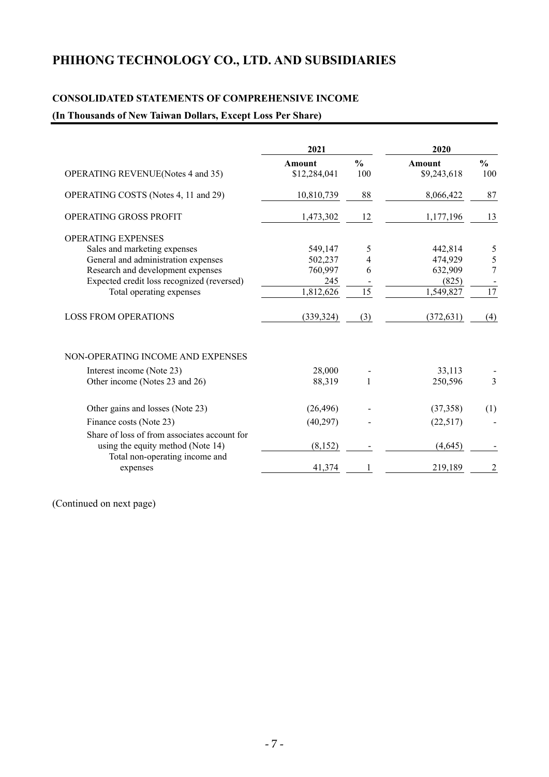# **PHIHONG TECHNOLOGY CO., LTD. AND SUBSIDIARIES**

# **CONSOLIDATED STATEMENTS OF COMPREHENSIVE INCOME**

# **(In Thousands of New Taiwan Dollars, Except Loss Per Share)**

|                                                                     | 2021         |                 | 2020                   |                 |
|---------------------------------------------------------------------|--------------|-----------------|------------------------|-----------------|
|                                                                     | Amount       | $\frac{0}{0}$   | <b>Amount</b>          | $\frac{0}{0}$   |
| <b>OPERATING REVENUE (Notes 4 and 35)</b>                           | \$12,284,041 | 100             | \$9,243,618            | 100             |
| OPERATING COSTS (Notes 4, 11 and 29)                                | 10,810,739   | 88              | 8,066,422              | 87              |
| OPERATING GROSS PROFIT                                              | 1,473,302    | 12              | 1,177,196              | 13              |
| <b>OPERATING EXPENSES</b>                                           |              |                 |                        |                 |
| Sales and marketing expenses                                        | 549,147      | 5               | 442,814                | 5               |
| General and administration expenses                                 | 502,237      | 4               | 474,929                | $\frac{5}{7}$   |
| Research and development expenses                                   | 760,997      | 6               | 632,909                |                 |
| Expected credit loss recognized (reversed)                          | 245          |                 | (825)                  |                 |
| Total operating expenses                                            | 1,812,626    | $\overline{15}$ | $\overline{1,}549,827$ | $\overline{17}$ |
| <b>LOSS FROM OPERATIONS</b>                                         | (339, 324)   | (3)             | (372, 631)             | (4)             |
| NON-OPERATING INCOME AND EXPENSES                                   |              |                 |                        |                 |
| Interest income (Note 23)                                           | 28,000       |                 | 33,113                 |                 |
| Other income (Notes 23 and 26)                                      | 88,319       | $\mathbf{1}$    | 250,596                | $\overline{3}$  |
| Other gains and losses (Note 23)                                    | (26, 496)    |                 | (37, 358)              | (1)             |
| Finance costs (Note 23)                                             | (40, 297)    |                 | (22,517)               |                 |
| Share of loss of from associates account for                        |              |                 |                        |                 |
|                                                                     |              |                 |                        |                 |
| using the equity method (Note 14)<br>Total non-operating income and | (8,152)      |                 | (4,645)                |                 |
| expenses                                                            | 41,374       |                 | 219,189                | 2               |

(Continued on next page)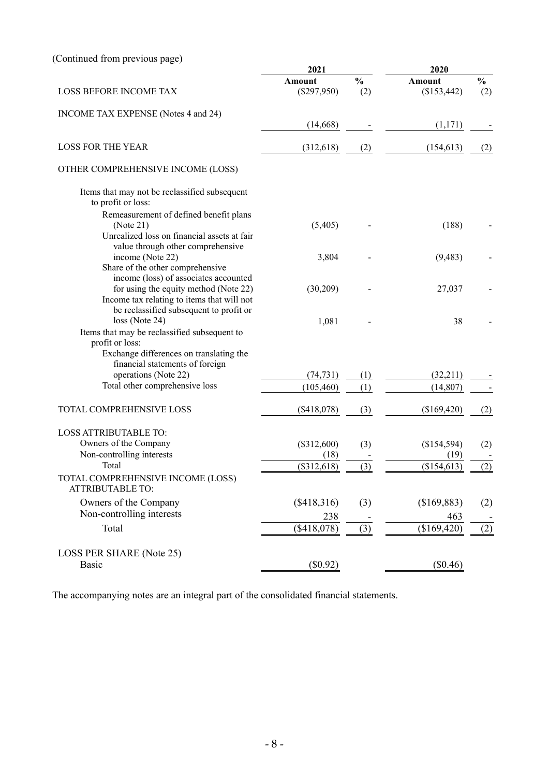# (Continued from previous page)

|                                                                                                                              | 2021                    |                      | 2020                         |                      |  |
|------------------------------------------------------------------------------------------------------------------------------|-------------------------|----------------------|------------------------------|----------------------|--|
| <b>LOSS BEFORE INCOME TAX</b>                                                                                                | Amount<br>$(\$297,950)$ | $\frac{0}{0}$<br>(2) | <b>Amount</b><br>(\$153,442) | $\frac{0}{0}$<br>(2) |  |
| INCOME TAX EXPENSE (Notes 4 and 24)                                                                                          |                         |                      |                              |                      |  |
|                                                                                                                              | (14,668)                |                      | (1,171)                      |                      |  |
| <b>LOSS FOR THE YEAR</b>                                                                                                     | (312, 618)              | (2)                  | (154, 613)                   | (2)                  |  |
| OTHER COMPREHENSIVE INCOME (LOSS)                                                                                            |                         |                      |                              |                      |  |
| Items that may not be reclassified subsequent<br>to profit or loss:                                                          |                         |                      |                              |                      |  |
| Remeasurement of defined benefit plans<br>(Note 21)<br>Unrealized loss on financial assets at fair                           | (5,405)                 |                      | (188)                        |                      |  |
| value through other comprehensive<br>income (Note 22)<br>Share of the other comprehensive                                    | 3,804                   |                      | (9,483)                      |                      |  |
| income (loss) of associates accounted<br>for using the equity method (Note 22)<br>Income tax relating to items that will not | (30,209)                |                      | 27,037                       |                      |  |
| be reclassified subsequent to profit or<br>loss (Note 24)<br>Items that may be reclassified subsequent to<br>profit or loss: | 1,081                   |                      | 38                           |                      |  |
| Exchange differences on translating the<br>financial statements of foreign                                                   |                         |                      |                              |                      |  |
| operations (Note 22)                                                                                                         | (74, 731)               | (1)                  | (32,211)                     |                      |  |
| Total other comprehensive loss                                                                                               | (105, 460)              | (1)                  | (14, 807)                    |                      |  |
| TOTAL COMPREHENSIVE LOSS                                                                                                     | (\$418,078)             | (3)                  | (\$169,420)                  | (2)                  |  |
| <b>LOSS ATTRIBUTABLE TO:</b>                                                                                                 |                         |                      |                              |                      |  |
| Owners of the Company                                                                                                        | (\$312,600)             | (3)                  | (\$154,594)                  | (2)                  |  |
| Non-controlling interests                                                                                                    | (18)                    |                      | (19)                         |                      |  |
| Total                                                                                                                        | (\$312,618)             | (3)                  | (\$154,613)                  | (2)                  |  |
| TOTAL COMPREHENSIVE INCOME (LOSS)<br><b>ATTRIBUTABLE TO:</b>                                                                 |                         |                      |                              |                      |  |
| Owners of the Company                                                                                                        | $(\$418,316)$           | (3)                  | (\$169,883)                  | (2)                  |  |
| Non-controlling interests                                                                                                    | 238                     |                      | 463                          |                      |  |
| Total                                                                                                                        | $(\$418,078)$           | (3)                  | (\$169,420)                  | (2)                  |  |
| LOSS PER SHARE (Note 25)                                                                                                     |                         |                      |                              |                      |  |
| <b>Basic</b>                                                                                                                 | $(\$0.92)$              |                      | $(\$0.46)$                   |                      |  |

The accompanying notes are an integral part of the consolidated financial statements.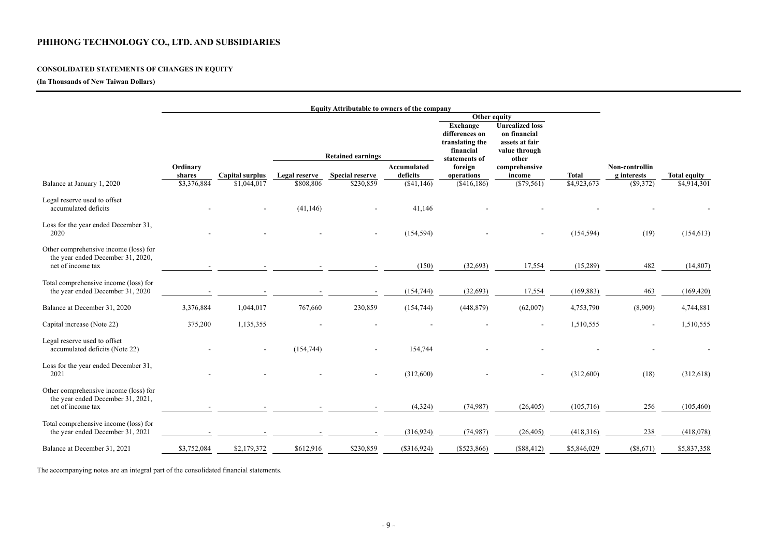# **PHIHONG TECHNOLOGY CO., LTD. AND SUBSIDIARIES**

# **CONSOLIDATED STATEMENTS OF CHANGES IN EQUITY**

# **(In Thousands of New Taiwan Dollars)**

|                                                                                                 |                    |                 |               | <b>Equity Attributable to owners of the company</b> |                         |                                                                 |                                                          |              |                               |                     |
|-------------------------------------------------------------------------------------------------|--------------------|-----------------|---------------|-----------------------------------------------------|-------------------------|-----------------------------------------------------------------|----------------------------------------------------------|--------------|-------------------------------|---------------------|
|                                                                                                 |                    |                 |               |                                                     |                         | <b>Exchange</b>                                                 | Other equity<br><b>Unrealized loss</b>                   |              |                               |                     |
|                                                                                                 |                    |                 |               | <b>Retained earnings</b>                            |                         | differences on<br>translating the<br>financial<br>statements of | on financial<br>assets at fair<br>value through<br>other |              |                               |                     |
|                                                                                                 | Ordinary<br>shares | Capital surplus | Legal reserve | <b>Special reserve</b>                              | Accumulated<br>deficits | foreign<br>operations                                           | comprehensive<br>income                                  | <b>Total</b> | Non-controllin<br>g interests | <b>Total equity</b> |
| Balance at January 1, 2020                                                                      | \$3,376,884        | \$1,044,017     | \$808,806     | \$230,859                                           | $(\$41,146)$            | (\$416,186)                                                     | $(\$79,561)$                                             | \$4,923,673  | (\$9,372)                     | \$4,914,301         |
| Legal reserve used to offset<br>accumulated deficits                                            |                    |                 | (41, 146)     |                                                     | 41,146                  |                                                                 |                                                          |              |                               |                     |
| Loss for the year ended December 31,<br>2020                                                    |                    |                 |               |                                                     | (154, 594)              |                                                                 |                                                          | (154, 594)   | (19)                          | (154, 613)          |
| Other comprehensive income (loss) for<br>the year ended December 31, 2020,<br>net of income tax |                    |                 |               |                                                     | (150)                   | (32, 693)                                                       | 17,554                                                   | (15,289)     | 482                           | (14, 807)           |
| Total comprehensive income (loss) for<br>the year ended December 31, 2020                       |                    |                 |               |                                                     | (154, 744)              | (32, 693)                                                       | 17,554                                                   | (169, 883)   | 463                           | (169, 420)          |
| Balance at December 31, 2020                                                                    | 3,376,884          | 1,044,017       | 767,660       | 230,859                                             | (154, 744)              | (448, 879)                                                      | (62,007)                                                 | 4,753,790    | (8,909)                       | 4,744,881           |
| Capital increase (Note 22)                                                                      | 375,200            | 1,135,355       |               |                                                     |                         |                                                                 |                                                          | 1,510,555    | $\sim$                        | 1,510,555           |
| Legal reserve used to offset<br>accumulated deficits (Note 22)                                  |                    |                 | (154, 744)    | $\overline{\phantom{a}}$                            | 154,744                 |                                                                 |                                                          |              |                               |                     |
| Loss for the year ended December 31,<br>2021                                                    |                    |                 |               |                                                     | (312,600)               |                                                                 |                                                          | (312,600)    | (18)                          | (312, 618)          |
| Other comprehensive income (loss) for<br>the year ended December 31, 2021,<br>net of income tax |                    |                 |               |                                                     | (4,324)                 | (74, 987)                                                       | (26, 405)                                                | (105,716)    | 256                           | (105, 460)          |
|                                                                                                 |                    |                 |               |                                                     |                         |                                                                 |                                                          |              |                               |                     |
| Total comprehensive income (loss) for<br>the year ended December 31, 2021                       |                    |                 |               |                                                     | (316, 924)              | (74, 987)                                                       | (26, 405)                                                | (418,316)    | 238                           | (418,078)           |
| Balance at December 31, 2021                                                                    | \$3,752,084        | \$2,179,372     | \$612,916     | \$230,859                                           | (\$316,924)             | $(\$523,866)$                                                   | (\$88,412)                                               | \$5,846,029  | (\$8,671)                     | \$5,837,358         |

The accompanying notes are an integral part of the consolidated financial statements.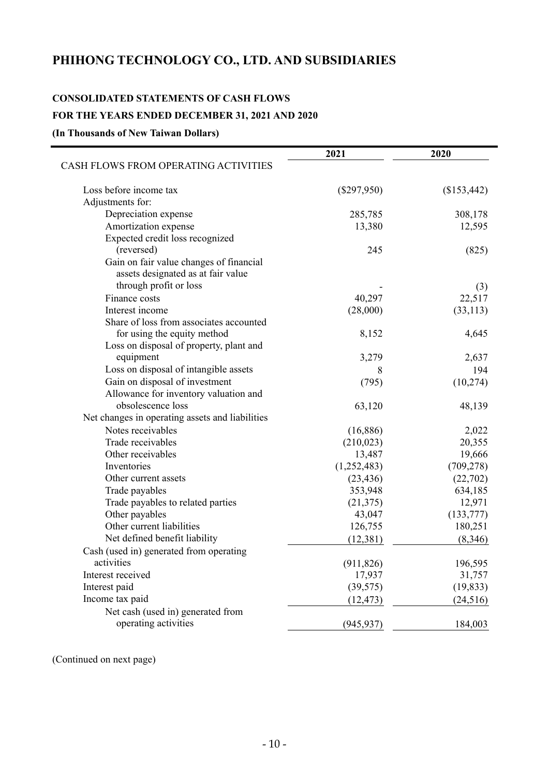# **PHIHONG TECHNOLOGY CO., LTD. AND SUBSIDIARIES**

# **CONSOLIDATED STATEMENTS OF CASH FLOWS FOR THE YEARS ENDED DECEMBER 31, 2021 AND 2020**

**(In Thousands of New Taiwan Dollars)** 

|                                                 | 2021          | 2020        |
|-------------------------------------------------|---------------|-------------|
| CASH FLOWS FROM OPERATING ACTIVITIES            |               |             |
| Loss before income tax                          | $(\$297,950)$ | (\$153,442) |
| Adjustments for:                                |               |             |
| Depreciation expense                            | 285,785       | 308,178     |
| Amortization expense                            | 13,380        | 12,595      |
| Expected credit loss recognized                 |               |             |
| (reversed)                                      | 245           | (825)       |
| Gain on fair value changes of financial         |               |             |
| assets designated as at fair value              |               |             |
| through profit or loss                          |               | (3)         |
| Finance costs                                   | 40,297        | 22,517      |
| Interest income                                 | (28,000)      | (33, 113)   |
| Share of loss from associates accounted         |               |             |
| for using the equity method                     | 8,152         | 4,645       |
| Loss on disposal of property, plant and         |               |             |
| equipment                                       | 3,279         | 2,637       |
| Loss on disposal of intangible assets           | 8             | 194         |
| Gain on disposal of investment                  | (795)         | (10, 274)   |
| Allowance for inventory valuation and           |               |             |
| obsolescence loss                               | 63,120        | 48,139      |
| Net changes in operating assets and liabilities |               |             |
| Notes receivables                               | (16,886)      | 2,022       |
| Trade receivables                               | (210, 023)    | 20,355      |
| Other receivables                               | 13,487        | 19,666      |
| Inventories                                     | (1,252,483)   | (709, 278)  |
| Other current assets                            | (23, 436)     | (22, 702)   |
| Trade payables                                  | 353,948       | 634,185     |
| Trade payables to related parties               | (21, 375)     | 12,971      |
| Other payables                                  | 43,047        | (133, 777)  |
| Other current liabilities                       | 126,755       | 180,251     |
| Net defined benefit liability                   | (12, 381)     | (8,346)     |
| Cash (used in) generated from operating         |               |             |
| activities                                      | (911, 826)    | 196,595     |
| Interest received                               | 17,937        | 31,757      |
| Interest paid                                   | (39, 575)     | (19, 833)   |
| Income tax paid                                 | (12, 473)     | (24, 516)   |
| Net cash (used in) generated from               |               |             |
| operating activities                            | (945, 937)    | 184,003     |

(Continued on next page)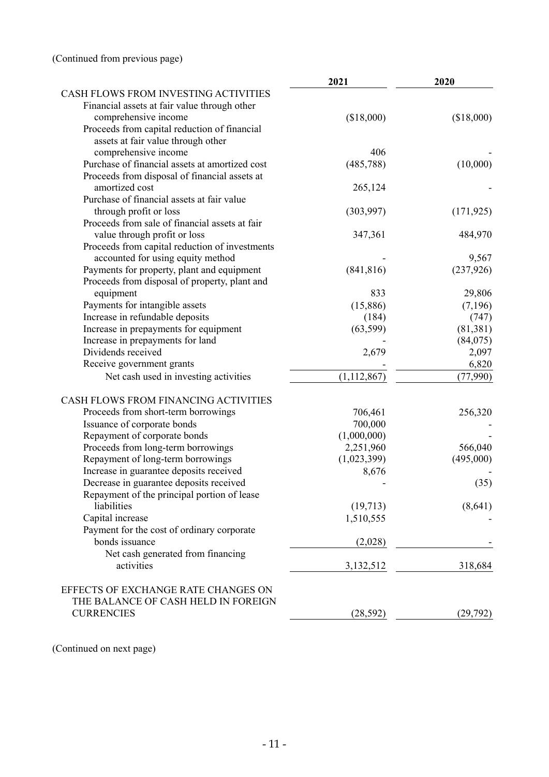|                                                | 2021          | 2020       |
|------------------------------------------------|---------------|------------|
| CASH FLOWS FROM INVESTING ACTIVITIES           |               |            |
| Financial assets at fair value through other   |               |            |
| comprehensive income                           | (\$18,000)    | (\$18,000) |
| Proceeds from capital reduction of financial   |               |            |
| assets at fair value through other             |               |            |
| comprehensive income                           | 406           |            |
| Purchase of financial assets at amortized cost | (485, 788)    | (10,000)   |
| Proceeds from disposal of financial assets at  |               |            |
| amortized cost                                 | 265,124       |            |
| Purchase of financial assets at fair value     |               |            |
| through profit or loss                         | (303,997)     | (171, 925) |
| Proceeds from sale of financial assets at fair |               |            |
| value through profit or loss                   | 347,361       | 484,970    |
| Proceeds from capital reduction of investments |               |            |
| accounted for using equity method              |               | 9,567      |
| Payments for property, plant and equipment     | (841, 816)    | (237, 926) |
| Proceeds from disposal of property, plant and  |               |            |
| equipment                                      | 833           | 29,806     |
| Payments for intangible assets                 | (15,886)      | (7,196)    |
| Increase in refundable deposits                | (184)         | (747)      |
| Increase in prepayments for equipment          | (63, 599)     | (81, 381)  |
| Increase in prepayments for land               |               | (84,075)   |
| Dividends received                             | 2,679         | 2,097      |
| Receive government grants                      |               | 6,820      |
| Net cash used in investing activities          | (1, 112, 867) | (77,990)   |
| CASH FLOWS FROM FINANCING ACTIVITIES           |               |            |
| Proceeds from short-term borrowings            | 706,461       | 256,320    |
| Issuance of corporate bonds                    | 700,000       |            |
| Repayment of corporate bonds                   | (1,000,000)   |            |
| Proceeds from long-term borrowings             | 2,251,960     | 566,040    |
| Repayment of long-term borrowings              | (1,023,399)   | (495,000)  |
| Increase in guarantee deposits received        | 8,676         |            |
| Decrease in guarantee deposits received        |               | (35)       |
| Repayment of the principal portion of lease    |               |            |
| liabilities                                    | (19, 713)     | (8,641)    |
| Capital increase                               | 1,510,555     |            |
| Payment for the cost of ordinary corporate     |               |            |
| bonds issuance                                 | (2,028)       |            |
| Net cash generated from financing              |               |            |
| activities                                     | 3,132,512     | 318,684    |
| EFFECTS OF EXCHANGE RATE CHANGES ON            |               |            |
| THE BALANCE OF CASH HELD IN FOREIGN            |               |            |
| <b>CURRENCIES</b>                              | (28, 592)     | (29, 792)  |
|                                                |               |            |

(Continued on next page)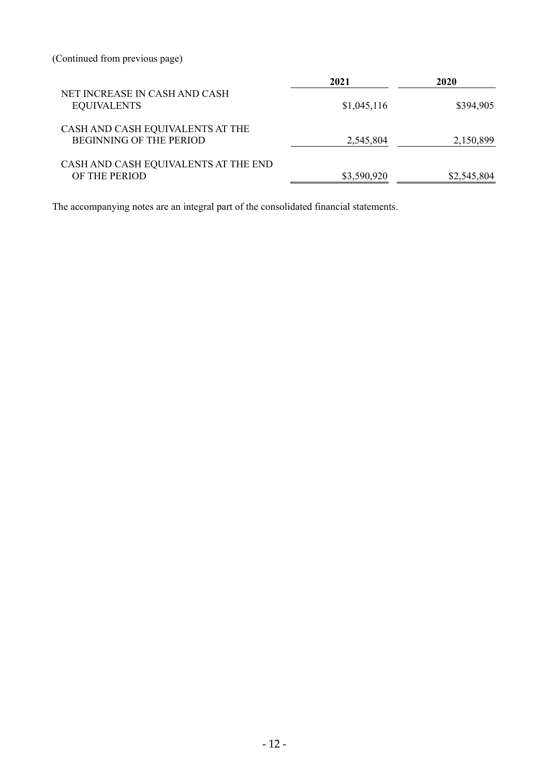(Continued from previous page)

|                                                                    | 2021        | 2020        |
|--------------------------------------------------------------------|-------------|-------------|
| NET INCREASE IN CASH AND CASH<br><b>EQUIVALENTS</b>                | \$1,045,116 | \$394,905   |
| CASH AND CASH EQUIVALENTS AT THE<br><b>BEGINNING OF THE PERIOD</b> | 2,545,804   | 2,150,899   |
| CASH AND CASH EQUIVALENTS AT THE END<br>OF THE PERIOD              | \$3,590,920 | \$2,545,804 |

The accompanying notes are an integral part of the consolidated financial statements.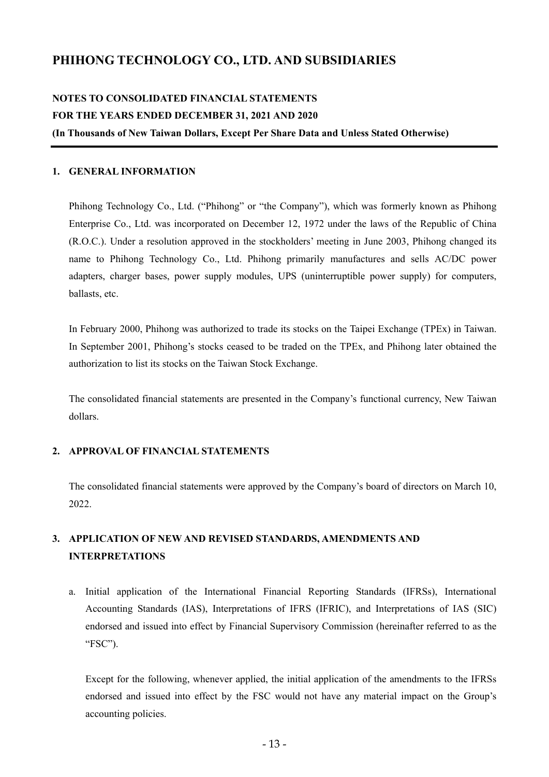# **PHIHONG TECHNOLOGY CO., LTD. AND SUBSIDIARIES**

# **NOTES TO CONSOLIDATED FINANCIAL STATEMENTS FOR THE YEARS ENDED DECEMBER 31, 2021 AND 2020**

**(In Thousands of New Taiwan Dollars, Except Per Share Data and Unless Stated Otherwise)** 

#### **1. GENERAL INFORMATION**

Phihong Technology Co., Ltd. ("Phihong" or "the Company"), which was formerly known as Phihong Enterprise Co., Ltd. was incorporated on December 12, 1972 under the laws of the Republic of China (R.O.C.). Under a resolution approved in the stockholders' meeting in June 2003, Phihong changed its name to Phihong Technology Co., Ltd. Phihong primarily manufactures and sells AC/DC power adapters, charger bases, power supply modules, UPS (uninterruptible power supply) for computers, ballasts, etc.

In February 2000, Phihong was authorized to trade its stocks on the Taipei Exchange (TPEx) in Taiwan. In September 2001, Phihong's stocks ceased to be traded on the TPEx, and Phihong later obtained the authorization to list its stocks on the Taiwan Stock Exchange.

The consolidated financial statements are presented in the Company's functional currency, New Taiwan dollars.

# **2. APPROVAL OF FINANCIAL STATEMENTS**

The consolidated financial statements were approved by the Company's board of directors on March 10, 2022.

# **3. APPLICATION OF NEW AND REVISED STANDARDS, AMENDMENTS AND INTERPRETATIONS**

a. Initial application of the International Financial Reporting Standards (IFRSs), International Accounting Standards (IAS), Interpretations of IFRS (IFRIC), and Interpretations of IAS (SIC) endorsed and issued into effect by Financial Supervisory Commission (hereinafter referred to as the "FSC").

Except for the following, whenever applied, the initial application of the amendments to the IFRSs endorsed and issued into effect by the FSC would not have any material impact on the Group's accounting policies.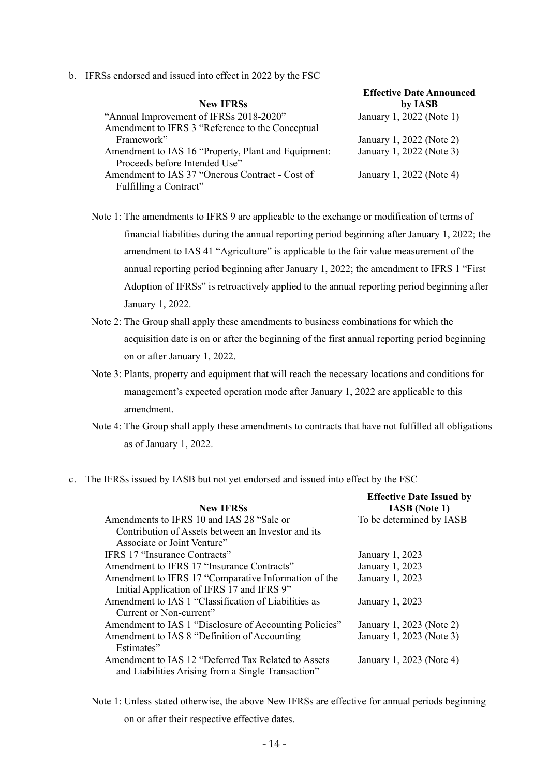b. IFRSs endorsed and issued into effect in 2022 by the FSC

| <b>New IFRSs</b>                                    | <b>Effective Date Announced</b><br>by IASB |
|-----------------------------------------------------|--------------------------------------------|
| "Annual Improvement of IFRSs 2018-2020"             | January 1, 2022 (Note 1)                   |
| Amendment to IFRS 3 "Reference to the Conceptual    |                                            |
| Framework"                                          | January 1, 2022 (Note 2)                   |
| Amendment to IAS 16 "Property, Plant and Equipment: | January 1, 2022 (Note 3)                   |
| Proceeds before Intended Use"                       |                                            |
| Amendment to IAS 37 "Onerous Contract - Cost of     | January 1, 2022 (Note 4)                   |
| Fulfilling a Contract"                              |                                            |

**Effective Date Announced** 

Note 1: The amendments to IFRS 9 are applicable to the exchange or modification of terms of financial liabilities during the annual reporting period beginning after January 1, 2022; the amendment to IAS 41 "Agriculture" is applicable to the fair value measurement of the annual reporting period beginning after January 1, 2022; the amendment to IFRS 1 "First Adoption of IFRSs" is retroactively applied to the annual reporting period beginning after January 1, 2022.

- Note 2: The Group shall apply these amendments to business combinations for which the acquisition date is on or after the beginning of the first annual reporting period beginning on or after January 1, 2022.
- Note 3: Plants, property and equipment that will reach the necessary locations and conditions for management's expected operation mode after January 1, 2022 are applicable to this amendment.
- Note 4: The Group shall apply these amendments to contracts that have not fulfilled all obligations as of January 1, 2022.
- c. The IFRSs issued by IASB but not yet endorsed and issued into effect by the FSC

|                                                        | <b>Effective Date Issued by</b> |
|--------------------------------------------------------|---------------------------------|
| <b>New IFRSs</b>                                       | <b>IASB</b> (Note 1)            |
| Amendments to IFRS 10 and IAS 28 "Sale or              | To be determined by IASB        |
| Contribution of Assets between an Investor and its     |                                 |
| Associate or Joint Venture"                            |                                 |
| IFRS 17 "Insurance Contracts"                          | January 1, 2023                 |
| Amendment to IFRS 17 "Insurance Contracts"             | January 1, 2023                 |
| Amendment to IFRS 17 "Comparative Information of the   | January 1, 2023                 |
| Initial Application of IFRS 17 and IFRS 9"             |                                 |
| Amendment to IAS 1 "Classification of Liabilities as   | January 1, 2023                 |
| Current or Non-current"                                |                                 |
| Amendment to IAS 1 "Disclosure of Accounting Policies" | January 1, 2023 (Note 2)        |
| Amendment to IAS 8 "Definition of Accounting           | January 1, 2023 (Note 3)        |
| Estimates"                                             |                                 |
| Amendment to IAS 12 "Deferred Tax Related to Assets    | January 1, 2023 (Note 4)        |
| and Liabilities Arising from a Single Transaction"     |                                 |

Note 1: Unless stated otherwise, the above New IFRSs are effective for annual periods beginning on or after their respective effective dates.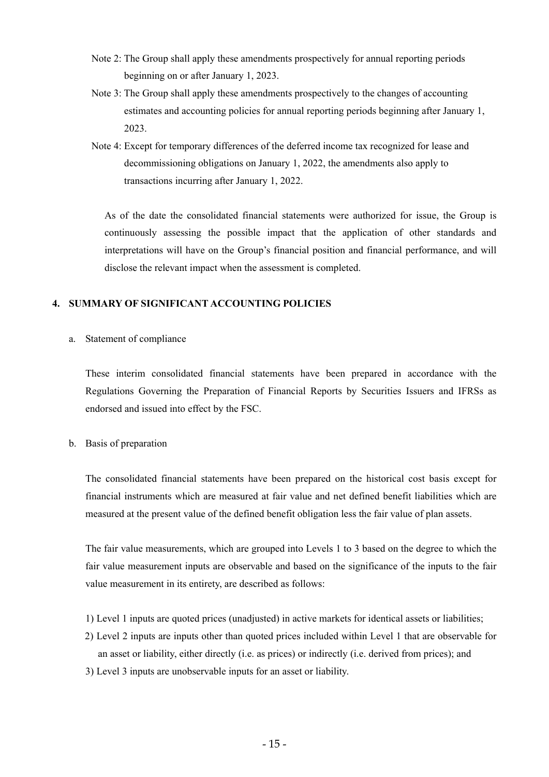- Note 2: The Group shall apply these amendments prospectively for annual reporting periods beginning on or after January 1, 2023.
- Note 3: The Group shall apply these amendments prospectively to the changes of accounting estimates and accounting policies for annual reporting periods beginning after January 1, 2023.
- Note 4: Except for temporary differences of the deferred income tax recognized for lease and decommissioning obligations on January 1, 2022, the amendments also apply to transactions incurring after January 1, 2022.

As of the date the consolidated financial statements were authorized for issue, the Group is continuously assessing the possible impact that the application of other standards and interpretations will have on the Group's financial position and financial performance, and will disclose the relevant impact when the assessment is completed.

# **4. SUMMARY OF SIGNIFICANT ACCOUNTING POLICIES**

a. Statement of compliance

These interim consolidated financial statements have been prepared in accordance with the Regulations Governing the Preparation of Financial Reports by Securities Issuers and IFRSs as endorsed and issued into effect by the FSC.

# b. Basis of preparation

The consolidated financial statements have been prepared on the historical cost basis except for financial instruments which are measured at fair value and net defined benefit liabilities which are measured at the present value of the defined benefit obligation less the fair value of plan assets.

The fair value measurements, which are grouped into Levels 1 to 3 based on the degree to which the fair value measurement inputs are observable and based on the significance of the inputs to the fair value measurement in its entirety, are described as follows:

- 1) Level 1 inputs are quoted prices (unadjusted) in active markets for identical assets or liabilities;
- 2) Level 2 inputs are inputs other than quoted prices included within Level 1 that are observable for an asset or liability, either directly (i.e. as prices) or indirectly (i.e. derived from prices); and
- 3) Level 3 inputs are unobservable inputs for an asset or liability.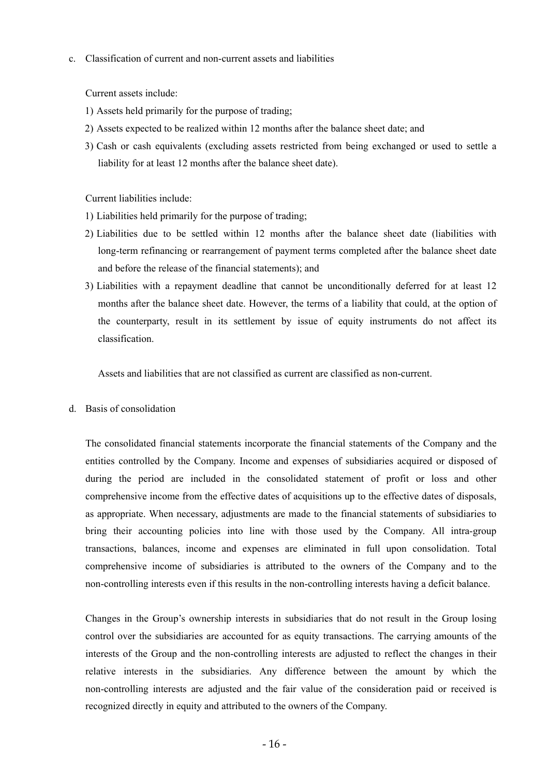c. Classification of current and non-current assets and liabilities

Current assets include:

- 1) Assets held primarily for the purpose of trading;
- 2) Assets expected to be realized within 12 months after the balance sheet date; and
- 3) Cash or cash equivalents (excluding assets restricted from being exchanged or used to settle a liability for at least 12 months after the balance sheet date).

Current liabilities include:

- 1) Liabilities held primarily for the purpose of trading;
- 2) Liabilities due to be settled within 12 months after the balance sheet date (liabilities with long-term refinancing or rearrangement of payment terms completed after the balance sheet date and before the release of the financial statements); and
- 3) Liabilities with a repayment deadline that cannot be unconditionally deferred for at least 12 months after the balance sheet date. However, the terms of a liability that could, at the option of the counterparty, result in its settlement by issue of equity instruments do not affect its classification.

Assets and liabilities that are not classified as current are classified as non-current.

d. Basis of consolidation

The consolidated financial statements incorporate the financial statements of the Company and the entities controlled by the Company. Income and expenses of subsidiaries acquired or disposed of during the period are included in the consolidated statement of profit or loss and other comprehensive income from the effective dates of acquisitions up to the effective dates of disposals, as appropriate. When necessary, adjustments are made to the financial statements of subsidiaries to bring their accounting policies into line with those used by the Company. All intra-group transactions, balances, income and expenses are eliminated in full upon consolidation. Total comprehensive income of subsidiaries is attributed to the owners of the Company and to the non-controlling interests even if this results in the non-controlling interests having a deficit balance.

Changes in the Group's ownership interests in subsidiaries that do not result in the Group losing control over the subsidiaries are accounted for as equity transactions. The carrying amounts of the interests of the Group and the non-controlling interests are adjusted to reflect the changes in their relative interests in the subsidiaries. Any difference between the amount by which the non-controlling interests are adjusted and the fair value of the consideration paid or received is recognized directly in equity and attributed to the owners of the Company.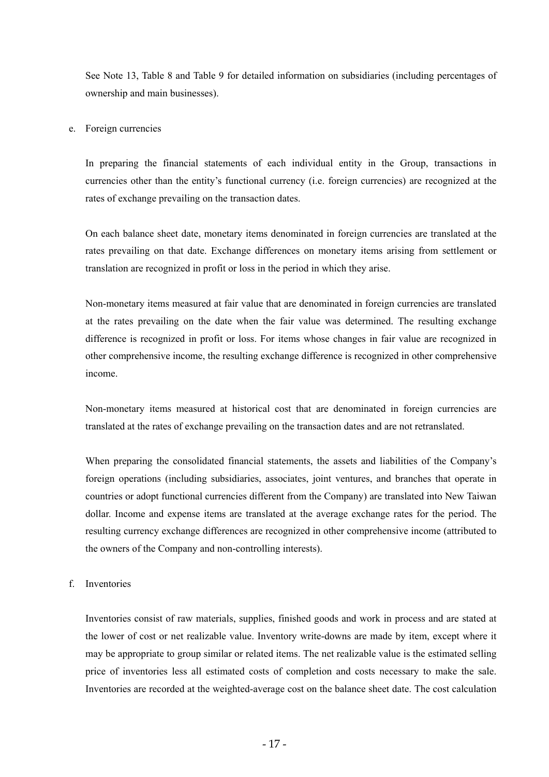See Note 13, Table 8 and Table 9 for detailed information on subsidiaries (including percentages of ownership and main businesses).

#### e. Foreign currencies

In preparing the financial statements of each individual entity in the Group, transactions in currencies other than the entity's functional currency (i.e. foreign currencies) are recognized at the rates of exchange prevailing on the transaction dates.

On each balance sheet date, monetary items denominated in foreign currencies are translated at the rates prevailing on that date. Exchange differences on monetary items arising from settlement or translation are recognized in profit or loss in the period in which they arise.

Non-monetary items measured at fair value that are denominated in foreign currencies are translated at the rates prevailing on the date when the fair value was determined. The resulting exchange difference is recognized in profit or loss. For items whose changes in fair value are recognized in other comprehensive income, the resulting exchange difference is recognized in other comprehensive income.

Non-monetary items measured at historical cost that are denominated in foreign currencies are translated at the rates of exchange prevailing on the transaction dates and are not retranslated.

When preparing the consolidated financial statements, the assets and liabilities of the Company's foreign operations (including subsidiaries, associates, joint ventures, and branches that operate in countries or adopt functional currencies different from the Company) are translated into New Taiwan dollar. Income and expense items are translated at the average exchange rates for the period. The resulting currency exchange differences are recognized in other comprehensive income (attributed to the owners of the Company and non-controlling interests).

#### f. Inventories

Inventories consist of raw materials, supplies, finished goods and work in process and are stated at the lower of cost or net realizable value. Inventory write-downs are made by item, except where it may be appropriate to group similar or related items. The net realizable value is the estimated selling price of inventories less all estimated costs of completion and costs necessary to make the sale. Inventories are recorded at the weighted-average cost on the balance sheet date. The cost calculation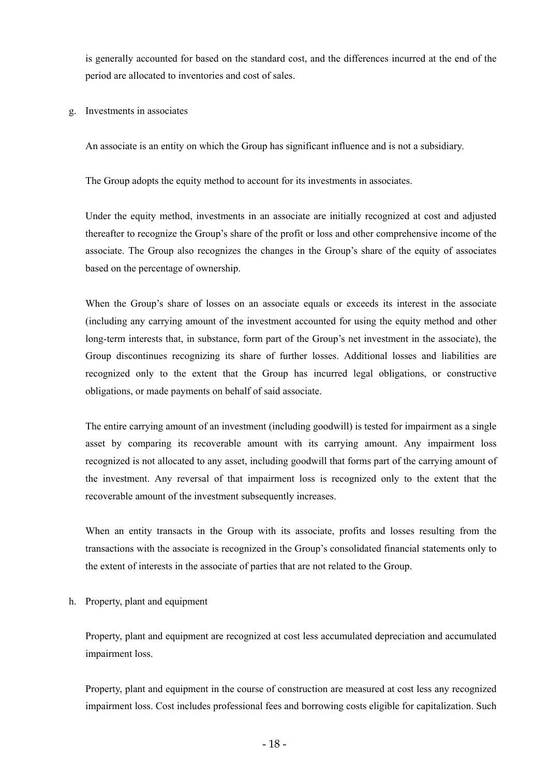is generally accounted for based on the standard cost, and the differences incurred at the end of the period are allocated to inventories and cost of sales.

g. Investments in associates

An associate is an entity on which the Group has significant influence and is not a subsidiary.

The Group adopts the equity method to account for its investments in associates.

Under the equity method, investments in an associate are initially recognized at cost and adjusted thereafter to recognize the Group's share of the profit or loss and other comprehensive income of the associate. The Group also recognizes the changes in the Group's share of the equity of associates based on the percentage of ownership.

When the Group's share of losses on an associate equals or exceeds its interest in the associate (including any carrying amount of the investment accounted for using the equity method and other long-term interests that, in substance, form part of the Group's net investment in the associate), the Group discontinues recognizing its share of further losses. Additional losses and liabilities are recognized only to the extent that the Group has incurred legal obligations, or constructive obligations, or made payments on behalf of said associate.

The entire carrying amount of an investment (including goodwill) is tested for impairment as a single asset by comparing its recoverable amount with its carrying amount. Any impairment loss recognized is not allocated to any asset, including goodwill that forms part of the carrying amount of the investment. Any reversal of that impairment loss is recognized only to the extent that the recoverable amount of the investment subsequently increases.

When an entity transacts in the Group with its associate, profits and losses resulting from the transactions with the associate is recognized in the Group's consolidated financial statements only to the extent of interests in the associate of parties that are not related to the Group.

h. Property, plant and equipment

Property, plant and equipment are recognized at cost less accumulated depreciation and accumulated impairment loss.

Property, plant and equipment in the course of construction are measured at cost less any recognized impairment loss. Cost includes professional fees and borrowing costs eligible for capitalization. Such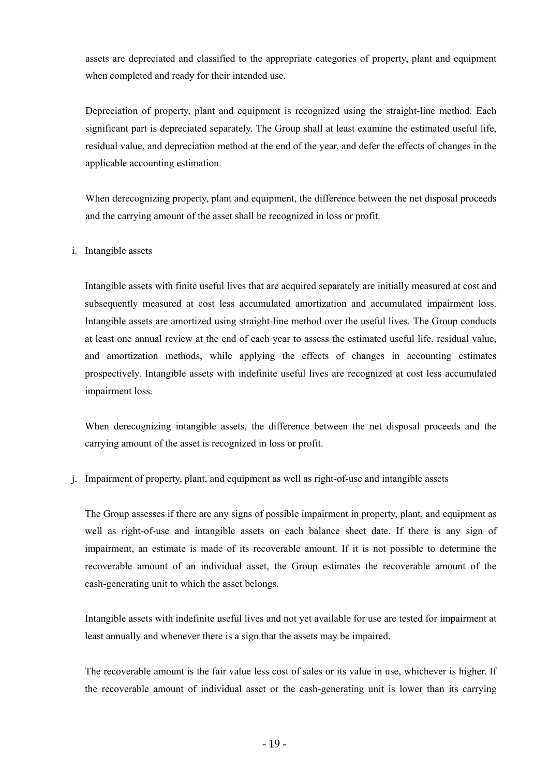assets are depreciated and classified to the appropriate categories of property, plant and equipment when completed and ready for their intended use.

Depreciation of property, plant and equipment is recognized using the straight-line method. Each significant part is depreciated separately. The Group shall at least examine the estimated useful life, residual value, and depreciation method at the end of the year, and defer the effects of changes in the applicable accounting estimation.

When derecognizing property, plant and equipment, the difference between the net disposal proceeds and the carrying amount of the asset shall be recognized in loss or profit.

# i. Intangible assets

Intangible assets with finite useful lives that are acquired separately are initially measured at cost and subsequently measured at cost less accumulated amortization and accumulated impairment loss. Intangible assets are amortized using straight-line method over the useful lives. The Group conducts at least one annual review at the end of each year to assess the estimated useful life, residual value, and amortization methods, while applying the effects of changes in accounting estimates prospectively. Intangible assets with indefinite useful lives are recognized at cost less accumulated impairment loss.

When derecognizing intangible assets, the difference between the net disposal proceeds and the carrying amount of the asset is recognized in loss or profit.

j. Impairment of property, plant, and equipment as well as right-of-use and intangible assets

The Group assesses if there are any signs of possible impairment in property, plant, and equipment as well as right-of-use and intangible assets on each balance sheet date. If there is any sign of impairment, an estimate is made of its recoverable amount. If it is not possible to determine the recoverable amount of an individual asset, the Group estimates the recoverable amount of the cash-generating unit to which the asset belongs.

Intangible assets with indefinite useful lives and not yet available for use are tested for impairment at least annually and whenever there is a sign that the assets may be impaired.

The recoverable amount is the fair value less cost of sales or its value in use, whichever is higher. If the recoverable amount of individual asset or the cash-generating unit is lower than its carrying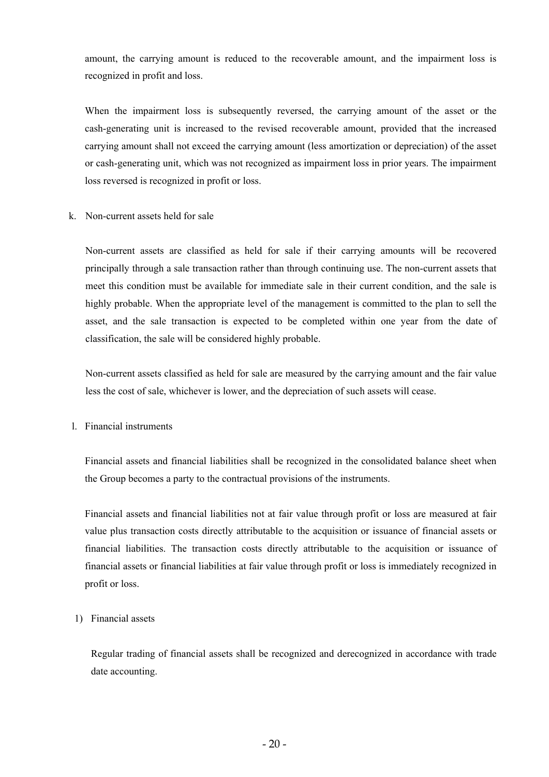amount, the carrying amount is reduced to the recoverable amount, and the impairment loss is recognized in profit and loss.

When the impairment loss is subsequently reversed, the carrying amount of the asset or the cash-generating unit is increased to the revised recoverable amount, provided that the increased carrying amount shall not exceed the carrying amount (less amortization or depreciation) of the asset or cash-generating unit, which was not recognized as impairment loss in prior years. The impairment loss reversed is recognized in profit or loss.

k. Non-current assets held for sale

Non-current assets are classified as held for sale if their carrying amounts will be recovered principally through a sale transaction rather than through continuing use. The non-current assets that meet this condition must be available for immediate sale in their current condition, and the sale is highly probable. When the appropriate level of the management is committed to the plan to sell the asset, and the sale transaction is expected to be completed within one year from the date of classification, the sale will be considered highly probable.

Non-current assets classified as held for sale are measured by the carrying amount and the fair value less the cost of sale, whichever is lower, and the depreciation of such assets will cease.

l. Financial instruments

Financial assets and financial liabilities shall be recognized in the consolidated balance sheet when the Group becomes a party to the contractual provisions of the instruments.

Financial assets and financial liabilities not at fair value through profit or loss are measured at fair value plus transaction costs directly attributable to the acquisition or issuance of financial assets or financial liabilities. The transaction costs directly attributable to the acquisition or issuance of financial assets or financial liabilities at fair value through profit or loss is immediately recognized in profit or loss.

1) Financial assets

Regular trading of financial assets shall be recognized and derecognized in accordance with trade date accounting.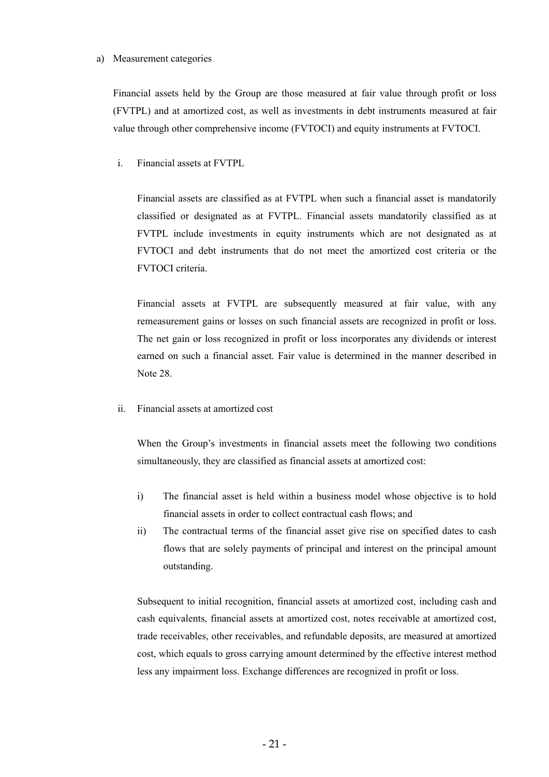#### a) Measurement categories

Financial assets held by the Group are those measured at fair value through profit or loss (FVTPL) and at amortized cost, as well as investments in debt instruments measured at fair value through other comprehensive income (FVTOCI) and equity instruments at FVTOCI.

i. Financial assets at FVTPL

Financial assets are classified as at FVTPL when such a financial asset is mandatorily classified or designated as at FVTPL. Financial assets mandatorily classified as at FVTPL include investments in equity instruments which are not designated as at FVTOCI and debt instruments that do not meet the amortized cost criteria or the FVTOCI criteria.

Financial assets at FVTPL are subsequently measured at fair value, with any remeasurement gains or losses on such financial assets are recognized in profit or loss. The net gain or loss recognized in profit or loss incorporates any dividends or interest earned on such a financial asset. Fair value is determined in the manner described in Note 28.

ii. Financial assets at amortized cost

When the Group's investments in financial assets meet the following two conditions simultaneously, they are classified as financial assets at amortized cost:

- i) The financial asset is held within a business model whose objective is to hold financial assets in order to collect contractual cash flows; and
- ii) The contractual terms of the financial asset give rise on specified dates to cash flows that are solely payments of principal and interest on the principal amount outstanding.

Subsequent to initial recognition, financial assets at amortized cost, including cash and cash equivalents, financial assets at amortized cost, notes receivable at amortized cost, trade receivables, other receivables, and refundable deposits, are measured at amortized cost, which equals to gross carrying amount determined by the effective interest method less any impairment loss. Exchange differences are recognized in profit or loss.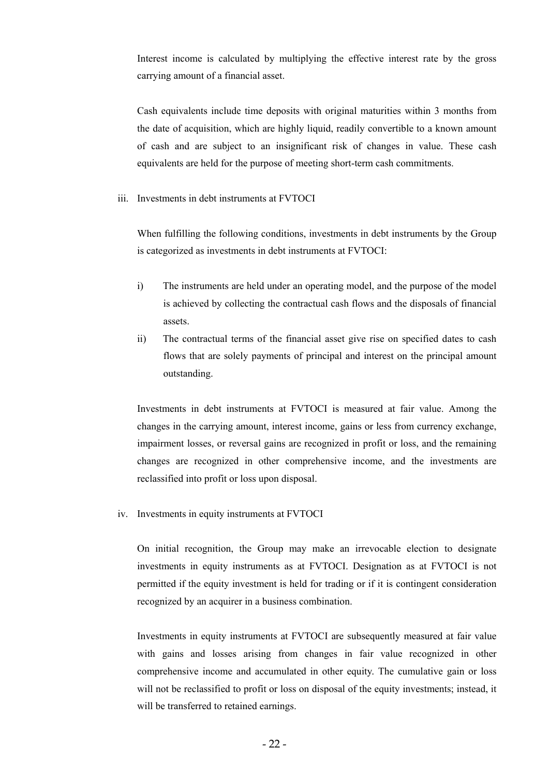Interest income is calculated by multiplying the effective interest rate by the gross carrying amount of a financial asset.

Cash equivalents include time deposits with original maturities within 3 months from the date of acquisition, which are highly liquid, readily convertible to a known amount of cash and are subject to an insignificant risk of changes in value. These cash equivalents are held for the purpose of meeting short-term cash commitments.

iii. Investments in debt instruments at FVTOCI

When fulfilling the following conditions, investments in debt instruments by the Group is categorized as investments in debt instruments at FVTOCI:

- i) The instruments are held under an operating model, and the purpose of the model is achieved by collecting the contractual cash flows and the disposals of financial assets.
- ii) The contractual terms of the financial asset give rise on specified dates to cash flows that are solely payments of principal and interest on the principal amount outstanding.

Investments in debt instruments at FVTOCI is measured at fair value. Among the changes in the carrying amount, interest income, gains or less from currency exchange, impairment losses, or reversal gains are recognized in profit or loss, and the remaining changes are recognized in other comprehensive income, and the investments are reclassified into profit or loss upon disposal.

iv. Investments in equity instruments at FVTOCI

On initial recognition, the Group may make an irrevocable election to designate investments in equity instruments as at FVTOCI. Designation as at FVTOCI is not permitted if the equity investment is held for trading or if it is contingent consideration recognized by an acquirer in a business combination.

Investments in equity instruments at FVTOCI are subsequently measured at fair value with gains and losses arising from changes in fair value recognized in other comprehensive income and accumulated in other equity. The cumulative gain or loss will not be reclassified to profit or loss on disposal of the equity investments; instead, it will be transferred to retained earnings.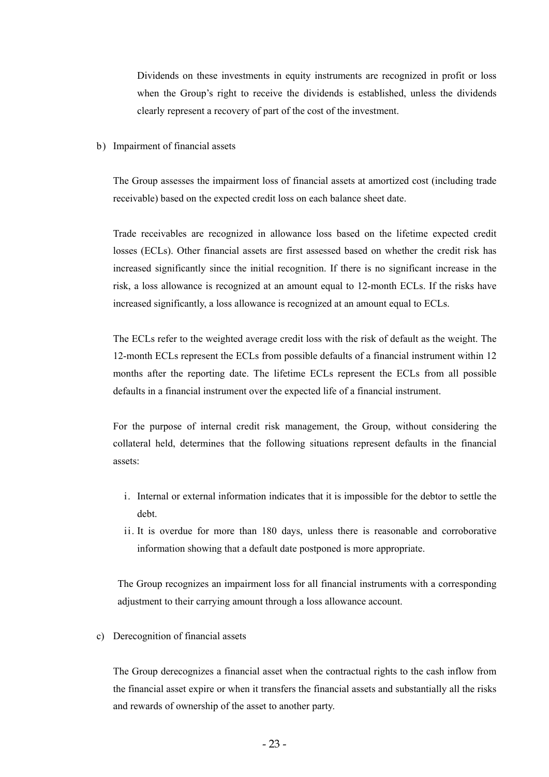Dividends on these investments in equity instruments are recognized in profit or loss when the Group's right to receive the dividends is established, unless the dividends clearly represent a recovery of part of the cost of the investment.

b) Impairment of financial assets

The Group assesses the impairment loss of financial assets at amortized cost (including trade receivable) based on the expected credit loss on each balance sheet date.

Trade receivables are recognized in allowance loss based on the lifetime expected credit losses (ECLs). Other financial assets are first assessed based on whether the credit risk has increased significantly since the initial recognition. If there is no significant increase in the risk, a loss allowance is recognized at an amount equal to 12-month ECLs. If the risks have increased significantly, a loss allowance is recognized at an amount equal to ECLs.

The ECLs refer to the weighted average credit loss with the risk of default as the weight. The 12-month ECLs represent the ECLs from possible defaults of a financial instrument within 12 months after the reporting date. The lifetime ECLs represent the ECLs from all possible defaults in a financial instrument over the expected life of a financial instrument.

For the purpose of internal credit risk management, the Group, without considering the collateral held, determines that the following situations represent defaults in the financial assets:

- i. Internal or external information indicates that it is impossible for the debtor to settle the debt.
- ii. It is overdue for more than 180 days, unless there is reasonable and corroborative information showing that a default date postponed is more appropriate.

The Group recognizes an impairment loss for all financial instruments with a corresponding adjustment to their carrying amount through a loss allowance account.

c) Derecognition of financial assets

The Group derecognizes a financial asset when the contractual rights to the cash inflow from the financial asset expire or when it transfers the financial assets and substantially all the risks and rewards of ownership of the asset to another party.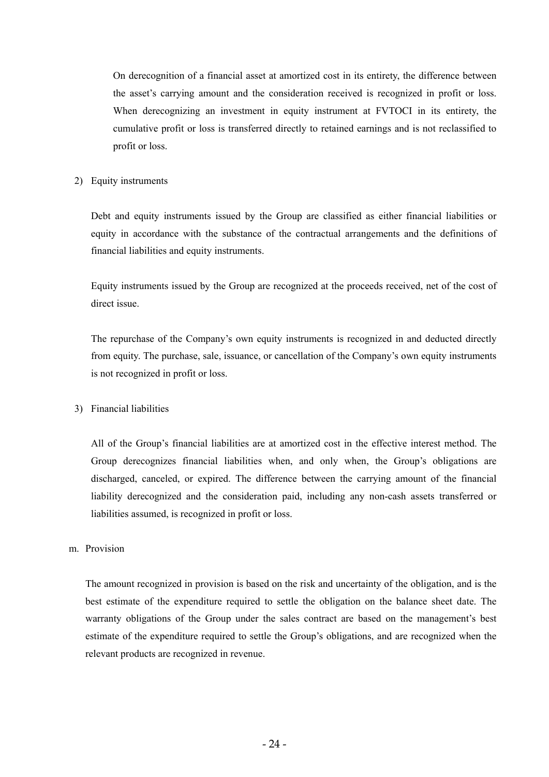On derecognition of a financial asset at amortized cost in its entirety, the difference between the asset's carrying amount and the consideration received is recognized in profit or loss. When derecognizing an investment in equity instrument at FVTOCI in its entirety, the cumulative profit or loss is transferred directly to retained earnings and is not reclassified to profit or loss.

#### 2) Equity instruments

Debt and equity instruments issued by the Group are classified as either financial liabilities or equity in accordance with the substance of the contractual arrangements and the definitions of financial liabilities and equity instruments.

Equity instruments issued by the Group are recognized at the proceeds received, net of the cost of direct issue.

The repurchase of the Company's own equity instruments is recognized in and deducted directly from equity. The purchase, sale, issuance, or cancellation of the Company's own equity instruments is not recognized in profit or loss.

# 3) Financial liabilities

All of the Group's financial liabilities are at amortized cost in the effective interest method. The Group derecognizes financial liabilities when, and only when, the Group's obligations are discharged, canceled, or expired. The difference between the carrying amount of the financial liability derecognized and the consideration paid, including any non-cash assets transferred or liabilities assumed, is recognized in profit or loss.

#### m. Provision

The amount recognized in provision is based on the risk and uncertainty of the obligation, and is the best estimate of the expenditure required to settle the obligation on the balance sheet date. The warranty obligations of the Group under the sales contract are based on the management's best estimate of the expenditure required to settle the Group's obligations, and are recognized when the relevant products are recognized in revenue.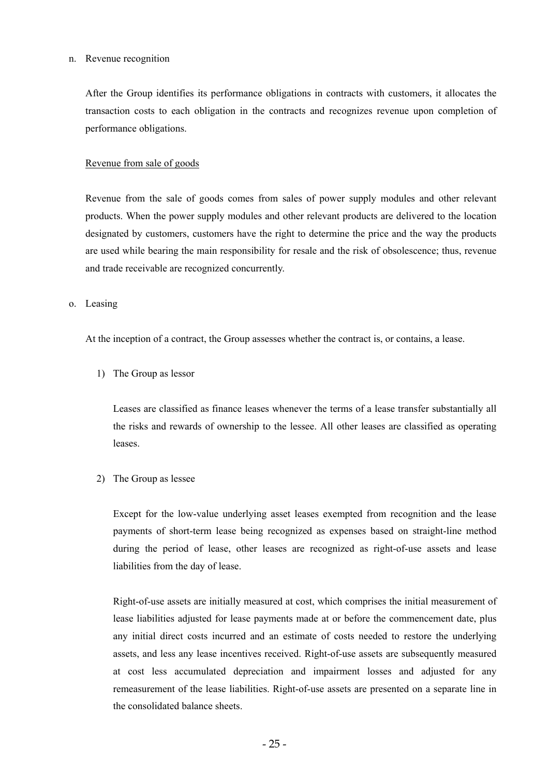#### n. Revenue recognition

After the Group identifies its performance obligations in contracts with customers, it allocates the transaction costs to each obligation in the contracts and recognizes revenue upon completion of performance obligations.

#### Revenue from sale of goods

Revenue from the sale of goods comes from sales of power supply modules and other relevant products. When the power supply modules and other relevant products are delivered to the location designated by customers, customers have the right to determine the price and the way the products are used while bearing the main responsibility for resale and the risk of obsolescence; thus, revenue and trade receivable are recognized concurrently.

#### o. Leasing

At the inception of a contract, the Group assesses whether the contract is, or contains, a lease.

1) The Group as lessor

Leases are classified as finance leases whenever the terms of a lease transfer substantially all the risks and rewards of ownership to the lessee. All other leases are classified as operating leases.

2) The Group as lessee

Except for the low-value underlying asset leases exempted from recognition and the lease payments of short-term lease being recognized as expenses based on straight-line method during the period of lease, other leases are recognized as right-of-use assets and lease liabilities from the day of lease.

Right-of-use assets are initially measured at cost, which comprises the initial measurement of lease liabilities adjusted for lease payments made at or before the commencement date, plus any initial direct costs incurred and an estimate of costs needed to restore the underlying assets, and less any lease incentives received. Right-of-use assets are subsequently measured at cost less accumulated depreciation and impairment losses and adjusted for any remeasurement of the lease liabilities. Right-of-use assets are presented on a separate line in the consolidated balance sheets.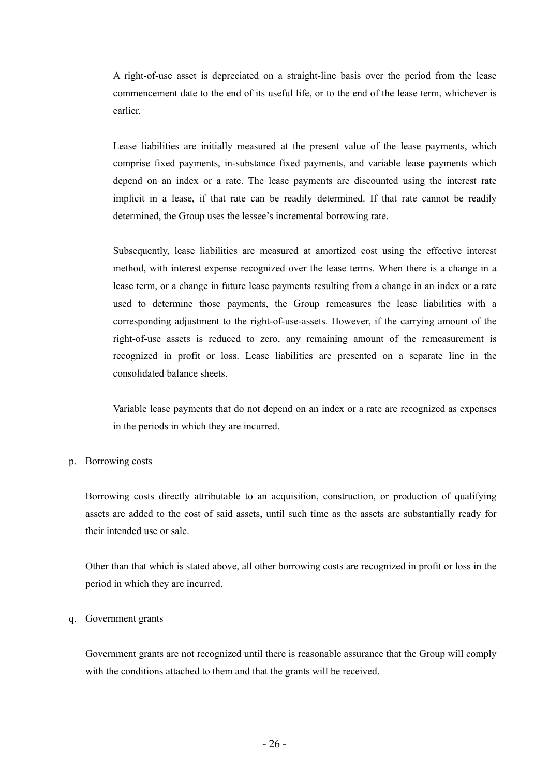A right-of-use asset is depreciated on a straight-line basis over the period from the lease commencement date to the end of its useful life, or to the end of the lease term, whichever is earlier.

Lease liabilities are initially measured at the present value of the lease payments, which comprise fixed payments, in-substance fixed payments, and variable lease payments which depend on an index or a rate. The lease payments are discounted using the interest rate implicit in a lease, if that rate can be readily determined. If that rate cannot be readily determined, the Group uses the lessee's incremental borrowing rate.

Subsequently, lease liabilities are measured at amortized cost using the effective interest method, with interest expense recognized over the lease terms. When there is a change in a lease term, or a change in future lease payments resulting from a change in an index or a rate used to determine those payments, the Group remeasures the lease liabilities with a corresponding adjustment to the right-of-use-assets. However, if the carrying amount of the right-of-use assets is reduced to zero, any remaining amount of the remeasurement is recognized in profit or loss. Lease liabilities are presented on a separate line in the consolidated balance sheets.

Variable lease payments that do not depend on an index or a rate are recognized as expenses in the periods in which they are incurred.

#### p. Borrowing costs

Borrowing costs directly attributable to an acquisition, construction, or production of qualifying assets are added to the cost of said assets, until such time as the assets are substantially ready for their intended use or sale.

Other than that which is stated above, all other borrowing costs are recognized in profit or loss in the period in which they are incurred.

#### q. Government grants

Government grants are not recognized until there is reasonable assurance that the Group will comply with the conditions attached to them and that the grants will be received.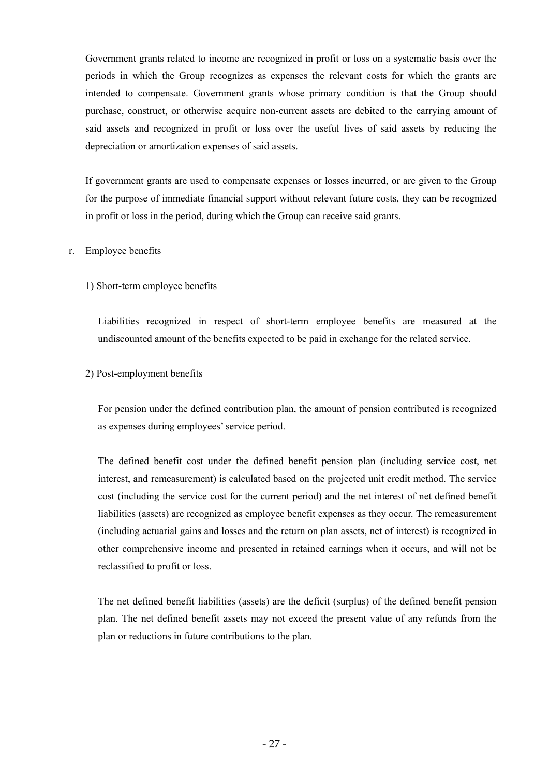Government grants related to income are recognized in profit or loss on a systematic basis over the periods in which the Group recognizes as expenses the relevant costs for which the grants are intended to compensate. Government grants whose primary condition is that the Group should purchase, construct, or otherwise acquire non-current assets are debited to the carrying amount of said assets and recognized in profit or loss over the useful lives of said assets by reducing the depreciation or amortization expenses of said assets.

If government grants are used to compensate expenses or losses incurred, or are given to the Group for the purpose of immediate financial support without relevant future costs, they can be recognized in profit or loss in the period, during which the Group can receive said grants.

### r. Employee benefits

# 1) Short-term employee benefits

Liabilities recognized in respect of short-term employee benefits are measured at the undiscounted amount of the benefits expected to be paid in exchange for the related service.

### 2) Post-employment benefits

For pension under the defined contribution plan, the amount of pension contributed is recognized as expenses during employees' service period.

The defined benefit cost under the defined benefit pension plan (including service cost, net interest, and remeasurement) is calculated based on the projected unit credit method. The service cost (including the service cost for the current period) and the net interest of net defined benefit liabilities (assets) are recognized as employee benefit expenses as they occur. The remeasurement (including actuarial gains and losses and the return on plan assets, net of interest) is recognized in other comprehensive income and presented in retained earnings when it occurs, and will not be reclassified to profit or loss.

The net defined benefit liabilities (assets) are the deficit (surplus) of the defined benefit pension plan. The net defined benefit assets may not exceed the present value of any refunds from the plan or reductions in future contributions to the plan.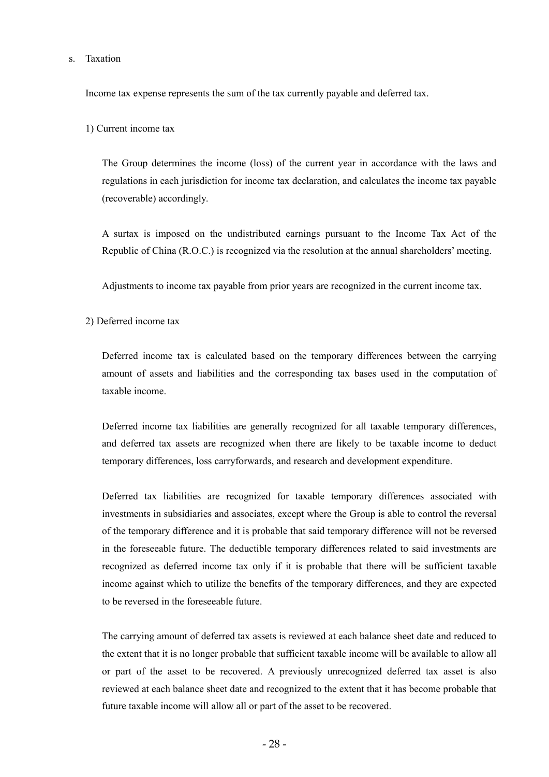#### s. Taxation

Income tax expense represents the sum of the tax currently payable and deferred tax.

1) Current income tax

The Group determines the income (loss) of the current year in accordance with the laws and regulations in each jurisdiction for income tax declaration, and calculates the income tax payable (recoverable) accordingly.

A surtax is imposed on the undistributed earnings pursuant to the Income Tax Act of the Republic of China (R.O.C.) is recognized via the resolution at the annual shareholders' meeting.

Adjustments to income tax payable from prior years are recognized in the current income tax.

2) Deferred income tax

Deferred income tax is calculated based on the temporary differences between the carrying amount of assets and liabilities and the corresponding tax bases used in the computation of taxable income.

Deferred income tax liabilities are generally recognized for all taxable temporary differences, and deferred tax assets are recognized when there are likely to be taxable income to deduct temporary differences, loss carryforwards, and research and development expenditure.

Deferred tax liabilities are recognized for taxable temporary differences associated with investments in subsidiaries and associates, except where the Group is able to control the reversal of the temporary difference and it is probable that said temporary difference will not be reversed in the foreseeable future. The deductible temporary differences related to said investments are recognized as deferred income tax only if it is probable that there will be sufficient taxable income against which to utilize the benefits of the temporary differences, and they are expected to be reversed in the foreseeable future.

The carrying amount of deferred tax assets is reviewed at each balance sheet date and reduced to the extent that it is no longer probable that sufficient taxable income will be available to allow all or part of the asset to be recovered. A previously unrecognized deferred tax asset is also reviewed at each balance sheet date and recognized to the extent that it has become probable that future taxable income will allow all or part of the asset to be recovered.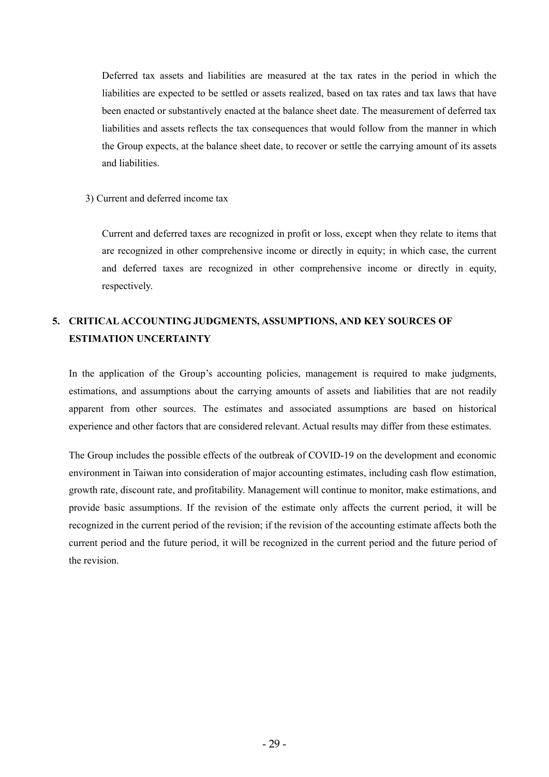Deferred tax assets and liabilities are measured at the tax rates in the period in which the liabilities are expected to be settled or assets realized, based on tax rates and tax laws that have been enacted or substantively enacted at the balance sheet date. The measurement of deferred tax liabilities and assets reflects the tax consequences that would follow from the manner in which the Group expects, at the balance sheet date, to recover or settle the carrying amount of its assets and liabilities.

### 3) Current and deferred income tax

Current and deferred taxes are recognized in profit or loss, except when they relate to items that are recognized in other comprehensive income or directly in equity; in which case, the current and deferred taxes are recognized in other comprehensive income or directly in equity, respectively.

# **5. CRITICAL ACCOUNTING JUDGMENTS, ASSUMPTIONS, AND KEY SOURCES OF ESTIMATION UNCERTAINTY**

In the application of the Group's accounting policies, management is required to make judgments, estimations, and assumptions about the carrying amounts of assets and liabilities that are not readily apparent from other sources. The estimates and associated assumptions are based on historical experience and other factors that are considered relevant. Actual results may differ from these estimates.

The Group includes the possible effects of the outbreak of COVID-19 on the development and economic environment in Taiwan into consideration of major accounting estimates, including cash flow estimation, growth rate, discount rate, and profitability. Management will continue to monitor, make estimations, and provide basic assumptions. If the revision of the estimate only affects the current period, it will be recognized in the current period of the revision; if the revision of the accounting estimate affects both the current period and the future period, it will be recognized in the current period and the future period of the revision.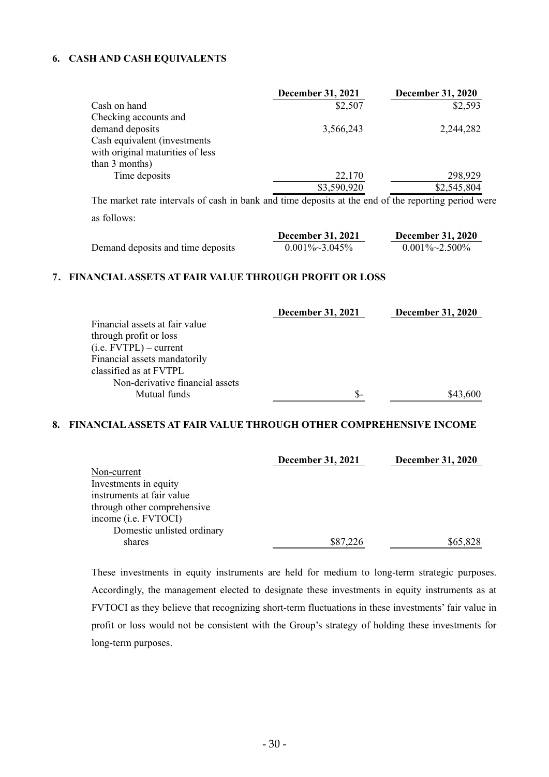## **6. CASH AND CASH EQUIVALENTS**

|                                  | <b>December 31, 2021</b> | <b>December 31, 2020</b> |
|----------------------------------|--------------------------|--------------------------|
| Cash on hand                     | \$2,507                  | \$2,593                  |
| Checking accounts and            |                          |                          |
| demand deposits                  | 3,566,243                | 2,244,282                |
| Cash equivalent (investments)    |                          |                          |
| with original maturities of less |                          |                          |
| than 3 months)                   |                          |                          |
| Time deposits                    | 22,170                   | 298,929                  |
|                                  | \$3,590,920              | \$2,545,804              |
|                                  |                          |                          |

The market rate intervals of cash in bank and time deposits at the end of the reporting period were as follows:

|                                   | <b>December 31, 2021</b> | <b>December 31, 2020</b> |
|-----------------------------------|--------------------------|--------------------------|
| Demand deposits and time deposits | $0.001\% \sim 3.045\%$   | $0.001\% \sim 2.500\%$   |

### **7. FINANCIAL ASSETS AT FAIR VALUE THROUGH PROFIT OR LOSS**

|                                 | <b>December 31, 2021</b> | <b>December 31, 2020</b> |
|---------------------------------|--------------------------|--------------------------|
| Financial assets at fair value  |                          |                          |
| through profit or loss          |                          |                          |
| $(i.e. FVTPL)$ – current        |                          |                          |
| Financial assets mandatorily    |                          |                          |
| classified as at FVTPL          |                          |                          |
| Non-derivative financial assets |                          |                          |
| Mutual funds                    | \$-                      | \$43,600                 |

### **8. FINANCIAL ASSETS AT FAIR VALUE THROUGH OTHER COMPREHENSIVE INCOME**

|                             | <b>December 31, 2021</b> | <b>December 31, 2020</b> |
|-----------------------------|--------------------------|--------------------------|
| Non-current                 |                          |                          |
| Investments in equity       |                          |                          |
| instruments at fair value   |                          |                          |
| through other comprehensive |                          |                          |
| income (i.e. FVTOCI)        |                          |                          |
| Domestic unlisted ordinary  |                          |                          |
| shares                      | \$87,226                 | \$65,828                 |

These investments in equity instruments are held for medium to long-term strategic purposes. Accordingly, the management elected to designate these investments in equity instruments as at FVTOCI as they believe that recognizing short-term fluctuations in these investments' fair value in profit or loss would not be consistent with the Group's strategy of holding these investments for long-term purposes.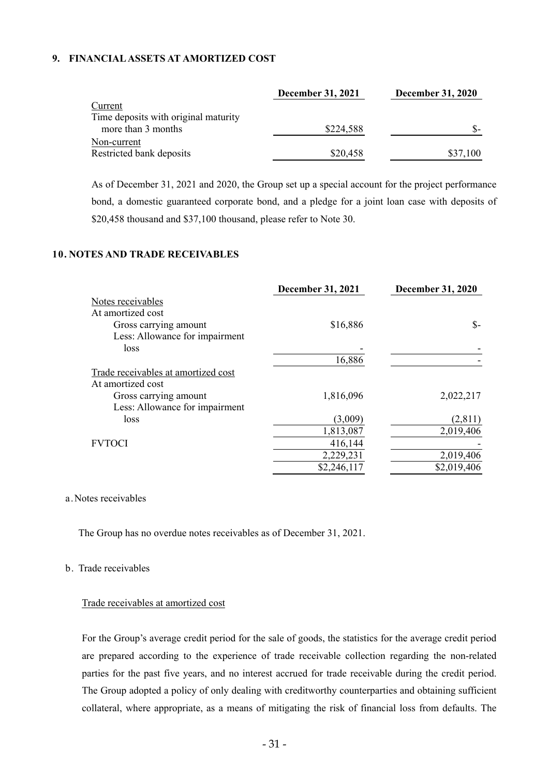## **9. FINANCIAL ASSETS AT AMORTIZED COST**

|                                      | <b>December 31, 2021</b> | <b>December 31, 2020</b> |
|--------------------------------------|--------------------------|--------------------------|
| Current                              |                          |                          |
| Time deposits with original maturity |                          |                          |
| more than 3 months                   | \$224,588                |                          |
| Non-current                          |                          |                          |
| Restricted bank deposits             | \$20,458                 | \$37,100                 |

As of December 31, 2021 and 2020, the Group set up a special account for the project performance bond, a domestic guaranteed corporate bond, and a pledge for a joint loan case with deposits of \$20,458 thousand and \$37,100 thousand, please refer to Note 30.

### **10. NOTES AND TRADE RECEIVABLES**

|                                     | <b>December 31, 2021</b> | <b>December 31, 2020</b> |
|-------------------------------------|--------------------------|--------------------------|
| Notes receivables                   |                          |                          |
| At amortized cost                   |                          |                          |
| Gross carrying amount               | \$16,886                 | $S-$                     |
| Less: Allowance for impairment      |                          |                          |
| loss                                |                          |                          |
|                                     | 16,886                   |                          |
| Trade receivables at amortized cost |                          |                          |
| At amortized cost                   |                          |                          |
| Gross carrying amount               | 1,816,096                | 2,022,217                |
| Less: Allowance for impairment      |                          |                          |
| loss                                | (3,009)                  | (2,811)                  |
|                                     | 1,813,087                | 2,019,406                |
| <b>FVTOCI</b>                       | 416,144                  |                          |
|                                     | 2,229,231                | 2,019,406                |
|                                     | \$2,246,117              | \$2,019,406              |
|                                     |                          |                          |

#### a.Notes receivables

The Group has no overdue notes receivables as of December 31, 2021.

#### b. Trade receivables

#### Trade receivables at amortized cost

For the Group's average credit period for the sale of goods, the statistics for the average credit period are prepared according to the experience of trade receivable collection regarding the non-related parties for the past five years, and no interest accrued for trade receivable during the credit period. The Group adopted a policy of only dealing with creditworthy counterparties and obtaining sufficient collateral, where appropriate, as a means of mitigating the risk of financial loss from defaults. The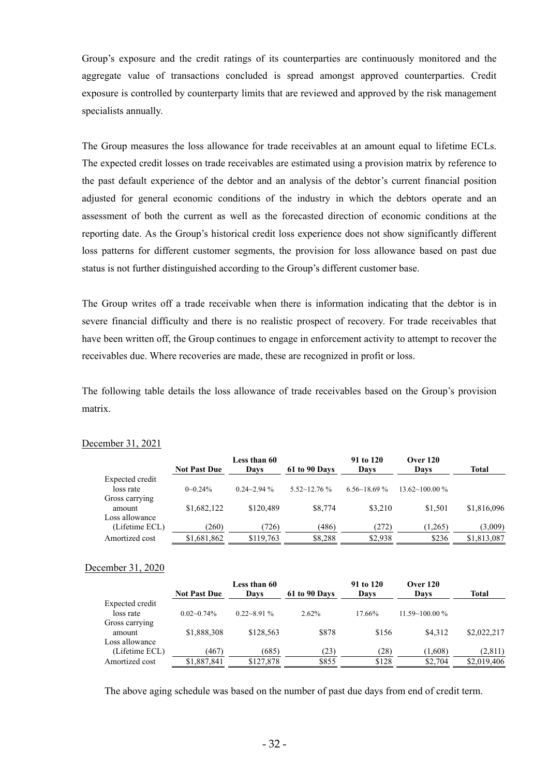Group's exposure and the credit ratings of its counterparties are continuously monitored and the aggregate value of transactions concluded is spread amongst approved counterparties. Credit exposure is controlled by counterparty limits that are reviewed and approved by the risk management specialists annually.

The Group measures the loss allowance for trade receivables at an amount equal to lifetime ECLs. The expected credit losses on trade receivables are estimated using a provision matrix by reference to the past default experience of the debtor and an analysis of the debtor's current financial position adjusted for general economic conditions of the industry in which the debtors operate and an assessment of both the current as well as the forecasted direction of economic conditions at the reporting date. As the Group's historical credit loss experience does not show significantly different loss patterns for different customer segments, the provision for loss allowance based on past due status is not further distinguished according to the Group's different customer base.

The Group writes off a trade receivable when there is information indicating that the debtor is in severe financial difficulty and there is no realistic prospect of recovery. For trade receivables that have been written off, the Group continues to engage in enforcement activity to attempt to recover the receivables due. Where recoveries are made, these are recognized in profit or loss.

The following table details the loss allowance of trade receivables based on the Group's provision matrix.

|                 | <b>Not Past Due</b> | Less than 60<br>Davs | <b>61 to 90 Days</b>   | 91 to 120<br>Davs     | <b>Over 120</b><br>Davs  | Total       |
|-----------------|---------------------|----------------------|------------------------|-----------------------|--------------------------|-------------|
| Expected credit |                     |                      |                        |                       |                          |             |
| loss rate       | $0 - 0.24\%$        | $0.24 - 2.94$ %      | $5.52 \times 12.76 \%$ | $6.56 \times 18.69\%$ | $13.62 \times 100.00 \%$ |             |
| Gross carrying  |                     |                      |                        |                       |                          |             |
| amount          | \$1,682,122         | \$120.489            | \$8,774                | \$3.210               | \$1.501                  | \$1,816,096 |
| Loss allowance  |                     |                      |                        |                       |                          |             |
| (Lifetime ECL)  | (260)               | (726)                | (486)                  | (272)                 | (1,265)                  | (3,009)     |
| Amortized cost  | \$1,681,862         | \$119,763            | \$8,288                | \$2,938               | \$236                    | \$1,813,087 |

#### December 31, 2021

#### December 31, 2020

|                 |                     | Less than 60    |               | 91 to 120 | Over 120            |             |
|-----------------|---------------------|-----------------|---------------|-----------|---------------------|-------------|
|                 | <b>Not Past Due</b> | Davs            | 61 to 90 Days | Davs      | Davs                | Total       |
| Expected credit |                     |                 |               |           |                     |             |
| loss rate       | $0.02 - 0.74\%$     | $0.22 - 8.91\%$ | 2.62%         | 17.66%    | $11.59 - 100.00 \%$ |             |
| Gross carrying  |                     |                 |               |           |                     |             |
| amount          | \$1,888,308         | \$128.563       | \$878         | \$156     | \$4.312             | \$2,022,217 |
| Loss allowance  |                     |                 |               |           |                     |             |
| (Lifetime ECL)  | (467)               | (685)           | (23)          | (28)      | (1,608)             | (2,811)     |
| Amortized cost  | \$1,887,841         | \$127,878       | \$855         | \$128     | \$2,704             | \$2,019,406 |

The above aging schedule was based on the number of past due days from end of credit term.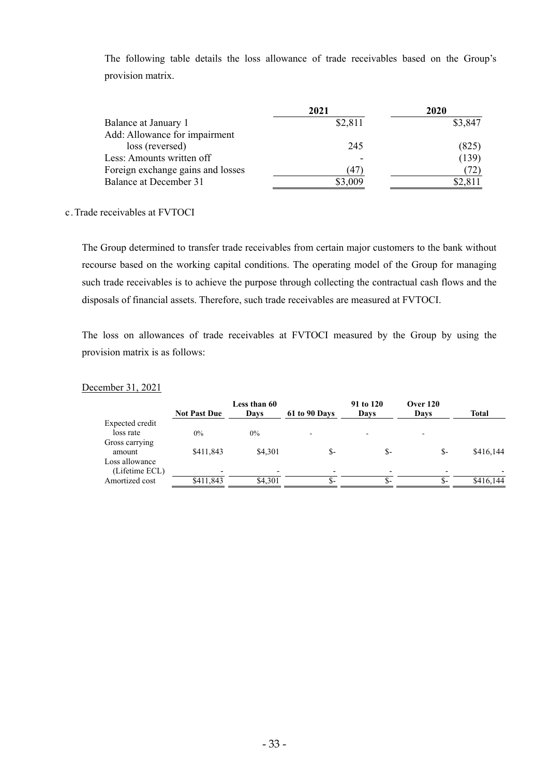The following table details the loss allowance of trade receivables based on the Group's provision matrix.

|                                   | 2021    | 2020    |
|-----------------------------------|---------|---------|
| Balance at January 1              | \$2,811 | \$3,847 |
| Add: Allowance for impairment     |         |         |
| loss (reversed)                   | 245     | (825)   |
| Less: Amounts written off         |         | (139)   |
| Foreign exchange gains and losses | (47)    | (72)    |
| Balance at December 31            | \$3,009 | \$2,811 |

#### c.Trade receivables at FVTOCI

The Group determined to transfer trade receivables from certain major customers to the bank without recourse based on the working capital conditions. The operating model of the Group for managing such trade receivables is to achieve the purpose through collecting the contractual cash flows and the disposals of financial assets. Therefore, such trade receivables are measured at FVTOCI.

The loss on allowances of trade receivables at FVTOCI measured by the Group by using the provision matrix is as follows:

### December 31, 2021

|                                  | <b>Not Past Due</b>      | Less than 60<br>Davs | 61 to 90 Days | 91 to 120<br>Days        | <b>Over 120</b><br>Days | <b>Total</b> |
|----------------------------------|--------------------------|----------------------|---------------|--------------------------|-------------------------|--------------|
| Expected credit<br>loss rate     | $0\%$                    | $0\%$                |               | $\overline{\phantom{0}}$ |                         |              |
| Gross carrying<br>amount         | \$411,843                | \$4.301              | $S-$          | S-                       | \$-                     | \$416,144    |
| Loss allowance<br>(Lifetime ECL) | $\overline{\phantom{0}}$ |                      |               |                          |                         |              |
| Amortized cost                   | \$411,843                | \$4.301              | $S-$          | ъ-                       | S-                      | \$416,144    |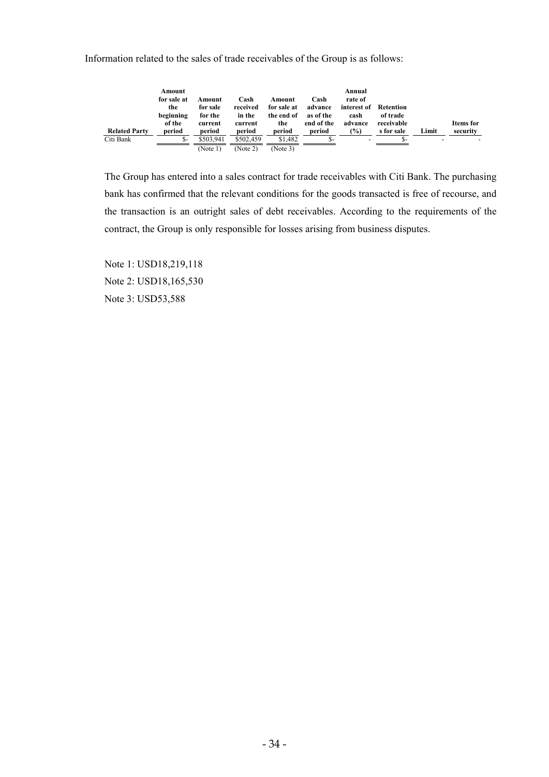Information related to the sales of trade receivables of the Group is as follows:

| <b>Related Party</b> | Amount<br>for sale at<br>the<br>beginning<br>of the<br>period | Amount<br>for sale<br>for the<br>current<br>period | Cash<br>received<br>in the<br>current<br>period | Amount<br>for sale at<br>the end of<br>the<br>period | Cash<br>advance<br>as of the<br>end of the<br>period | Annual<br>rate of<br>interest of Retention<br>cash<br>advance<br>$\frac{9}{0}$ | of trade<br>receivable<br>s for sale | Limit | Items for<br>security |
|----------------------|---------------------------------------------------------------|----------------------------------------------------|-------------------------------------------------|------------------------------------------------------|------------------------------------------------------|--------------------------------------------------------------------------------|--------------------------------------|-------|-----------------------|
| Citi Bank            | \$-                                                           | \$503.941                                          | \$502,459                                       | \$1.482                                              |                                                      |                                                                                |                                      |       |                       |
|                      |                                                               | (Note 1)                                           | (Note 2)                                        | (Note 3)                                             |                                                      |                                                                                |                                      |       |                       |

The Group has entered into a sales contract for trade receivables with Citi Bank. The purchasing bank has confirmed that the relevant conditions for the goods transacted is free of recourse, and the transaction is an outright sales of debt receivables. According to the requirements of the contract, the Group is only responsible for losses arising from business disputes.

Note 1: USD18,219,118 Note 2: USD18,165,530 Note 3: USD53,588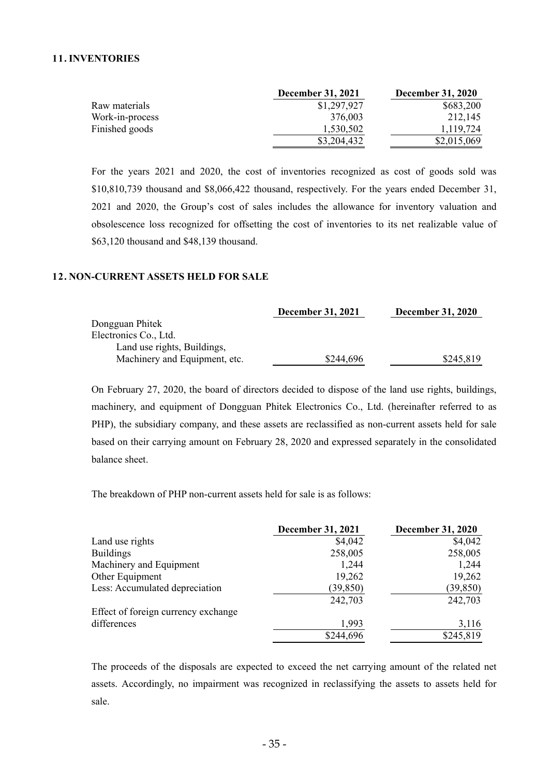#### **11. INVENTORIES**

|                 | <b>December 31, 2021</b> | <b>December 31, 2020</b> |
|-----------------|--------------------------|--------------------------|
| Raw materials   | \$1,297,927              | \$683,200                |
| Work-in-process | 376.003                  | 212.145                  |
| Finished goods  | 1,530,502                | 1.119.724                |
|                 | \$3,204,432              | \$2,015,069              |

For the years 2021 and 2020, the cost of inventories recognized as cost of goods sold was \$10,810,739 thousand and \$8,066,422 thousand, respectively. For the years ended December 31, 2021 and 2020, the Group's cost of sales includes the allowance for inventory valuation and obsolescence loss recognized for offsetting the cost of inventories to its net realizable value of \$63,120 thousand and \$48,139 thousand.

### **12. NON-CURRENT ASSETS HELD FOR SALE**

| <b>December 31, 2021</b> | <b>December 31, 2020</b> |
|--------------------------|--------------------------|
|                          |                          |
|                          |                          |
|                          |                          |
| \$244,696                | \$245,819                |
|                          |                          |

On February 27, 2020, the board of directors decided to dispose of the land use rights, buildings, machinery, and equipment of Dongguan Phitek Electronics Co., Ltd. (hereinafter referred to as PHP), the subsidiary company, and these assets are reclassified as non-current assets held for sale based on their carrying amount on February 28, 2020 and expressed separately in the consolidated balance sheet.

The breakdown of PHP non-current assets held for sale is as follows:

|                                     | <b>December 31, 2021</b> | <b>December 31, 2020</b> |
|-------------------------------------|--------------------------|--------------------------|
| Land use rights                     | \$4,042                  | \$4,042                  |
| <b>Buildings</b>                    | 258,005                  | 258,005                  |
| Machinery and Equipment             | 1,244                    | 1,244                    |
| Other Equipment                     | 19,262                   | 19,262                   |
| Less: Accumulated depreciation      | (39, 850)                | (39, 850)                |
|                                     | 242,703                  | 242,703                  |
| Effect of foreign currency exchange |                          |                          |
| differences                         | 1,993                    | 3,116                    |
|                                     | \$244,696                | \$245,819                |

The proceeds of the disposals are expected to exceed the net carrying amount of the related net assets. Accordingly, no impairment was recognized in reclassifying the assets to assets held for sale.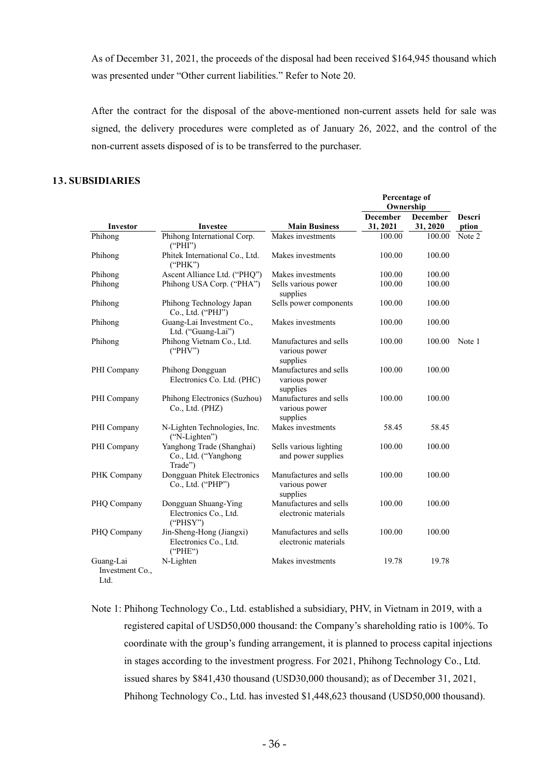As of December 31, 2021, the proceeds of the disposal had been received \$164,945 thousand which was presented under "Other current liabilities." Refer to Note 20.

After the contract for the disposal of the above-mentioned non-current assets held for sale was signed, the delivery procedures were completed as of January 26, 2022, and the control of the non-current assets disposed of is to be transferred to the purchaser.

**Percentage of** 

# **13. SUBSIDIARIES**

|                                      |                                                              |                                                     | 1 vrvenuge vr<br>Ownership |          |        |
|--------------------------------------|--------------------------------------------------------------|-----------------------------------------------------|----------------------------|----------|--------|
|                                      |                                                              |                                                     | <b>December</b>            | December | Descri |
| Investor                             | <b>Investee</b>                                              | <b>Main Business</b>                                | 31, 2021                   | 31, 2020 | ption  |
| Phihong                              | Phihong International Corp.<br>("PHI")                       | Makes investments                                   | 100.00                     | 100.00   | Note 2 |
| Phihong                              | Phitek International Co., Ltd.<br>("PHK")                    | Makes investments                                   | 100.00                     | 100.00   |        |
| Phihong                              | Ascent Alliance Ltd. ("PHQ")                                 | Makes investments                                   | 100.00                     | 100.00   |        |
| Phihong                              | Phihong USA Corp. ("PHA")                                    | Sells various power<br>supplies                     | 100.00                     | 100.00   |        |
| Phihong                              | Phihong Technology Japan<br>Co., Ltd. ("PHJ")                | Sells power components                              | 100.00                     | 100.00   |        |
| Phihong                              | Guang-Lai Investment Co.,<br>Ltd. ("Guang-Lai")              | Makes investments                                   | 100.00                     | 100.00   |        |
| Phihong                              | Phihong Vietnam Co., Ltd.<br>("PHV")                         | Manufactures and sells<br>various power<br>supplies | 100.00                     | 100.00   | Note 1 |
| PHI Company                          | Phihong Dongguan<br>Electronics Co. Ltd. (PHC)               | Manufactures and sells<br>various power<br>supplies | 100.00                     | 100.00   |        |
| PHI Company                          | Phihong Electronics (Suzhou)<br>Co., Ltd. (PHZ)              | Manufactures and sells<br>various power<br>supplies | 100.00                     | 100.00   |        |
| PHI Company                          | N-Lighten Technologies, Inc.<br>("N-Lighten")                | Makes investments                                   | 58.45                      | 58.45    |        |
| PHI Company                          | Yanghong Trade (Shanghai)<br>Co., Ltd. ("Yanghong<br>Trade") | Sells various lighting<br>and power supplies        | 100.00                     | 100.00   |        |
| PHK Company                          | Dongguan Phitek Electronics<br>Co., Ltd. ("PHP")             | Manufactures and sells<br>various power<br>supplies | 100.00                     | 100.00   |        |
| PHQ Company                          | Dongguan Shuang-Ying<br>Electronics Co., Ltd.<br>("PHSY")    | Manufactures and sells<br>electronic materials      | 100.00                     | 100.00   |        |
| PHQ Company                          | Jin-Sheng-Hong (Jiangxi)<br>Electronics Co., Ltd.<br>("PHE") | Manufactures and sells<br>electronic materials      | 100.00                     | 100.00   |        |
| Guang-Lai<br>Investment Co.,<br>Ltd. | N-Lighten                                                    | Makes investments                                   | 19.78                      | 19.78    |        |

Note 1: Phihong Technology Co., Ltd. established a subsidiary, PHV, in Vietnam in 2019, with a registered capital of USD50,000 thousand: the Company's shareholding ratio is 100%. To coordinate with the group's funding arrangement, it is planned to process capital injections in stages according to the investment progress. For 2021, Phihong Technology Co., Ltd. issued shares by \$841,430 thousand (USD30,000 thousand); as of December 31, 2021, Phihong Technology Co., Ltd. has invested \$1,448,623 thousand (USD50,000 thousand).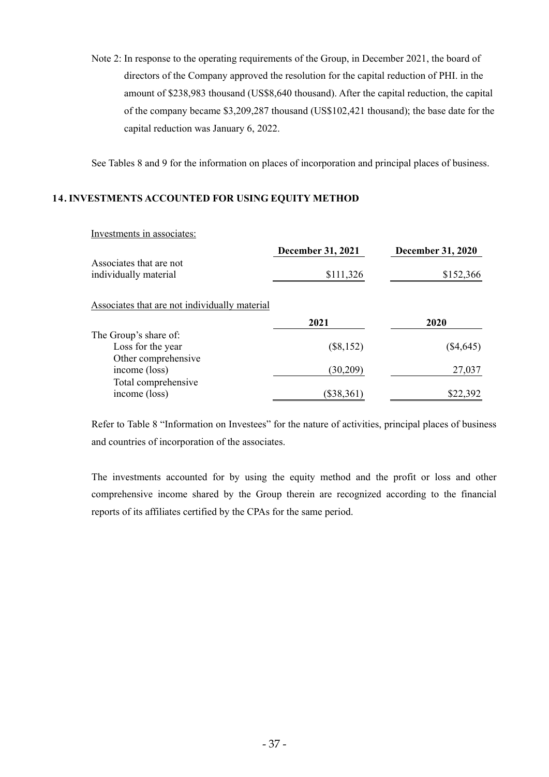Note 2: In response to the operating requirements of the Group, in December 2021, the board of directors of the Company approved the resolution for the capital reduction of PHI. in the amount of \$238,983 thousand (US\$8,640 thousand). After the capital reduction, the capital of the company became \$3,209,287 thousand (US\$102,421 thousand); the base date for the capital reduction was January 6, 2022.

See Tables 8 and 9 for the information on places of incorporation and principal places of business.

# **14. INVESTMENTS ACCOUNTED FOR USING EQUITY METHOD**

## Investments in associates:

|                                                  | <b>December 31, 2021</b> | <b>December 31, 2020</b> |
|--------------------------------------------------|--------------------------|--------------------------|
| Associates that are not<br>individually material | \$111,326                | \$152,366                |
| Associates that are not individually material    |                          |                          |
|                                                  | 2021                     | 2020                     |
| The Group's share of:                            |                          |                          |
| Loss for the year                                | $(\$8,152)$              | $(\$4,645)$              |
| Other comprehensive                              |                          |                          |
| income (loss)                                    | (30,209)                 | 27,037                   |
| Total comprehensive                              |                          |                          |
| income (loss)                                    | $(\$38,361)$             | \$22,392                 |

Refer to Table 8 "Information on Investees" for the nature of activities, principal places of business and countries of incorporation of the associates.

The investments accounted for by using the equity method and the profit or loss and other comprehensive income shared by the Group therein are recognized according to the financial reports of its affiliates certified by the CPAs for the same period.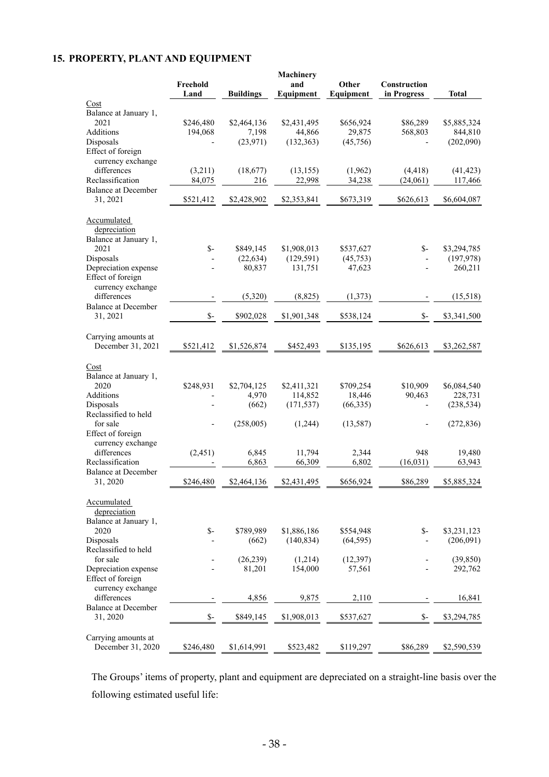# **15. PROPERTY, PLANT AND EQUIPMENT**

|                                           |                  |                  | Machinery        |                    |                             |              |
|-------------------------------------------|------------------|------------------|------------------|--------------------|-----------------------------|--------------|
|                                           | Freehold<br>Land | <b>Buildings</b> | and<br>Equipment | Other<br>Equipment | Construction<br>in Progress | <b>Total</b> |
| Cost                                      |                  |                  |                  |                    |                             |              |
| Balance at January 1,                     |                  |                  |                  |                    |                             |              |
| 2021                                      | \$246,480        | \$2,464,136      | \$2,431,495      | \$656,924          | \$86,289                    | \$5,885,324  |
| Additions                                 | 194,068          | 7,198            | 44,866           | 29,875             | 568,803                     | 844,810      |
| Disposals                                 |                  | (23, 971)        | (132, 363)       | (45,756)           |                             | (202,090)    |
| Effect of foreign                         |                  |                  |                  |                    |                             |              |
| currency exchange                         |                  |                  |                  |                    |                             |              |
| differences                               | (3,211)          | (18,677)         | (13, 155)        | (1,962)            | (4, 418)                    | (41, 423)    |
| Reclassification                          | 84,075           | 216              | 22,998           | 34,238             | (24,061)                    | 117,466      |
| <b>Balance at December</b><br>31, 2021    |                  | \$2,428,902      | \$2,353,841      | \$673,319          | \$626,613                   | \$6,604,087  |
|                                           | \$521,412        |                  |                  |                    |                             |              |
| Accumulated                               |                  |                  |                  |                    |                             |              |
| depreciation                              |                  |                  |                  |                    |                             |              |
| Balance at January 1,                     |                  |                  |                  |                    |                             |              |
| 2021                                      | $S-$             | \$849,145        | \$1,908,013      | \$537,627          | $S-$                        | \$3,294,785  |
| Disposals                                 |                  | (22, 634)        | (129, 591)       | (45, 753)          |                             | (197,978)    |
| Depreciation expense                      |                  | 80,837           | 131,751          | 47,623             | $\overline{\phantom{a}}$    | 260,211      |
| Effect of foreign                         |                  |                  |                  |                    |                             |              |
| currency exchange<br>differences          |                  | (5,320)          | (8, 825)         | (1,373)            |                             | (15,518)     |
| <b>Balance at December</b>                |                  |                  |                  |                    |                             |              |
| 31, 2021                                  | $S-$             | \$902,028        | \$1,901,348      | \$538,124          | $S-$                        | \$3,341,500  |
|                                           |                  |                  |                  |                    |                             |              |
| Carrying amounts at<br>December 31, 2021  | \$521,412        | \$1,526,874      | \$452,493        | \$135,195          | \$626,613                   | \$3,262,587  |
|                                           |                  |                  |                  |                    |                             |              |
| Cost                                      |                  |                  |                  |                    |                             |              |
| Balance at January 1,                     |                  |                  |                  |                    |                             |              |
| 2020                                      | \$248,931        | \$2,704,125      | \$2,411,321      | \$709,254          | \$10,909                    | \$6,084,540  |
| Additions                                 |                  | 4,970            | 114,852          | 18,446             | 90,463                      | 228,731      |
| Disposals                                 |                  | (662)            | (171, 537)       | (66,335)           |                             | (238, 534)   |
| Reclassified to held                      |                  |                  |                  |                    |                             |              |
| for sale                                  |                  | (258,005)        | (1,244)          | (13, 587)          |                             | (272, 836)   |
| Effect of foreign                         |                  |                  |                  |                    |                             |              |
| currency exchange                         |                  |                  |                  |                    |                             |              |
| differences                               | (2, 451)         | 6,845            | 11,794           | 2,344              | 948                         | 19,480       |
| Reclassification                          |                  | 6,863            | 66,309           | 6,802              | (16, 031)                   | 63,943       |
| <b>Balance at December</b><br>31, 2020    | \$246,480        | \$2,464,136      | \$2,431,495      | \$656,924          | \$86,289                    | \$5,885,324  |
|                                           |                  |                  |                  |                    |                             |              |
| Accumulated                               |                  |                  |                  |                    |                             |              |
| depreciation                              |                  |                  |                  |                    |                             |              |
| Balance at January 1,                     |                  |                  |                  |                    |                             |              |
| 2020                                      | $S-$             | \$789,989        | \$1,886,186      | \$554,948          | $S-$                        | \$3,231,123  |
| Disposals                                 |                  | (662)            | (140, 834)       | (64, 595)          |                             | (206,091)    |
| Reclassified to held                      |                  |                  |                  |                    |                             |              |
| for sale                                  |                  | (26, 239)        | (1,214)          | (12, 397)          |                             | (39, 850)    |
| Depreciation expense<br>Effect of foreign |                  | 81,201           | 154,000          | 57,561             |                             | 292,762      |
| currency exchange                         |                  |                  |                  |                    |                             |              |
| differences                               |                  | 4,856            | 9,875            | 2,110              |                             | 16,841       |
| <b>Balance at December</b>                |                  |                  |                  |                    |                             |              |
| 31, 2020                                  | $S-$             | \$849,145        | \$1,908,013      | \$537,627          | $S-$                        | \$3,294,785  |
|                                           |                  |                  |                  |                    |                             |              |
| Carrying amounts at                       |                  |                  |                  |                    |                             |              |
| December 31, 2020                         | \$246,480        | \$1,614,991      | \$523,482        | \$119,297          | \$86,289                    | \$2,590,539  |

The Groups' items of property, plant and equipment are depreciated on a straight-line basis over the following estimated useful life: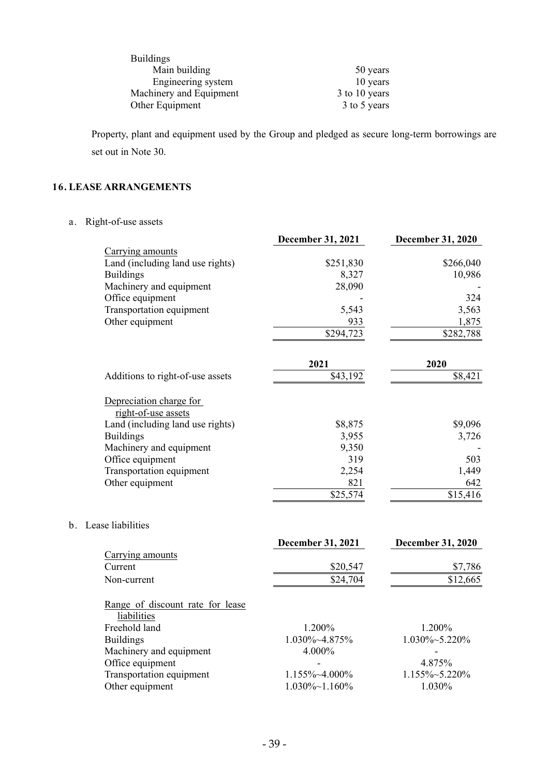| <b>Buildings</b>        |               |
|-------------------------|---------------|
| Main building           | 50 years      |
| Engineering system      | 10 years      |
| Machinery and Equipment | 3 to 10 years |
| Other Equipment         | 3 to 5 years  |

Property, plant and equipment used by the Group and pledged as secure long-term borrowings are set out in Note 30.

# **16. LEASE ARRANGEMENTS**

a. Right-of-use assets

|                                                                                    | <b>December 31, 2021</b> | <b>December 31, 2020</b> |
|------------------------------------------------------------------------------------|--------------------------|--------------------------|
| Carrying amounts                                                                   |                          |                          |
| Land (including land use rights)                                                   | \$251,830                | \$266,040                |
| <b>Buildings</b>                                                                   | 8,327                    | 10,986                   |
| Machinery and equipment                                                            | 28,090                   |                          |
| Office equipment                                                                   |                          | 324                      |
| Transportation equipment                                                           | 5,543                    | 3,563                    |
| Other equipment                                                                    | 933                      | 1,875                    |
|                                                                                    | \$294,723                | $\overline{$}282,788$    |
|                                                                                    | 2021                     | 2020                     |
| Additions to right-of-use assets                                                   | \$43,192                 | \$8,421                  |
| Depreciation charge for<br>right-of-use assets<br>Land (including land use rights) | \$8,875                  | \$9,096                  |
| <b>Buildings</b>                                                                   | 3,955                    | 3,726                    |
| Machinery and equipment                                                            | 9,350                    |                          |
| Office equipment                                                                   | 319                      | 503                      |
| Transportation equipment                                                           | 2,254                    | 1,449                    |
| Other equipment                                                                    | 821                      | 642                      |
|                                                                                    | \$25,574                 | \$15,416                 |
| b. Lease liabilities                                                               |                          |                          |
|                                                                                    | December 31, 2021        | <b>December 31, 2020</b> |
| Carrying amounts<br>Current                                                        |                          |                          |
|                                                                                    | \$20,547                 | \$7,786                  |
| Non-current                                                                        | \$24,704                 | \$12,665                 |
| Range of discount rate for lease<br>liabilities                                    |                          |                          |
| Freehold land                                                                      | 1.200%                   | 1.200%                   |
| <b>Buildings</b>                                                                   | 1.030%~4.875%            | 1.030%~5.220%            |
| Machinery and equipment                                                            | 4.000%                   | $\overline{\phantom{a}}$ |
| Office equipment                                                                   |                          | 4.875%                   |
| Transportation equipment                                                           | 1.155%~4.000%            | 1.155%~5.220%            |
| Other equipment                                                                    | $1.030\% \sim 1.160\%$   | 1.030%                   |
|                                                                                    |                          |                          |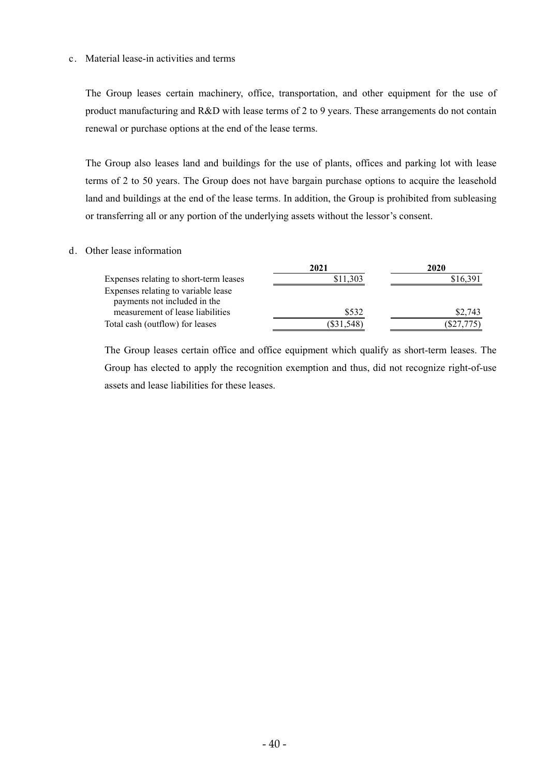#### c. Material lease-in activities and terms

The Group leases certain machinery, office, transportation, and other equipment for the use of product manufacturing and R&D with lease terms of 2 to 9 years. These arrangements do not contain renewal or purchase options at the end of the lease terms.

The Group also leases land and buildings for the use of plants, offices and parking lot with lease terms of 2 to 50 years. The Group does not have bargain purchase options to acquire the leasehold land and buildings at the end of the lease terms. In addition, the Group is prohibited from subleasing or transferring all or any portion of the underlying assets without the lessor's consent.

#### d. Other lease information

|                                                                     | 2021        | 2020      |
|---------------------------------------------------------------------|-------------|-----------|
| Expenses relating to short-term leases                              | \$11,303    | \$16,391  |
| Expenses relating to variable lease<br>payments not included in the |             |           |
| measurement of lease liabilities                                    | \$532       | \$2,743   |
| Total cash (outflow) for leases                                     | $\$31,548)$ | (S27,775) |

The Group leases certain office and office equipment which qualify as short-term leases. The Group has elected to apply the recognition exemption and thus, did not recognize right-of-use assets and lease liabilities for these leases.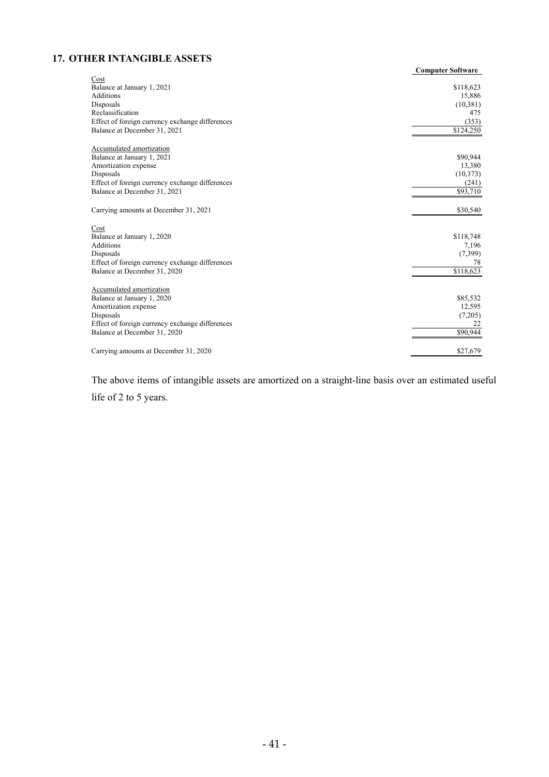# **17. OTHER INTANGIBLE ASSETS**

|                                                 | <b>Computer Software</b> |
|-------------------------------------------------|--------------------------|
| Cost<br>Balance at January 1, 2021              | \$118,623                |
| <b>Additions</b>                                | 15,886                   |
| Disposals                                       | (10, 381)                |
| Reclassification                                | 475                      |
| Effect of foreign currency exchange differences | (353)                    |
| Balance at December 31, 2021                    | \$124,250                |
|                                                 |                          |
| Accumulated amortization                        |                          |
| Balance at January 1, 2021                      | \$90,944                 |
| Amortization expense                            | 13,380                   |
| Disposals                                       | (10, 373)                |
| Effect of foreign currency exchange differences | (241)                    |
| Balance at December 31, 2021                    | \$93,710                 |
| Carrying amounts at December 31, 2021           | \$30,540                 |
| Cost                                            |                          |
| Balance at January 1, 2020                      | \$118,748                |
| Additions                                       | 7,196                    |
| Disposals                                       | (7,399)                  |
| Effect of foreign currency exchange differences | 78                       |
| Balance at December 31, 2020                    | \$118,623                |
| Accumulated amortization                        |                          |
| Balance at January 1, 2020                      | \$85,532                 |
| Amortization expense                            | 12,595                   |
| Disposals                                       | (7,205)                  |
| Effect of foreign currency exchange differences | 22                       |
| Balance at December 31, 2020                    | \$90.944                 |
| Carrying amounts at December 31, 2020           | \$27,679                 |

The above items of intangible assets are amortized on a straight-line basis over an estimated useful life of 2 to 5 years.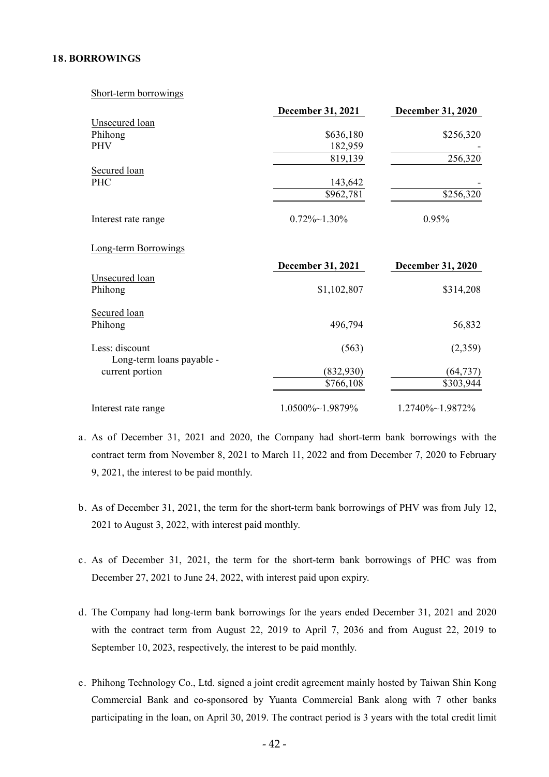#### **18. BORROWINGS**

Short-term borrowings

|                             | December 31, 2021    | December 31, 2020        |
|-----------------------------|----------------------|--------------------------|
| <b>Unsecured</b> loan       |                      |                          |
| Phihong                     | \$636,180            | \$256,320                |
| <b>PHV</b>                  | 182,959              |                          |
|                             | 819,139              | 256,320                  |
| Secured loan                |                      |                          |
| <b>PHC</b>                  | 143,642              |                          |
|                             | \$962,781            | \$256,320                |
| Interest rate range         | $0.72\% \sim 1.30\%$ | 0.95%                    |
| <b>Long-term Borrowings</b> |                      |                          |
|                             | December 31, 2021    | <b>December 31, 2020</b> |
| <b>Unsecured</b> loan       |                      |                          |
| Phihong                     | \$1,102,807          | \$314,208                |
| Secured loan                |                      |                          |
| Phihong                     | 496,794              | 56,832                   |
| Less: discount              | (563)                | (2,359)                  |
| Long-term loans payable -   |                      |                          |
| current portion             | (832,930)            | (64, 737)                |
|                             | \$766,108            | \$303,944                |
| Interest rate range         | 1.0500%~1.9879%      | 1.2740%~1.9872%          |

- a. As of December 31, 2021 and 2020, the Company had short-term bank borrowings with the contract term from November 8, 2021 to March 11, 2022 and from December 7, 2020 to February 9, 2021, the interest to be paid monthly.
- b. As of December 31, 2021, the term for the short-term bank borrowings of PHV was from July 12, 2021 to August 3, 2022, with interest paid monthly.
- c. As of December 31, 2021, the term for the short-term bank borrowings of PHC was from December 27, 2021 to June 24, 2022, with interest paid upon expiry.
- d. The Company had long-term bank borrowings for the years ended December 31, 2021 and 2020 with the contract term from August 22, 2019 to April 7, 2036 and from August 22, 2019 to September 10, 2023, respectively, the interest to be paid monthly.
- e. Phihong Technology Co., Ltd. signed a joint credit agreement mainly hosted by Taiwan Shin Kong Commercial Bank and co-sponsored by Yuanta Commercial Bank along with 7 other banks participating in the loan, on April 30, 2019. The contract period is 3 years with the total credit limit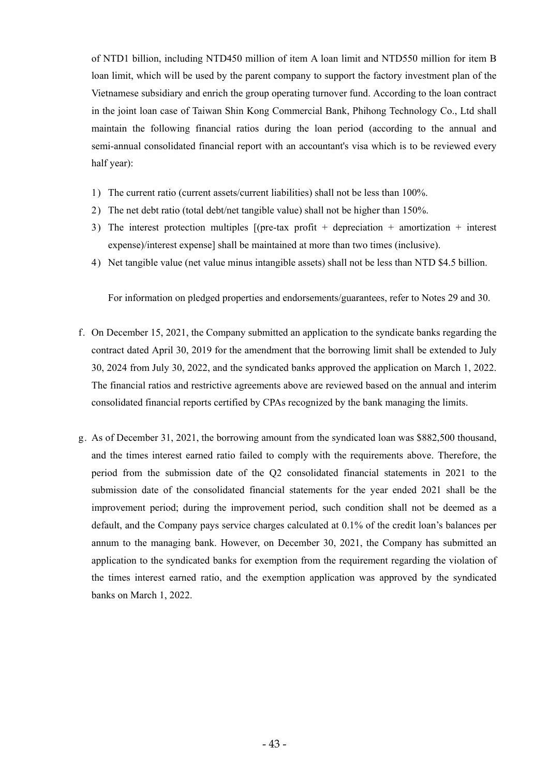of NTD1 billion, including NTD450 million of item A loan limit and NTD550 million for item B loan limit, which will be used by the parent company to support the factory investment plan of the Vietnamese subsidiary and enrich the group operating turnover fund. According to the loan contract in the joint loan case of Taiwan Shin Kong Commercial Bank, Phihong Technology Co., Ltd shall maintain the following financial ratios during the loan period (according to the annual and semi-annual consolidated financial report with an accountant's visa which is to be reviewed every half year):

- 1) The current ratio (current assets/current liabilities) shall not be less than 100%.
- 2) The net debt ratio (total debt/net tangible value) shall not be higher than 150%.
- 3) The interest protection multiples [(pre-tax profit + depreciation + amortization + interest expense)/interest expense] shall be maintained at more than two times (inclusive).
- 4) Net tangible value (net value minus intangible assets) shall not be less than NTD \$4.5 billion.

For information on pledged properties and endorsements/guarantees, refer to Notes 29 and 30.

- f. On December 15, 2021, the Company submitted an application to the syndicate banks regarding the contract dated April 30, 2019 for the amendment that the borrowing limit shall be extended to July 30, 2024 from July 30, 2022, and the syndicated banks approved the application on March 1, 2022. The financial ratios and restrictive agreements above are reviewed based on the annual and interim consolidated financial reports certified by CPAs recognized by the bank managing the limits.
- g. As of December 31, 2021, the borrowing amount from the syndicated loan was \$882,500 thousand, and the times interest earned ratio failed to comply with the requirements above. Therefore, the period from the submission date of the Q2 consolidated financial statements in 2021 to the submission date of the consolidated financial statements for the year ended 2021 shall be the improvement period; during the improvement period, such condition shall not be deemed as a default, and the Company pays service charges calculated at 0.1% of the credit loan's balances per annum to the managing bank. However, on December 30, 2021, the Company has submitted an application to the syndicated banks for exemption from the requirement regarding the violation of the times interest earned ratio, and the exemption application was approved by the syndicated banks on March 1, 2022.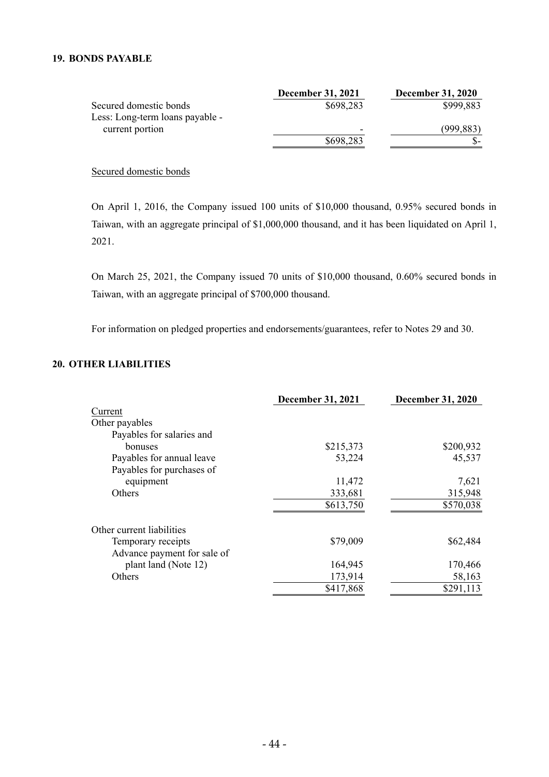## **19. BONDS PAYABLE**

|                                 | <b>December 31, 2021</b> | <b>December 31, 2020</b> |
|---------------------------------|--------------------------|--------------------------|
| Secured domestic bonds          | \$698,283                | \$999,883                |
| Less: Long-term loans payable - |                          |                          |
| current portion                 | -                        | (999, 883)               |
|                                 | \$698,283                |                          |

Secured domestic bonds

On April 1, 2016, the Company issued 100 units of \$10,000 thousand, 0.95% secured bonds in Taiwan, with an aggregate principal of \$1,000,000 thousand, and it has been liquidated on April 1, 2021.

On March 25, 2021, the Company issued 70 units of \$10,000 thousand, 0.60% secured bonds in Taiwan, with an aggregate principal of \$700,000 thousand.

For information on pledged properties and endorsements/guarantees, refer to Notes 29 and 30.

# **20. OTHER LIABILITIES**

|                             | <b>December 31, 2021</b> | <b>December 31, 2020</b> |
|-----------------------------|--------------------------|--------------------------|
| Current                     |                          |                          |
| Other payables              |                          |                          |
| Payables for salaries and   |                          |                          |
| bonuses                     | \$215,373                | \$200,932                |
| Payables for annual leave   | 53,224                   | 45,537                   |
| Payables for purchases of   |                          |                          |
| equipment                   | 11,472                   | 7,621                    |
| Others                      | 333,681                  | 315,948                  |
|                             | \$613,750                | \$570,038                |
| Other current liabilities   |                          |                          |
| Temporary receipts          | \$79,009                 | \$62,484                 |
| Advance payment for sale of |                          |                          |
| plant land (Note 12)        | 164,945                  | 170,466                  |
| Others                      | 173,914                  | 58,163                   |
|                             | \$417,868                | \$291,113                |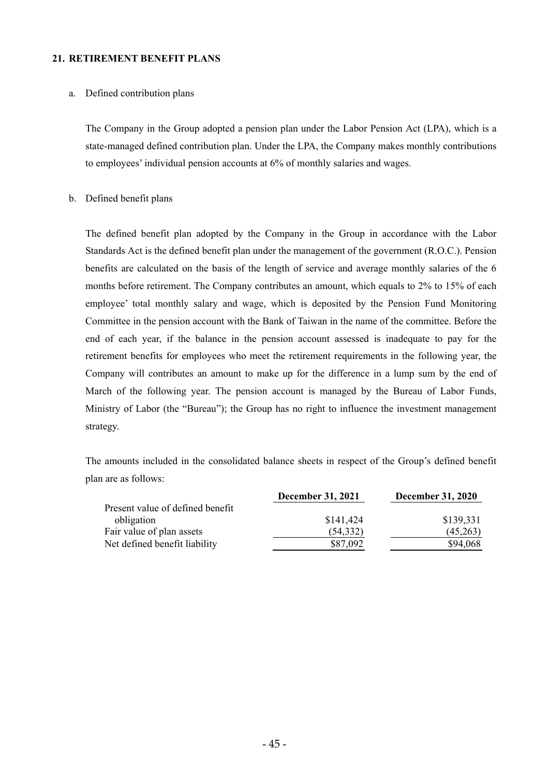#### **21. RETIREMENT BENEFIT PLANS**

#### a. Defined contribution plans

The Company in the Group adopted a pension plan under the Labor Pension Act (LPA), which is a state-managed defined contribution plan. Under the LPA, the Company makes monthly contributions to employees' individual pension accounts at 6% of monthly salaries and wages.

#### b. Defined benefit plans

The defined benefit plan adopted by the Company in the Group in accordance with the Labor Standards Act is the defined benefit plan under the management of the government (R.O.C.). Pension benefits are calculated on the basis of the length of service and average monthly salaries of the 6 months before retirement. The Company contributes an amount, which equals to 2% to 15% of each employee' total monthly salary and wage, which is deposited by the Pension Fund Monitoring Committee in the pension account with the Bank of Taiwan in the name of the committee. Before the end of each year, if the balance in the pension account assessed is inadequate to pay for the retirement benefits for employees who meet the retirement requirements in the following year, the Company will contributes an amount to make up for the difference in a lump sum by the end of March of the following year. The pension account is managed by the Bureau of Labor Funds, Ministry of Labor (the "Bureau"); the Group has no right to influence the investment management strategy.

The amounts included in the consolidated balance sheets in respect of the Group's defined benefit plan are as follows:

|                                  | <b>December 31, 2021</b> | <b>December 31, 2020</b> |
|----------------------------------|--------------------------|--------------------------|
| Present value of defined benefit |                          |                          |
| obligation                       | \$141,424                | \$139,331                |
| Fair value of plan assets        | (54, 332)                | (45,263)                 |
| Net defined benefit liability    | \$87,092                 | \$94,068                 |
|                                  |                          |                          |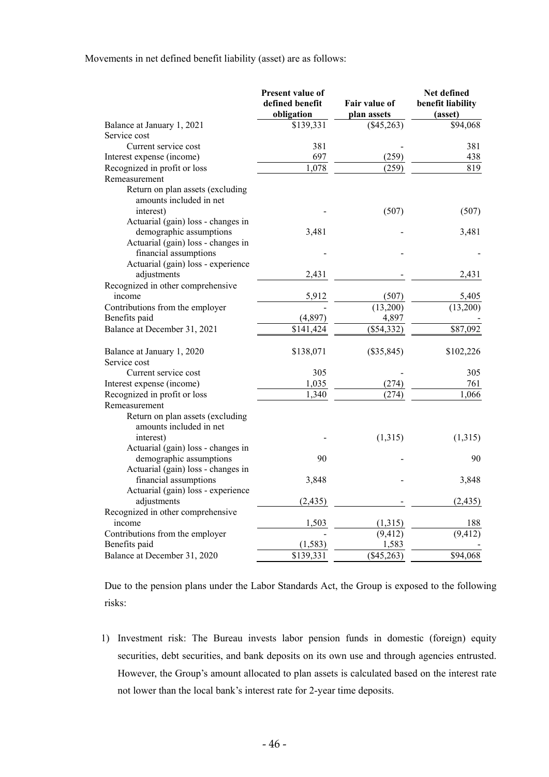Movements in net defined benefit liability (asset) are as follows:

|                                    | Present value of<br>defined benefit<br>obligation | <b>Fair value of</b><br>plan assets | Net defined<br>benefit liability<br>(asset) |
|------------------------------------|---------------------------------------------------|-------------------------------------|---------------------------------------------|
| Balance at January 1, 2021         | \$139,331                                         | (\$45,263)                          | \$94,068                                    |
| Service cost                       |                                                   |                                     |                                             |
| Current service cost               | 381                                               |                                     | 381                                         |
| Interest expense (income)          | 697                                               | (259)                               | 438                                         |
| Recognized in profit or loss       | 1,078                                             | (259)                               | 819                                         |
| Remeasurement                      |                                                   |                                     |                                             |
| Return on plan assets (excluding   |                                                   |                                     |                                             |
| amounts included in net            |                                                   |                                     |                                             |
| interest)                          |                                                   | (507)                               | (507)                                       |
| Actuarial (gain) loss - changes in |                                                   |                                     |                                             |
| demographic assumptions            | 3,481                                             |                                     | 3,481                                       |
| Actuarial (gain) loss - changes in |                                                   |                                     |                                             |
| financial assumptions              |                                                   |                                     |                                             |
| Actuarial (gain) loss - experience |                                                   |                                     |                                             |
| adjustments                        | 2,431                                             |                                     | 2,431                                       |
| Recognized in other comprehensive  |                                                   |                                     |                                             |
| income                             | 5,912                                             | (507)                               | 5,405                                       |
| Contributions from the employer    |                                                   | (13,200)                            | (13,200)                                    |
| Benefits paid                      | (4, 897)                                          | 4,897                               |                                             |
| Balance at December 31, 2021       | \$141,424                                         | (\$54,332)                          | \$87,092                                    |
| Balance at January 1, 2020         | \$138,071                                         | $(\$35,845)$                        | \$102,226                                   |
| Service cost                       |                                                   |                                     |                                             |
| Current service cost               | 305                                               |                                     | 305                                         |
| Interest expense (income)          | 1,035                                             | (274)                               | 761                                         |
| Recognized in profit or loss       | 1,340                                             | (274)                               | 1,066                                       |
| Remeasurement                      |                                                   |                                     |                                             |
| Return on plan assets (excluding   |                                                   |                                     |                                             |
| amounts included in net            |                                                   |                                     |                                             |
| interest)                          |                                                   | (1,315)                             | (1,315)                                     |
| Actuarial (gain) loss - changes in |                                                   |                                     |                                             |
| demographic assumptions            | 90                                                |                                     | 90                                          |
| Actuarial (gain) loss - changes in |                                                   |                                     |                                             |
| financial assumptions              | 3,848                                             |                                     | 3,848                                       |
| Actuarial (gain) loss - experience |                                                   |                                     |                                             |
| adjustments                        | (2, 435)                                          |                                     | (2, 435)                                    |
| Recognized in other comprehensive  |                                                   |                                     |                                             |
| income                             | 1,503                                             | (1,315)                             | 188                                         |
| Contributions from the employer    |                                                   | (9, 412)                            | (9, 412)                                    |
| Benefits paid                      | (1, 583)                                          | 1,583                               |                                             |
| Balance at December 31, 2020       | \$139,331                                         | (\$45,263)                          | \$94,068                                    |

Due to the pension plans under the Labor Standards Act, the Group is exposed to the following risks:

1) Investment risk: The Bureau invests labor pension funds in domestic (foreign) equity securities, debt securities, and bank deposits on its own use and through agencies entrusted. However, the Group's amount allocated to plan assets is calculated based on the interest rate not lower than the local bank's interest rate for 2-year time deposits.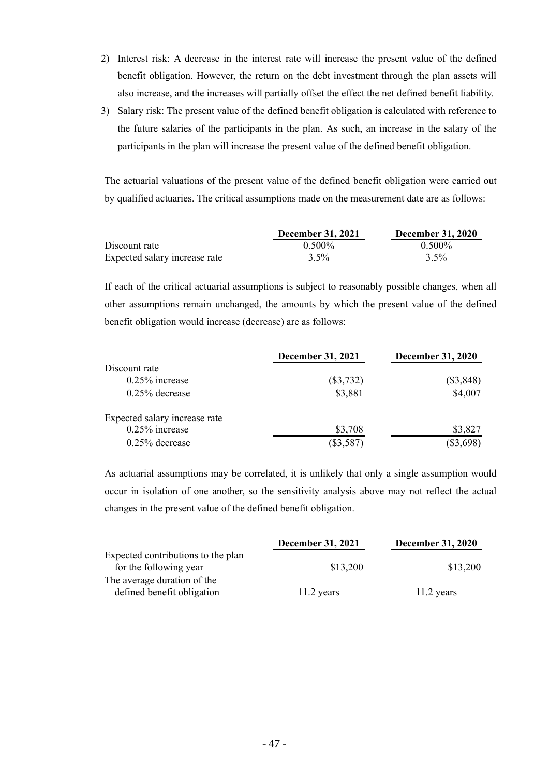- 2) Interest risk: A decrease in the interest rate will increase the present value of the defined benefit obligation. However, the return on the debt investment through the plan assets will also increase, and the increases will partially offset the effect the net defined benefit liability.
- 3) Salary risk: The present value of the defined benefit obligation is calculated with reference to the future salaries of the participants in the plan. As such, an increase in the salary of the participants in the plan will increase the present value of the defined benefit obligation.

The actuarial valuations of the present value of the defined benefit obligation were carried out by qualified actuaries. The critical assumptions made on the measurement date are as follows:

|                               | <b>December 31, 2021</b> | <b>December 31, 2020</b> |
|-------------------------------|--------------------------|--------------------------|
| Discount rate                 | $0.500\%$                | $0.500\%$                |
| Expected salary increase rate | $3.5\%$                  | $3.5\%$                  |

If each of the critical actuarial assumptions is subject to reasonably possible changes, when all other assumptions remain unchanged, the amounts by which the present value of the defined benefit obligation would increase (decrease) are as follows:

|                               | <b>December 31, 2021</b> | <b>December 31, 2020</b> |
|-------------------------------|--------------------------|--------------------------|
| Discount rate                 |                          |                          |
| $0.25\%$ increase             | $($ \$3,732)             | \$3,848                  |
| $0.25\%$ decrease             | \$3,881                  | \$4,007                  |
| Expected salary increase rate |                          |                          |
| $0.25\%$ increase             | \$3,708                  | \$3,827                  |
| $0.25\%$ decrease             | \$3,587                  | \$3,698                  |

As actuarial assumptions may be correlated, it is unlikely that only a single assumption would occur in isolation of one another, so the sensitivity analysis above may not reflect the actual changes in the present value of the defined benefit obligation.

|                                    | December 31, 2021 | <b>December 31, 2020</b> |
|------------------------------------|-------------------|--------------------------|
| Expected contributions to the plan |                   |                          |
| for the following year             | \$13,200          | \$13,200                 |
| The average duration of the        |                   |                          |
| defined benefit obligation         | $11.2$ years      | $11.2$ years             |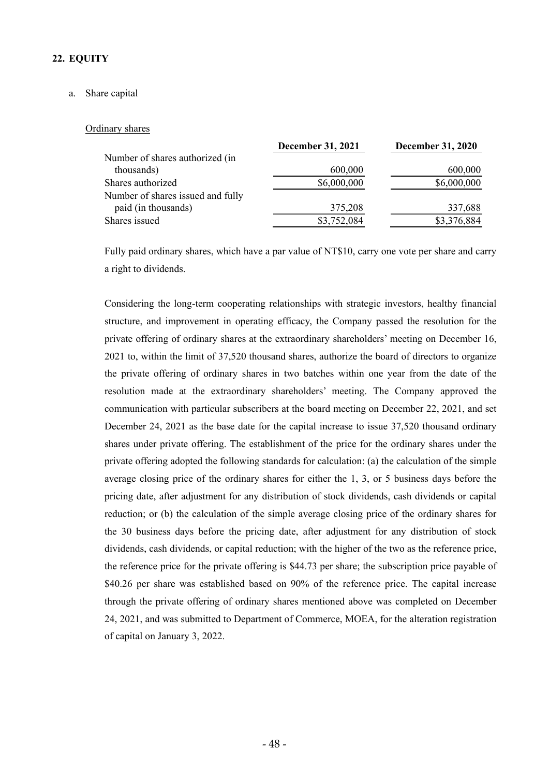# **22. EQUITY**

## a. Share capital

#### Ordinary shares

|                                   | <b>December 31, 2021</b> | <b>December 31, 2020</b> |
|-----------------------------------|--------------------------|--------------------------|
| Number of shares authorized (in   |                          |                          |
| thousands)                        | 600,000                  | 600,000                  |
| Shares authorized                 | \$6,000,000              | \$6,000,000              |
| Number of shares issued and fully |                          |                          |
| paid (in thousands)               | 375,208                  | 337,688                  |
| Shares issued                     | \$3,752,084              | \$3,376,884              |
|                                   |                          |                          |

Fully paid ordinary shares, which have a par value of NT\$10, carry one vote per share and carry a right to dividends.

Considering the long-term cooperating relationships with strategic investors, healthy financial structure, and improvement in operating efficacy, the Company passed the resolution for the private offering of ordinary shares at the extraordinary shareholders' meeting on December 16, 2021 to, within the limit of 37,520 thousand shares, authorize the board of directors to organize the private offering of ordinary shares in two batches within one year from the date of the resolution made at the extraordinary shareholders' meeting. The Company approved the communication with particular subscribers at the board meeting on December 22, 2021, and set December 24, 2021 as the base date for the capital increase to issue 37,520 thousand ordinary shares under private offering. The establishment of the price for the ordinary shares under the private offering adopted the following standards for calculation: (a) the calculation of the simple average closing price of the ordinary shares for either the 1, 3, or 5 business days before the pricing date, after adjustment for any distribution of stock dividends, cash dividends or capital reduction; or (b) the calculation of the simple average closing price of the ordinary shares for the 30 business days before the pricing date, after adjustment for any distribution of stock dividends, cash dividends, or capital reduction; with the higher of the two as the reference price, the reference price for the private offering is \$44.73 per share; the subscription price payable of \$40.26 per share was established based on 90% of the reference price. The capital increase through the private offering of ordinary shares mentioned above was completed on December 24, 2021, and was submitted to Department of Commerce, MOEA, for the alteration registration of capital on January 3, 2022.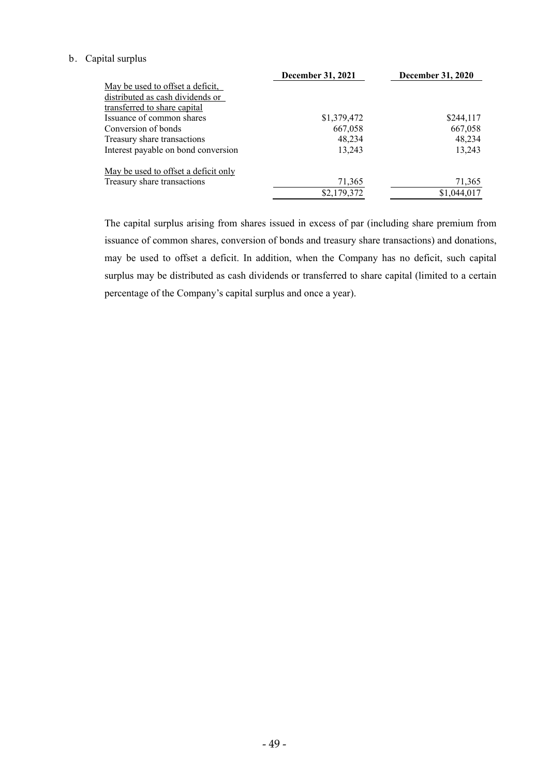## b. Capital surplus

|                                             | December 31, 2021 | <b>December 31, 2020</b> |
|---------------------------------------------|-------------------|--------------------------|
| May be used to offset a deficit,            |                   |                          |
| distributed as cash dividends or            |                   |                          |
| transferred to share capital                |                   |                          |
| Issuance of common shares                   | \$1,379,472       | \$244,117                |
| Conversion of bonds                         | 667,058           | 667,058                  |
| Treasury share transactions                 | 48.234            | 48,234                   |
| Interest payable on bond conversion         | 13.243            | 13,243                   |
| <u>May be used to offset a deficit only</u> |                   |                          |
| Treasury share transactions                 | 71,365            | 71,365                   |
|                                             | \$2,179,372       | \$1,044,017              |

The capital surplus arising from shares issued in excess of par (including share premium from issuance of common shares, conversion of bonds and treasury share transactions) and donations, may be used to offset a deficit. In addition, when the Company has no deficit, such capital surplus may be distributed as cash dividends or transferred to share capital (limited to a certain percentage of the Company's capital surplus and once a year).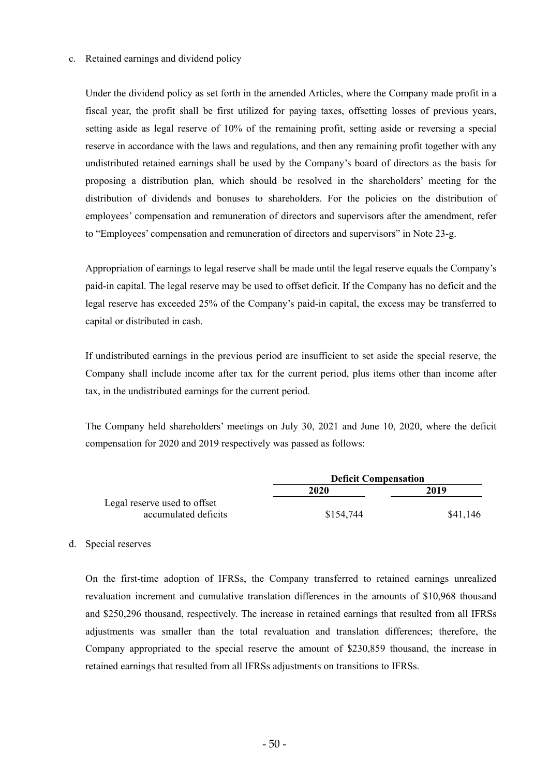#### c. Retained earnings and dividend policy

Under the dividend policy as set forth in the amended Articles, where the Company made profit in a fiscal year, the profit shall be first utilized for paying taxes, offsetting losses of previous years, setting aside as legal reserve of 10% of the remaining profit, setting aside or reversing a special reserve in accordance with the laws and regulations, and then any remaining profit together with any undistributed retained earnings shall be used by the Company's board of directors as the basis for proposing a distribution plan, which should be resolved in the shareholders' meeting for the distribution of dividends and bonuses to shareholders. For the policies on the distribution of employees' compensation and remuneration of directors and supervisors after the amendment, refer to "Employees' compensation and remuneration of directors and supervisors" in Note 23-g.

Appropriation of earnings to legal reserve shall be made until the legal reserve equals the Company's paid-in capital. The legal reserve may be used to offset deficit. If the Company has no deficit and the legal reserve has exceeded 25% of the Company's paid-in capital, the excess may be transferred to capital or distributed in cash.

If undistributed earnings in the previous period are insufficient to set aside the special reserve, the Company shall include income after tax for the current period, plus items other than income after tax, in the undistributed earnings for the current period.

The Company held shareholders' meetings on July 30, 2021 and June 10, 2020, where the deficit compensation for 2020 and 2019 respectively was passed as follows:

|                              | <b>Deficit Compensation</b> |          |
|------------------------------|-----------------------------|----------|
|                              | 2020                        | 2019     |
| Legal reserve used to offset |                             |          |
| accumulated deficits         | \$154,744                   | \$41,146 |

#### d. Special reserves

On the first-time adoption of IFRSs, the Company transferred to retained earnings unrealized revaluation increment and cumulative translation differences in the amounts of \$10,968 thousand and \$250,296 thousand, respectively. The increase in retained earnings that resulted from all IFRSs adjustments was smaller than the total revaluation and translation differences; therefore, the Company appropriated to the special reserve the amount of \$230,859 thousand, the increase in retained earnings that resulted from all IFRSs adjustments on transitions to IFRSs.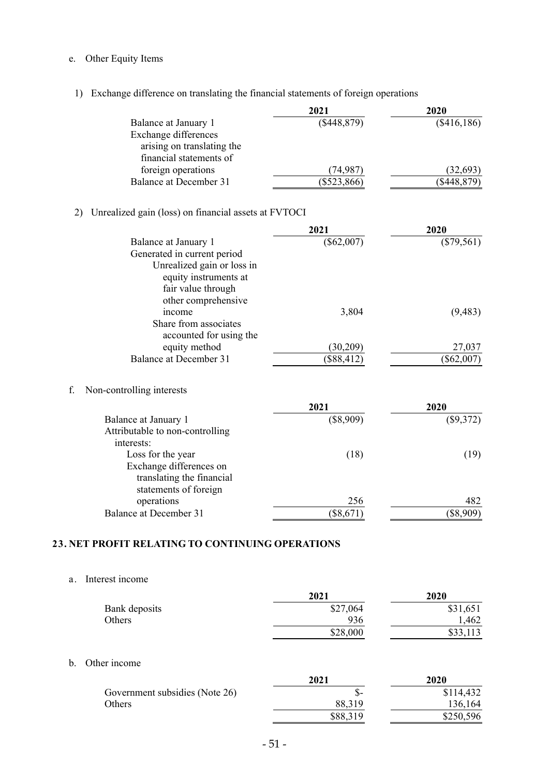# e. Other Equity Items

# 1) Exchange difference on translating the financial statements of foreign operations

|                               | 2021          | 2020        |
|-------------------------------|---------------|-------------|
| Balance at January 1          | (\$448,879)   | (\$416,186) |
| Exchange differences          |               |             |
| arising on translating the    |               |             |
| financial statements of       |               |             |
| foreign operations            | (74.987)      | (32,693)    |
| <b>Balance at December 31</b> | $(\$523,866)$ | (\$448,879) |

# 2) Unrealized gain (loss) on financial assets at FVTOCI

|                                 | 2021         | 2020         |
|---------------------------------|--------------|--------------|
| Balance at January 1            | $(\$62,007)$ | $(\$79,561)$ |
| Generated in current period     |              |              |
| Unrealized gain or loss in      |              |              |
| equity instruments at           |              |              |
| fair value through              |              |              |
| other comprehensive             |              |              |
| income                          | 3,804        | (9, 483)     |
| Share from associates           |              |              |
| accounted for using the         |              |              |
| equity method                   | (30, 209)    | 27,037       |
| Balance at December 31          | $(\$88,412)$ | $(\$62,007)$ |
|                                 |              |              |
| Non-controlling interests<br>f. |              |              |
|                                 | 2021         | 2020.        |

|                                 | 2021        | 2020        |
|---------------------------------|-------------|-------------|
| Balance at January 1            | $(\$8,909)$ | $(\$9,372)$ |
| Attributable to non-controlling |             |             |
| interests:                      |             |             |
| Loss for the year               | (18)        | (19)        |
| Exchange differences on         |             |             |
| translating the financial       |             |             |
| statements of foreign           |             |             |
| operations                      | 256         | 482         |
| Balance at December 31          | \$8,671     | \$8,909     |
|                                 |             |             |

# **23. NET PROFIT RELATING TO CONTINUING OPERATIONS**

a. Interest income

|               | 2021     | 2020     |
|---------------|----------|----------|
| Bank deposits | \$27,064 | \$31,651 |
| Others        | 936      | ,462     |
|               | \$28,000 | \$33,113 |
|               |          |          |

# b. Other income

|                                | 2021     | 2020      |
|--------------------------------|----------|-----------|
| Government subsidies (Note 26) | .১-      | \$114,432 |
| Others                         | 88,319   | 136,164   |
|                                | \$88,319 | \$250,596 |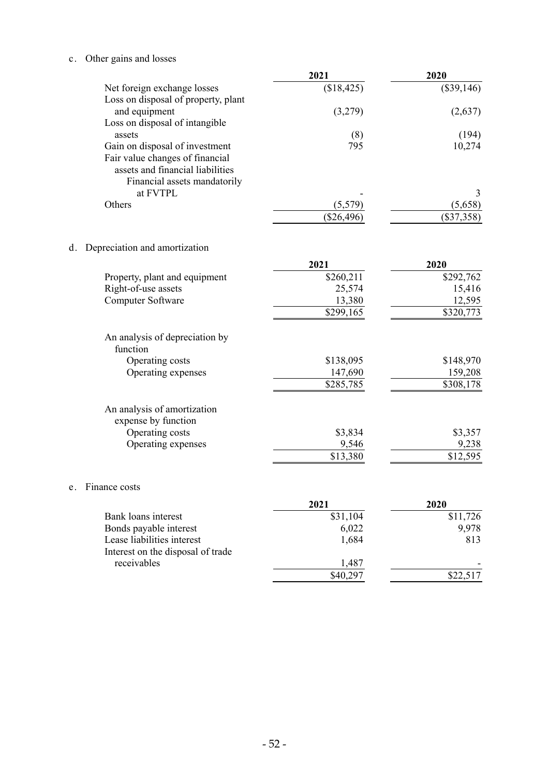c. Other gains and losses

 ${\bf e}$  .

|                                            | 2021         | 2020         |
|--------------------------------------------|--------------|--------------|
| Net foreign exchange losses                | (\$18,425)   | $(\$39,146)$ |
| Loss on disposal of property, plant        |              |              |
| and equipment                              | (3,279)      | (2,637)      |
| Loss on disposal of intangible             |              |              |
| assets                                     | (8)          | (194)        |
| Gain on disposal of investment             | 795          | 10,274       |
| Fair value changes of financial            |              |              |
| assets and financial liabilities           |              |              |
| Financial assets mandatorily               |              |              |
| at FVTPL                                   |              | 3            |
| Others                                     | (5,579)      | (5,658)      |
|                                            | $(\$26,496)$ | $(\$37,358)$ |
|                                            |              |              |
| Depreciation and amortization<br>d.        |              |              |
|                                            | 2021         | 2020         |
| Property, plant and equipment              | \$260,211    | \$292,762    |
| Right-of-use assets                        | 25,574       | 15,416       |
| Computer Software                          | 13,380       | 12,595       |
|                                            | \$299,165    | \$320,773    |
| An analysis of depreciation by<br>function |              |              |
| Operating costs                            | \$138,095    | \$148,970    |
| Operating expenses                         | 147,690      | 159,208      |
|                                            | \$285,785    | \$308,178    |
| An analysis of amortization                |              |              |
| expense by function                        |              |              |
| Operating costs                            | \$3,834      | \$3,357      |
| Operating expenses                         | 9,546        | 9,238        |
|                                            | \$13,380     | \$12,595     |
| Finance costs<br>e.                        |              |              |
|                                            | 2021         | 2020         |

|                                   | 2021     | 2020     |
|-----------------------------------|----------|----------|
| Bank loans interest               | \$31,104 | \$11,726 |
| Bonds payable interest            | 6,022    | 9.978    |
| Lease liabilities interest        | 1,684    | 813      |
| Interest on the disposal of trade |          |          |
| receivables                       | 1,487    |          |
|                                   | \$40,297 | \$22,517 |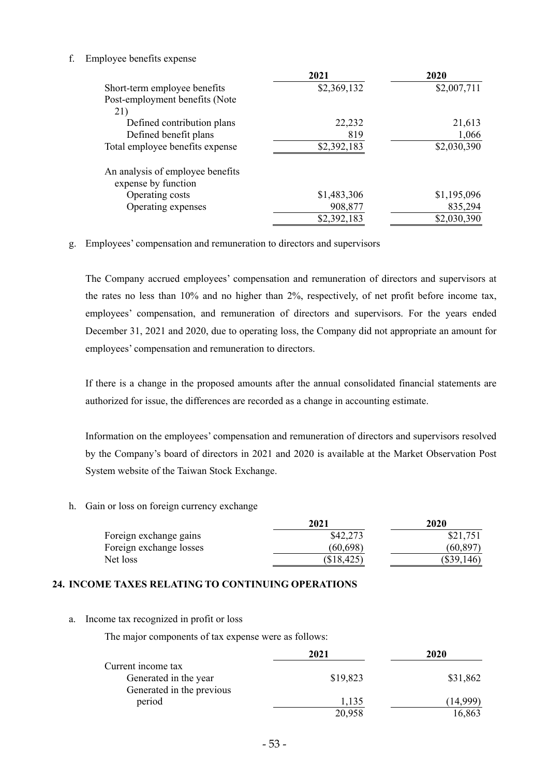## f. Employee benefits expense

|                                                         | 2021        | 2020        |
|---------------------------------------------------------|-------------|-------------|
| Short-term employee benefits                            | \$2,369,132 | \$2,007,711 |
| Post-employment benefits (Note                          |             |             |
| 21)                                                     |             |             |
| Defined contribution plans                              | 22,232      | 21,613      |
| Defined benefit plans                                   | 819         | 1,066       |
| Total employee benefits expense                         | \$2,392,183 | \$2,030,390 |
| An analysis of employee benefits<br>expense by function |             |             |
| Operating costs                                         | \$1,483,306 | \$1,195,096 |
| Operating expenses                                      | 908,877     | 835,294     |
|                                                         | \$2,392,183 | \$2,030,390 |

## g. Employees' compensation and remuneration to directors and supervisors

The Company accrued employees' compensation and remuneration of directors and supervisors at the rates no less than 10% and no higher than 2%, respectively, of net profit before income tax, employees' compensation, and remuneration of directors and supervisors. For the years ended December 31, 2021 and 2020, due to operating loss, the Company did not appropriate an amount for employees' compensation and remuneration to directors.

If there is a change in the proposed amounts after the annual consolidated financial statements are authorized for issue, the differences are recorded as a change in accounting estimate.

Information on the employees' compensation and remuneration of directors and supervisors resolved by the Company's board of directors in 2021 and 2020 is available at the Market Observation Post System website of the Taiwan Stock Exchange.

h. Gain or loss on foreign currency exchange

|                         | 2021       | 2020         |
|-------------------------|------------|--------------|
| Foreign exchange gains  | \$42,273   | \$21,751     |
| Foreign exchange losses | (60, 698)  | (60, 897)    |
| Net loss                | (\$18,425) | $(\$39,146)$ |

# **24. INCOME TAXES RELATING TO CONTINUING OPERATIONS**

a. Income tax recognized in profit or loss

The major components of tax expense were as follows:

|                           | 2021     | 2020     |
|---------------------------|----------|----------|
| Current income tax        |          |          |
| Generated in the year     | \$19,823 | \$31,862 |
| Generated in the previous |          |          |
| period                    | 1,135    | (14,999) |
|                           | 20,958   | 16,863   |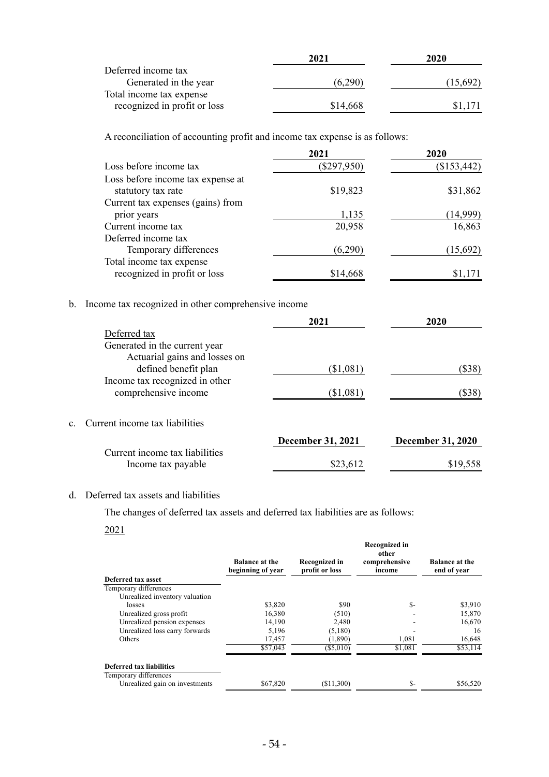|                              | 2021     | 2020     |
|------------------------------|----------|----------|
| Deferred income tax          |          |          |
| Generated in the year        | (6,290)  | (15,692) |
| Total income tax expense     |          |          |
| recognized in profit or loss | \$14,668 | \$1.171  |

A reconciliation of accounting profit and income tax expense is as follows:

|                                                          | 2021          | 2020        |
|----------------------------------------------------------|---------------|-------------|
| Loss before income tax                                   | $(\$297,950)$ | (\$153,442) |
| Loss before income tax expense at<br>statutory tax rate  | \$19,823      | \$31,862    |
| Current tax expenses (gains) from                        |               |             |
| prior years                                              | 1,135         | (14,999)    |
| Current income tax                                       | 20,958        | 16,863      |
| Deferred income tax                                      |               |             |
| Temporary differences                                    | (6,290)       | (15,692)    |
| Total income tax expense<br>recognized in profit or loss | \$14,668      | \$1,171     |
|                                                          |               |             |

## b. Income tax recognized in other comprehensive income

|              |                                | 2021                     | 2020                     |
|--------------|--------------------------------|--------------------------|--------------------------|
|              | Deferred tax                   |                          |                          |
|              | Generated in the current year  |                          |                          |
|              | Actuarial gains and losses on  |                          |                          |
|              | defined benefit plan           | (\$1,081)                | $(\$38)$                 |
|              | Income tax recognized in other |                          |                          |
|              | comprehensive income           | (\$1,081)                | $(\$38)$                 |
|              |                                |                          |                          |
| $\mathbf{c}$ | Current income tax liabilities |                          |                          |
|              |                                | <b>December 31, 2021</b> | <b>December 31, 2020</b> |
|              | Current income tax liabilities |                          |                          |
|              | Income tax payable             | \$23,612                 | \$19,558                 |

## d. Deferred tax assets and liabilities

The changes of deferred tax assets and deferred tax liabilities are as follows:

#### 2021

|                                | <b>Balance at the</b><br>beginning of year | Recognized in<br>profit or loss | Recognized in<br>other<br>comprehensive<br>income | <b>Balance at the</b><br>end of year |
|--------------------------------|--------------------------------------------|---------------------------------|---------------------------------------------------|--------------------------------------|
| Deferred tax asset             |                                            |                                 |                                                   |                                      |
| Temporary differences          |                                            |                                 |                                                   |                                      |
| Unrealized inventory valuation |                                            |                                 |                                                   |                                      |
| losses                         | \$3,820                                    | \$90                            | \$-                                               | \$3,910                              |
| Unrealized gross profit        | 16,380                                     | (510)                           |                                                   | 15,870                               |
| Unrealized pension expenses    | 14,190                                     | 2,480                           |                                                   | 16,670                               |
| Unrealized loss carry forwards | 5,196                                      | (5,180)                         |                                                   | 16                                   |
| <b>Others</b>                  | 17,457                                     | (1,890)                         | 1,081                                             | 16,648                               |
|                                | \$57,043                                   | $(\$5,010)$                     | $$1,\overline{081}$                               | \$53,114                             |
| Deferred tax liabilities       |                                            |                                 |                                                   |                                      |
| Temporary differences          |                                            |                                 |                                                   |                                      |
| Unrealized gain on investments | \$67,820                                   | (\$11,300)                      | \$-                                               | \$56,520                             |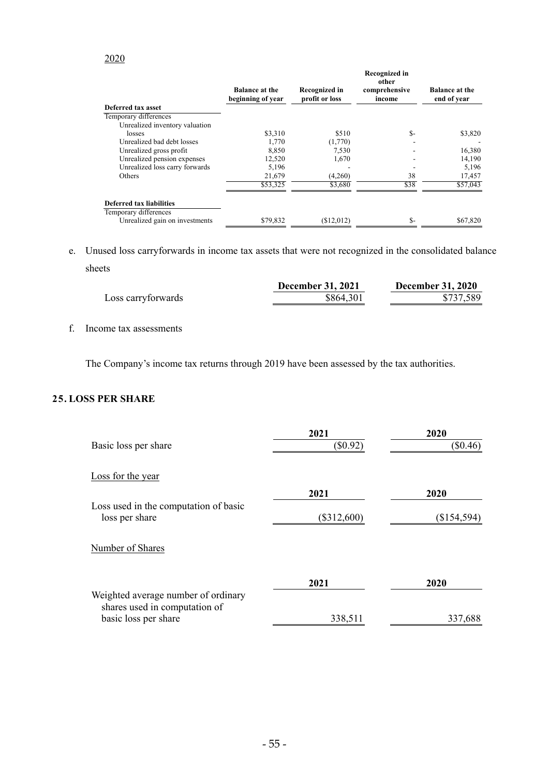## 2020

|                                 | <b>Balance at the</b><br>beginning of year | <b>Recognized in</b><br>profit or loss | Recognized in<br>other<br>comprehensive<br>income | <b>Balance at the</b><br>end of year |
|---------------------------------|--------------------------------------------|----------------------------------------|---------------------------------------------------|--------------------------------------|
| Deferred tax asset              |                                            |                                        |                                                   |                                      |
| Temporary differences           |                                            |                                        |                                                   |                                      |
| Unrealized inventory valuation  |                                            |                                        |                                                   |                                      |
| losses                          | \$3,310                                    | \$510                                  | $S-$                                              | \$3,820                              |
| Unrealized bad debt losses      | 1,770                                      | (1,770)                                |                                                   |                                      |
| Unrealized gross profit         | 8,850                                      | 7,530                                  |                                                   | 16,380                               |
| Unrealized pension expenses     | 12,520                                     | 1,670                                  |                                                   | 14,190                               |
| Unrealized loss carry forwards  | 5,196                                      |                                        |                                                   | 5,196                                |
| Others                          | 21,679                                     | (4,260)                                | 38                                                | 17,457                               |
|                                 | \$53,325                                   | \$3,680                                | \$38                                              | \$57,043                             |
| <b>Deferred tax liabilities</b> |                                            |                                        |                                                   |                                      |
| Temporary differences           |                                            |                                        |                                                   |                                      |
| Unrealized gain on investments  | \$79.832                                   | (\$12,012)                             | \$-                                               | \$67,820                             |

e. Unused loss carryforwards in income tax assets that were not recognized in the consolidated balance sheets

|                    | <b>December 31, 2021</b> | <b>December 31, 2020</b> |
|--------------------|--------------------------|--------------------------|
| Loss carryforwards | \$864,301                | \$737,589                |

f. Income tax assessments

The Company's income tax returns through 2019 have been assessed by the tax authorities.

## **25. LOSS PER SHARE**

| Basic loss per share                                    | 2021<br>$(\$0.92)$ | 2020<br>$(\$0.46)$ |
|---------------------------------------------------------|--------------------|--------------------|
| Loss for the year                                       |                    |                    |
|                                                         | 2021               | 2020               |
| Loss used in the computation of basic<br>loss per share | $(\$312,600)$      | $(\$154,594)$      |
| Number of Shares                                        |                    |                    |
| Weighted average number of ordinary                     | 2021               | 2020               |
| shares used in computation of<br>basic loss per share   | 338,511            | 337,688            |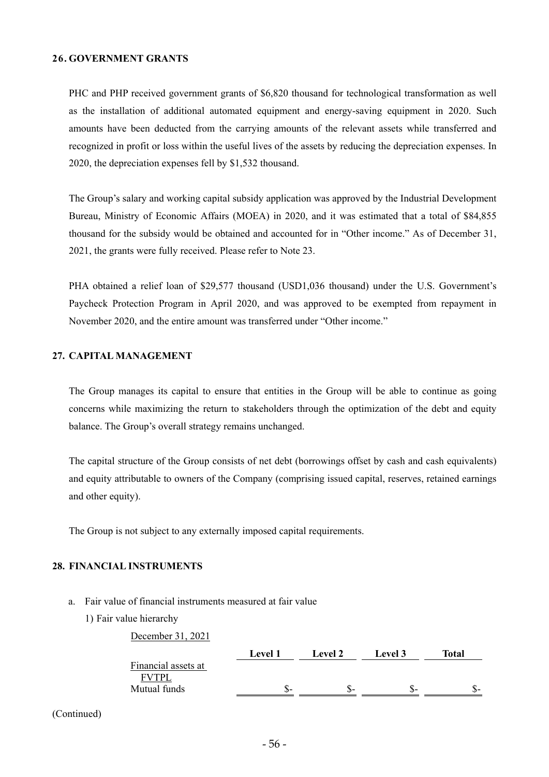#### **26. GOVERNMENT GRANTS**

PHC and PHP received government grants of \$6,820 thousand for technological transformation as well as the installation of additional automated equipment and energy-saving equipment in 2020. Such amounts have been deducted from the carrying amounts of the relevant assets while transferred and recognized in profit or loss within the useful lives of the assets by reducing the depreciation expenses. In 2020, the depreciation expenses fell by \$1,532 thousand.

The Group's salary and working capital subsidy application was approved by the Industrial Development Bureau, Ministry of Economic Affairs (MOEA) in 2020, and it was estimated that a total of \$84,855 thousand for the subsidy would be obtained and accounted for in "Other income." As of December 31, 2021, the grants were fully received. Please refer to Note 23.

PHA obtained a relief loan of \$29,577 thousand (USD1,036 thousand) under the U.S. Government's Paycheck Protection Program in April 2020, and was approved to be exempted from repayment in November 2020, and the entire amount was transferred under "Other income."

## **27. CAPITAL MANAGEMENT**

The Group manages its capital to ensure that entities in the Group will be able to continue as going concerns while maximizing the return to stakeholders through the optimization of the debt and equity balance. The Group's overall strategy remains unchanged.

The capital structure of the Group consists of net debt (borrowings offset by cash and cash equivalents) and equity attributable to owners of the Company (comprising issued capital, reserves, retained earnings and other equity).

The Group is not subject to any externally imposed capital requirements.

# **28. FINANCIAL INSTRUMENTS**

a. Fair value of financial instruments measured at fair value

December 31, 2021

1) Fair value hierarchy

|                     | <b>Level 1</b> | <b>Level 2</b> | Level 3 | Total |
|---------------------|----------------|----------------|---------|-------|
| Financial assets at |                |                |         |       |
| <b>FVTPL</b>        |                |                |         |       |
| Mutual funds        | ъ−             |                |         | .ა-   |

(Continued)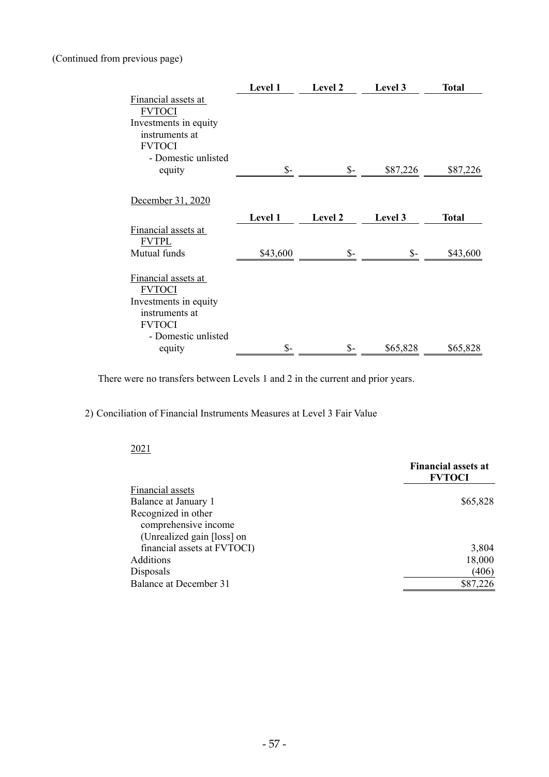# (Continued from previous page)

|                       | Level 1        | Level 2         | Level 3  | <b>Total</b> |
|-----------------------|----------------|-----------------|----------|--------------|
| Financial assets at   |                |                 |          |              |
| FVTOCI                |                |                 |          |              |
| Investments in equity |                |                 |          |              |
| instruments at        |                |                 |          |              |
| <b>FVTOCI</b>         |                |                 |          |              |
| - Domestic unlisted   |                |                 |          |              |
| equity                | $\mathsf{S}$ - | $\mathsf{S}$ -  | \$87,226 | \$87,226     |
| December 31, 2020     |                |                 |          |              |
|                       | Level 1        | Level 2         | Level 3  | <b>Total</b> |
| Financial assets at   |                |                 |          |              |
| <b>FVTPL</b>          |                |                 |          |              |
| Mutual funds          | \$43,600       | $S-$            | $S-$     | \$43,600     |
| Financial assets at   |                |                 |          |              |
| <b>FVTOCI</b>         |                |                 |          |              |
| Investments in equity |                |                 |          |              |
| instruments at        |                |                 |          |              |
| <b>FVTOCI</b>         |                |                 |          |              |
| - Domestic unlisted   |                |                 |          |              |
| equity                | $S-$           | $\mathsf{\$}$ - | \$65,828 | \$65,828     |

There were no transfers between Levels 1 and 2 in the current and prior years.

# 2) Conciliation of Financial Instruments Measures at Level 3 Fair Value

#### 2021

|                               | <b>Financial assets at</b><br><b>FVTOCI</b> |
|-------------------------------|---------------------------------------------|
| Financial assets              |                                             |
| Balance at January 1          | \$65,828                                    |
| Recognized in other           |                                             |
| comprehensive income          |                                             |
| (Unrealized gain [loss] on    |                                             |
| financial assets at FVTOCI)   | 3,804                                       |
| Additions                     | 18,000                                      |
| Disposals                     | (406)                                       |
| <b>Balance at December 31</b> | \$87,226                                    |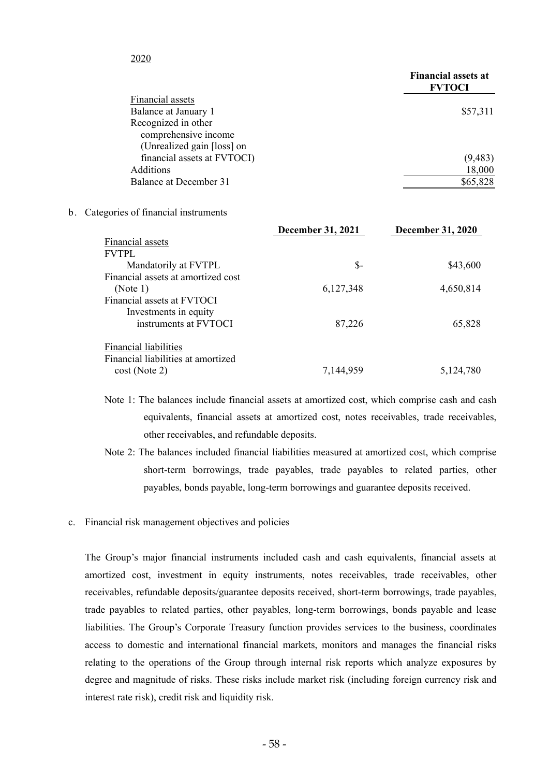## 2020

|                             | <b>Financial assets at</b><br><b>FVTOCI</b> |
|-----------------------------|---------------------------------------------|
| Financial assets            |                                             |
| Balance at January 1        | \$57,311                                    |
| Recognized in other         |                                             |
| comprehensive income        |                                             |
| (Unrealized gain [loss] on  |                                             |
| financial assets at FVTOCI) | (9, 483)                                    |
| <b>Additions</b>            | 18,000                                      |
| Balance at December 31      | \$65,828                                    |
|                             |                                             |

#### b. Categories of financial instruments

|                                    | <b>December 31, 2021</b> | <b>December 31, 2020</b> |
|------------------------------------|--------------------------|--------------------------|
| Financial assets                   |                          |                          |
| <b>FVTPL</b>                       |                          |                          |
| Mandatorily at FVTPL               | \$-                      | \$43,600                 |
| Financial assets at amortized cost |                          |                          |
| (Note 1)                           | 6,127,348                | 4,650,814                |
| Financial assets at FVTOCI         |                          |                          |
| Investments in equity              |                          |                          |
| instruments at FVTOCI              | 87,226                   | 65,828                   |
| <b>Financial liabilities</b>       |                          |                          |
| Financial liabilities at amortized |                          |                          |
| $cost$ (Note 2)                    | 7,144,959                | 5,124,780                |

- Note 1: The balances include financial assets at amortized cost, which comprise cash and cash equivalents, financial assets at amortized cost, notes receivables, trade receivables, other receivables, and refundable deposits.
- Note 2: The balances included financial liabilities measured at amortized cost, which comprise short-term borrowings, trade payables, trade payables to related parties, other payables, bonds payable, long-term borrowings and guarantee deposits received.
- c. Financial risk management objectives and policies

The Group's major financial instruments included cash and cash equivalents, financial assets at amortized cost, investment in equity instruments, notes receivables, trade receivables, other receivables, refundable deposits/guarantee deposits received, short-term borrowings, trade payables, trade payables to related parties, other payables, long-term borrowings, bonds payable and lease liabilities. The Group's Corporate Treasury function provides services to the business, coordinates access to domestic and international financial markets, monitors and manages the financial risks relating to the operations of the Group through internal risk reports which analyze exposures by degree and magnitude of risks. These risks include market risk (including foreign currency risk and interest rate risk), credit risk and liquidity risk.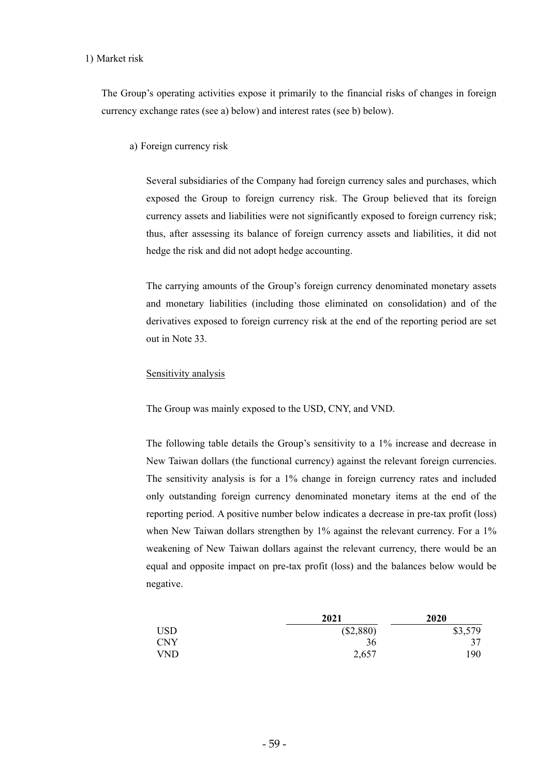#### 1) Market risk

The Group's operating activities expose it primarily to the financial risks of changes in foreign currency exchange rates (see a) below) and interest rates (see b) below).

a) Foreign currency risk

Several subsidiaries of the Company had foreign currency sales and purchases, which exposed the Group to foreign currency risk. The Group believed that its foreign currency assets and liabilities were not significantly exposed to foreign currency risk; thus, after assessing its balance of foreign currency assets and liabilities, it did not hedge the risk and did not adopt hedge accounting.

The carrying amounts of the Group's foreign currency denominated monetary assets and monetary liabilities (including those eliminated on consolidation) and of the derivatives exposed to foreign currency risk at the end of the reporting period are set out in Note 33.

#### Sensitivity analysis

The Group was mainly exposed to the USD, CNY, and VND.

The following table details the Group's sensitivity to a 1% increase and decrease in New Taiwan dollars (the functional currency) against the relevant foreign currencies. The sensitivity analysis is for a 1% change in foreign currency rates and included only outstanding foreign currency denominated monetary items at the end of the reporting period. A positive number below indicates a decrease in pre-tax profit (loss) when New Taiwan dollars strengthen by 1% against the relevant currency. For a 1% weakening of New Taiwan dollars against the relevant currency, there would be an equal and opposite impact on pre-tax profit (loss) and the balances below would be negative.

|            | 2021      | 2020    |
|------------|-----------|---------|
| <b>USD</b> | (\$2,880) | \$3,579 |
| CNY        | 36        | 37      |
| VND .      | 2,657     | 190     |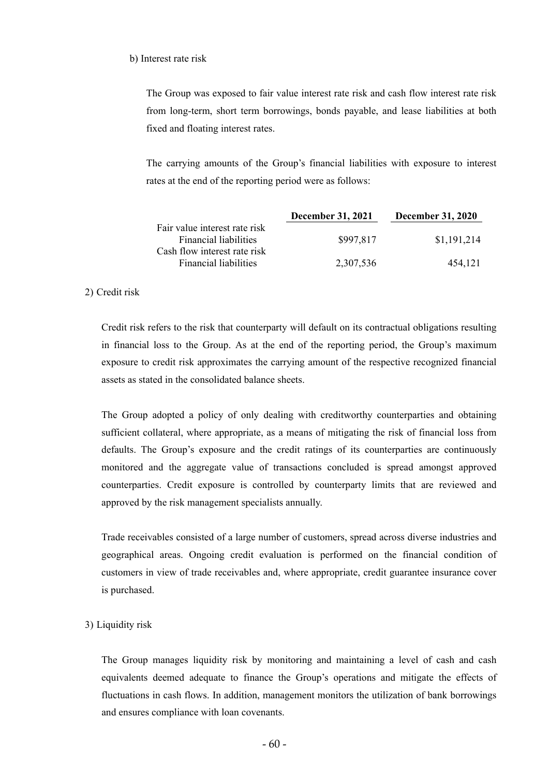#### b) Interest rate risk

The Group was exposed to fair value interest rate risk and cash flow interest rate risk from long-term, short term borrowings, bonds payable, and lease liabilities at both fixed and floating interest rates.

The carrying amounts of the Group's financial liabilities with exposure to interest rates at the end of the reporting period were as follows:

|                                                               | December 31, 2021 | <b>December 31, 2020</b> |
|---------------------------------------------------------------|-------------------|--------------------------|
| Fair value interest rate risk<br><b>Financial liabilities</b> | \$997,817         | \$1,191,214              |
| Cash flow interest rate risk<br><b>Financial liabilities</b>  | 2,307,536         | 454.121                  |

#### 2) Credit risk

Credit risk refers to the risk that counterparty will default on its contractual obligations resulting in financial loss to the Group. As at the end of the reporting period, the Group's maximum exposure to credit risk approximates the carrying amount of the respective recognized financial assets as stated in the consolidated balance sheets.

The Group adopted a policy of only dealing with creditworthy counterparties and obtaining sufficient collateral, where appropriate, as a means of mitigating the risk of financial loss from defaults. The Group's exposure and the credit ratings of its counterparties are continuously monitored and the aggregate value of transactions concluded is spread amongst approved counterparties. Credit exposure is controlled by counterparty limits that are reviewed and approved by the risk management specialists annually.

Trade receivables consisted of a large number of customers, spread across diverse industries and geographical areas. Ongoing credit evaluation is performed on the financial condition of customers in view of trade receivables and, where appropriate, credit guarantee insurance cover is purchased.

#### 3) Liquidity risk

The Group manages liquidity risk by monitoring and maintaining a level of cash and cash equivalents deemed adequate to finance the Group's operations and mitigate the effects of fluctuations in cash flows. In addition, management monitors the utilization of bank borrowings and ensures compliance with loan covenants.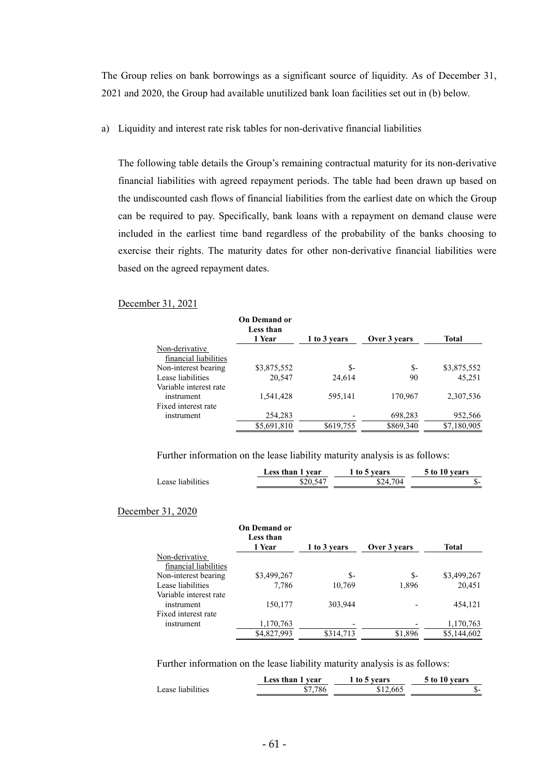The Group relies on bank borrowings as a significant source of liquidity. As of December 31, 2021 and 2020, the Group had available unutilized bank loan facilities set out in (b) below.

a) Liquidity and interest rate risk tables for non-derivative financial liabilities

The following table details the Group's remaining contractual maturity for its non-derivative financial liabilities with agreed repayment periods. The table had been drawn up based on the undiscounted cash flows of financial liabilities from the earliest date on which the Group can be required to pay. Specifically, bank loans with a repayment on demand clause were included in the earliest time band regardless of the probability of the banks choosing to exercise their rights. The maturity dates for other non-derivative financial liabilities were based on the agreed repayment dates.

#### December 31, 2021

|                        | <b>On Demand or</b><br>Less than |              |              |              |
|------------------------|----------------------------------|--------------|--------------|--------------|
|                        | 1 Year                           | 1 to 3 years | Over 3 years | <b>Total</b> |
| Non-derivative         |                                  |              |              |              |
| financial liabilities  |                                  |              |              |              |
| Non-interest bearing   | \$3,875,552                      | \$-          | \$-          | \$3,875,552  |
| Lease liabilities      | 20.547                           | 24,614       | 90           | 45.251       |
| Variable interest rate |                                  |              |              |              |
| instrument             | 1,541,428                        | 595,141      | 170,967      | 2,307,536    |
| Fixed interest rate    |                                  |              |              |              |
| instrument             | 254,283                          |              | 698,283      | 952,566      |
|                        | \$5,691,810                      | \$619,755    | \$869,340    | \$7,180,905  |

Further information on the lease liability maturity analysis is as follows:

|                   | Less than 1 year | to 5 years | 5 to 10 years |
|-------------------|------------------|------------|---------------|
| Lease liabilities | $$20,54^{\circ}$ | \$24.704   | ۰D.           |

#### December 31, 2020

|                        | <b>On Demand or</b><br>Less than |              |              |              |
|------------------------|----------------------------------|--------------|--------------|--------------|
|                        | 1 Year                           | 1 to 3 years | Over 3 years | <b>Total</b> |
| Non-derivative         |                                  |              |              |              |
| financial liabilities  |                                  |              |              |              |
| Non-interest bearing   | \$3,499,267                      | s-           | $S-$         | \$3,499,267  |
| Lease liabilities      | 7,786                            | 10,769       | 1,896        | 20,451       |
| Variable interest rate |                                  |              |              |              |
| instrument             | 150,177                          | 303,944      |              | 454,121      |
| Fixed interest rate    |                                  |              |              |              |
| instrument             | 1,170,763                        |              |              | 1,170,763    |
|                        | \$4,827,993                      | \$314,713    | \$1,896      | \$5,144,602  |

Further information on the lease liability maturity analysis is as follows:

|                   | Less than 1 year | to 5 years | 5 to 10 years |
|-------------------|------------------|------------|---------------|
| Lease liabilities | \$7.786          | \$12.665   | . D –         |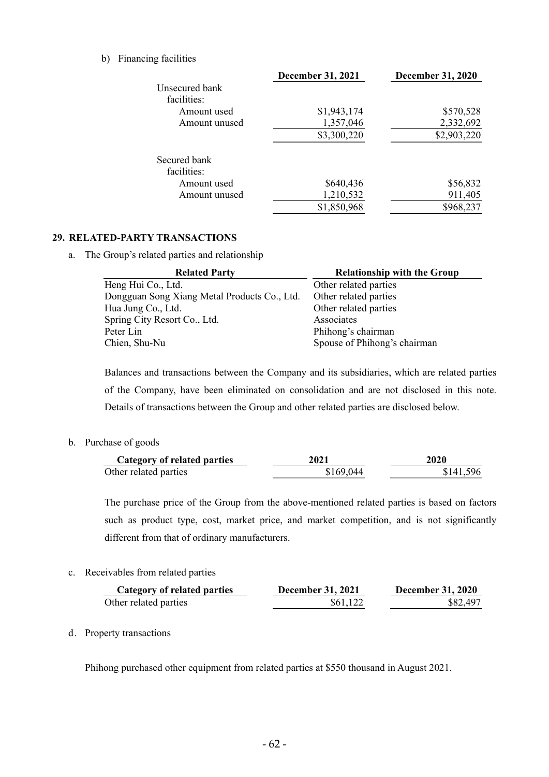#### b) Financing facilities

|                | <b>December 31, 2021</b> | <b>December 31, 2020</b> |
|----------------|--------------------------|--------------------------|
| Unsecured bank |                          |                          |
| facilities:    |                          |                          |
| Amount used    | \$1,943,174              | \$570,528                |
| Amount unused  | 1,357,046                | 2,332,692                |
|                | \$3,300,220              | \$2,903,220              |
| Secured bank   |                          |                          |
| facilities:    |                          |                          |
| Amount used    | \$640,436                | \$56,832                 |
| Amount unused  | 1,210,532                | 911,405                  |
|                | \$1,850,968              | \$968,237                |

# **29. RELATED-PARTY TRANSACTIONS**

a. The Group's related parties and relationship

| <b>Related Party</b>                         | <b>Relationship with the Group</b> |
|----------------------------------------------|------------------------------------|
| Heng Hui Co., Ltd.                           | Other related parties              |
| Dongguan Song Xiang Metal Products Co., Ltd. | Other related parties              |
| Hua Jung Co., Ltd.                           | Other related parties              |
| Spring City Resort Co., Ltd.                 | Associates                         |
| Peter Lin                                    | Phihong's chairman                 |
| Chien, Shu-Nu                                | Spouse of Phihong's chairman       |

Balances and transactions between the Company and its subsidiaries, which are related parties of the Company, have been eliminated on consolidation and are not disclosed in this note. Details of transactions between the Group and other related parties are disclosed below.

b. Purchase of goods

| Category of related parties | 2021      | 2020      |
|-----------------------------|-----------|-----------|
| Other related parties       | \$169,044 | \$141,596 |

The purchase price of the Group from the above-mentioned related parties is based on factors such as product type, cost, market price, and market competition, and is not significantly different from that of ordinary manufacturers.

c. Receivables from related parties

| Category of related parties | <b>December 31, 2021</b> | <b>December 31, 2020</b> |
|-----------------------------|--------------------------|--------------------------|
| Other related parties       | \$61,122                 | \$82,497                 |

d. Property transactions

Phihong purchased other equipment from related parties at \$550 thousand in August 2021.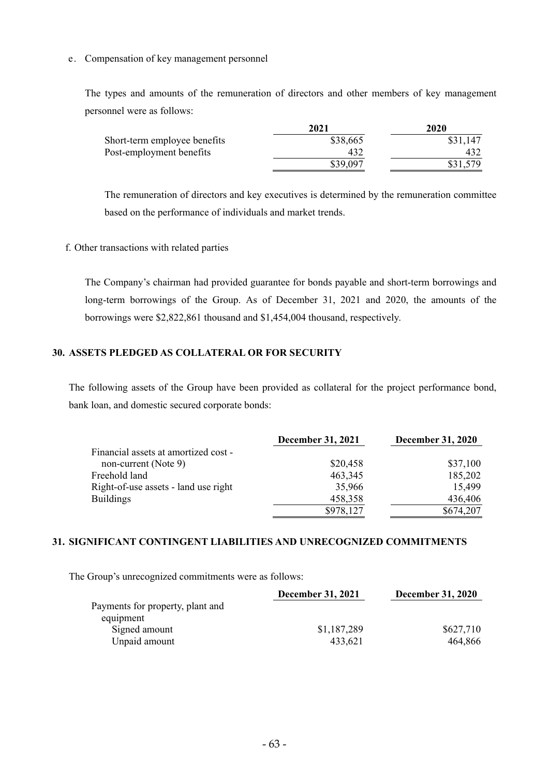## e. Compensation of key management personnel

The types and amounts of the remuneration of directors and other members of key management personnel were as follows:

|                              | 2021     | 2020     |
|------------------------------|----------|----------|
| Short-term employee benefits | \$38,665 | \$31,147 |
| Post-employment benefits     | 432      |          |
|                              | \$39,097 |          |

The remuneration of directors and key executives is determined by the remuneration committee based on the performance of individuals and market trends.

# f. Other transactions with related parties

The Company's chairman had provided guarantee for bonds payable and short-term borrowings and long-term borrowings of the Group. As of December 31, 2021 and 2020, the amounts of the borrowings were \$2,822,861 thousand and \$1,454,004 thousand, respectively.

# **30. ASSETS PLEDGED AS COLLATERAL OR FOR SECURITY**

The following assets of the Group have been provided as collateral for the project performance bond, bank loan, and domestic secured corporate bonds:

|                                      | <b>December 31, 2021</b> | <b>December 31, 2020</b> |
|--------------------------------------|--------------------------|--------------------------|
| Financial assets at amortized cost - |                          |                          |
| non-current (Note 9)                 | \$20,458                 | \$37,100                 |
| Freehold land                        | 463,345                  | 185,202                  |
| Right-of-use assets - land use right | 35,966                   | 15,499                   |
| <b>Buildings</b>                     | 458,358                  | 436,406                  |
|                                      | \$978,127                | \$674,207                |

# **31. SIGNIFICANT CONTINGENT LIABILITIES AND UNRECOGNIZED COMMITMENTS**

The Group's unrecognized commitments were as follows:

|                                  | <b>December 31, 2021</b> | <b>December 31, 2020</b> |  |  |
|----------------------------------|--------------------------|--------------------------|--|--|
| Payments for property, plant and |                          |                          |  |  |
| equipment                        |                          |                          |  |  |
| Signed amount                    | \$1,187,289              | \$627,710                |  |  |
| Unpaid amount                    | 433.621                  | 464,866                  |  |  |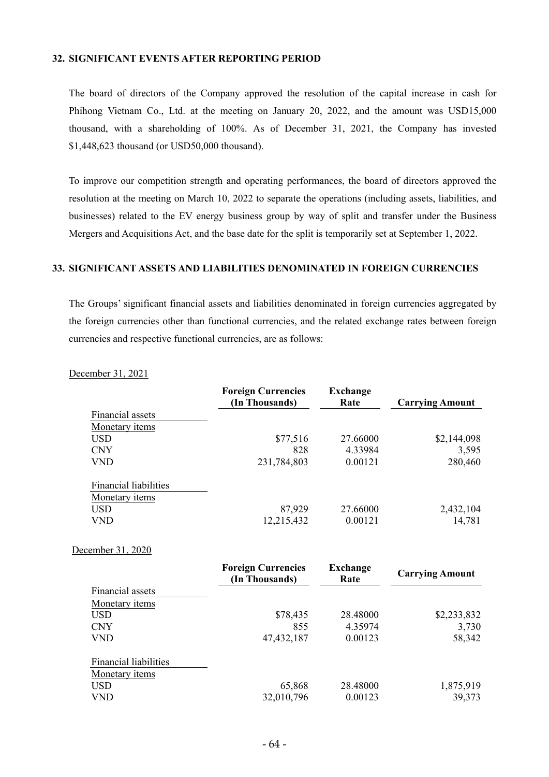#### **32. SIGNIFICANT EVENTS AFTER REPORTING PERIOD**

The board of directors of the Company approved the resolution of the capital increase in cash for Phihong Vietnam Co., Ltd. at the meeting on January 20, 2022, and the amount was USD15,000 thousand, with a shareholding of 100%. As of December 31, 2021, the Company has invested \$1,448,623 thousand (or USD50,000 thousand).

To improve our competition strength and operating performances, the board of directors approved the resolution at the meeting on March 10, 2022 to separate the operations (including assets, liabilities, and businesses) related to the EV energy business group by way of split and transfer under the Business Mergers and Acquisitions Act, and the base date for the split is temporarily set at September 1, 2022.

#### **33. SIGNIFICANT ASSETS AND LIABILITIES DENOMINATED IN FOREIGN CURRENCIES**

The Groups' significant financial assets and liabilities denominated in foreign currencies aggregated by the foreign currencies other than functional currencies, and the related exchange rates between foreign currencies and respective functional currencies, are as follows:

**Foreign Currencies (In Thousands) Exchange Rate Carrying Amount** Financial assets Monetary items USD  $$77,516$   $27.66000$   $$2,144,098$ CNY 828 4.33984 3,595 VND 231,784,803 0.00121 280,460 Financial liabilities Monetary items USD 87,929 27.66000 2,432,104 VND 12,215,432 0.00121 14,781 December 31, 2020 **Foreign Currencies Exchange** 

|                              | <b>FULTER CULLERCIES</b><br>(In Thousands) | елспанде<br>Rate | <b>Carrying Amount</b> |  |  |
|------------------------------|--------------------------------------------|------------------|------------------------|--|--|
| Financial assets             |                                            |                  |                        |  |  |
| Monetary <i>items</i>        |                                            |                  |                        |  |  |
| <b>USD</b>                   | \$78,435                                   | 28.48000         | \$2,233,832            |  |  |
| <b>CNY</b>                   | 855                                        | 4.35974          | 3,730                  |  |  |
| <b>VND</b>                   | 47, 432, 187                               | 0.00123          | 58,342                 |  |  |
| <b>Financial liabilities</b> |                                            |                  |                        |  |  |
| Monetary items               |                                            |                  |                        |  |  |
| <b>USD</b>                   | 65,868                                     | 28.48000         | 1,875,919              |  |  |
| VND                          | 32,010,796                                 | 0.00123          | 39,373                 |  |  |

December 31, 2021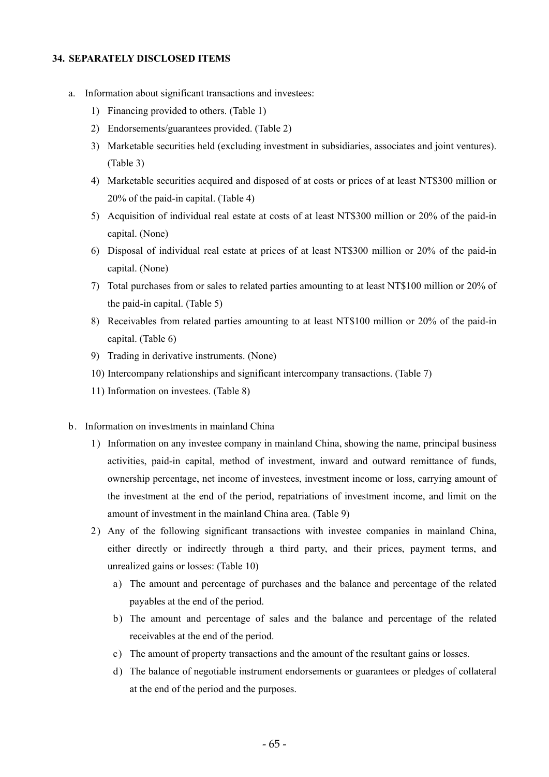#### **34. SEPARATELY DISCLOSED ITEMS**

- a. Information about significant transactions and investees:
	- 1) Financing provided to others. (Table 1)
	- 2) Endorsements/guarantees provided. (Table 2)
	- 3) Marketable securities held (excluding investment in subsidiaries, associates and joint ventures). (Table 3)
	- 4) Marketable securities acquired and disposed of at costs or prices of at least NT\$300 million or 20% of the paid-in capital. (Table 4)
	- 5) Acquisition of individual real estate at costs of at least NT\$300 million or 20% of the paid-in capital. (None)
	- 6) Disposal of individual real estate at prices of at least NT\$300 million or 20% of the paid-in capital. (None)
	- 7) Total purchases from or sales to related parties amounting to at least NT\$100 million or 20% of the paid-in capital. (Table 5)
	- 8) Receivables from related parties amounting to at least NT\$100 million or 20% of the paid-in capital. (Table 6)
	- 9) Trading in derivative instruments. (None)
	- 10) Intercompany relationships and significant intercompany transactions. (Table 7)
	- 11) Information on investees. (Table 8)
- b. Information on investments in mainland China
	- 1) Information on any investee company in mainland China, showing the name, principal business activities, paid-in capital, method of investment, inward and outward remittance of funds, ownership percentage, net income of investees, investment income or loss, carrying amount of the investment at the end of the period, repatriations of investment income, and limit on the amount of investment in the mainland China area. (Table 9)
	- 2) Any of the following significant transactions with investee companies in mainland China, either directly or indirectly through a third party, and their prices, payment terms, and unrealized gains or losses: (Table 10)
		- a) The amount and percentage of purchases and the balance and percentage of the related payables at the end of the period.
		- b) The amount and percentage of sales and the balance and percentage of the related receivables at the end of the period.
		- c) The amount of property transactions and the amount of the resultant gains or losses.
		- d) The balance of negotiable instrument endorsements or guarantees or pledges of collateral at the end of the period and the purposes.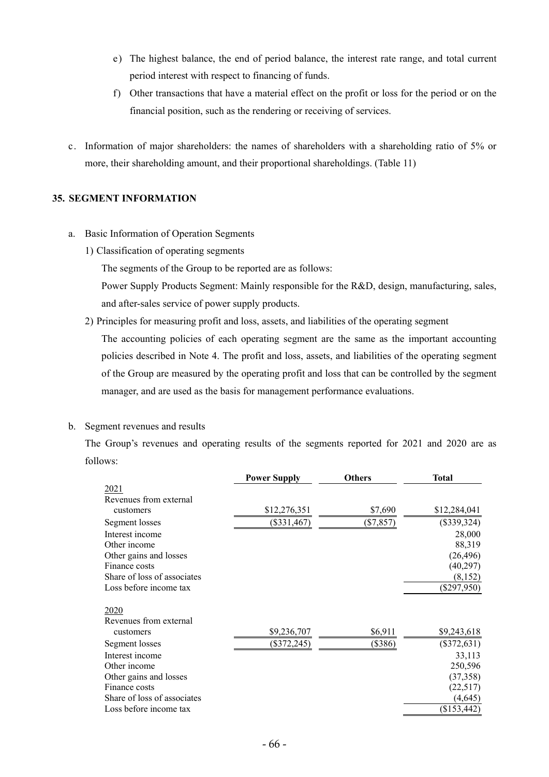- e) The highest balance, the end of period balance, the interest rate range, and total current period interest with respect to financing of funds.
- f) Other transactions that have a material effect on the profit or loss for the period or on the financial position, such as the rendering or receiving of services.
- c. Information of major shareholders: the names of shareholders with a shareholding ratio of 5% or more, their shareholding amount, and their proportional shareholdings. (Table 11)

# **35. SEGMENT INFORMATION**

- a. Basic Information of Operation Segments
	- 1) Classification of operating segments

The segments of the Group to be reported are as follows:

Power Supply Products Segment: Mainly responsible for the R&D, design, manufacturing, sales, and after-sales service of power supply products.

2) Principles for measuring profit and loss, assets, and liabilities of the operating segment

The accounting policies of each operating segment are the same as the important accounting policies described in Note 4. The profit and loss, assets, and liabilities of the operating segment of the Group are measured by the operating profit and loss that can be controlled by the segment manager, and are used as the basis for management performance evaluations.

## b. Segment revenues and results

The Group's revenues and operating results of the segments reported for 2021 and 2020 are as follows:

|                             | <b>Power Supply</b> | <b>Others</b> | <b>Total</b>  |
|-----------------------------|---------------------|---------------|---------------|
| 2021                        |                     |               |               |
| Revenues from external      |                     |               |               |
| customers                   | \$12,276,351        | \$7,690       | \$12,284,041  |
| Segment losses              | $(\$331,467)$       | $(\$7,857)$   | $(\$339,324)$ |
| Interest income             |                     |               | 28,000        |
| Other income                |                     |               | 88,319        |
| Other gains and losses      |                     |               | (26, 496)     |
| Finance costs               |                     |               | (40, 297)     |
| Share of loss of associates |                     |               | (8,152)       |
| Loss before income tax      |                     |               | $(\$297,950)$ |
| 2020                        |                     |               |               |
| Revenues from external      |                     |               |               |
| customers                   | \$9,236,707         | \$6,911       | \$9,243,618   |
| Segment losses              | $(\$372,245)$       | (\$386)       | $(\$372,631)$ |
| Interest income             |                     |               | 33,113        |
| Other income                |                     |               | 250,596       |
| Other gains and losses      |                     |               | (37, 358)     |
| Finance costs               |                     |               | (22,517)      |
| Share of loss of associates |                     |               | (4,645)       |
| Loss before income tax      |                     |               | \$153,442)    |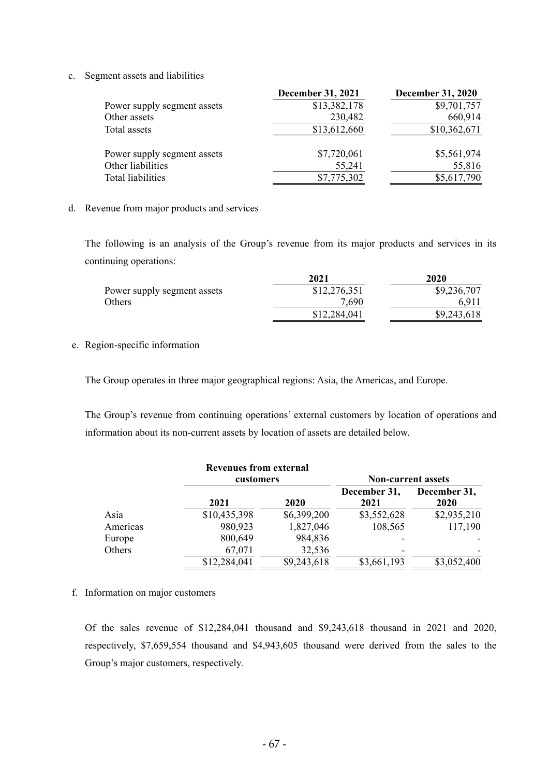c. Segment assets and liabilities

|                             | <b>December 31, 2021</b> | <b>December 31, 2020</b> |
|-----------------------------|--------------------------|--------------------------|
| Power supply segment assets | \$13,382,178             | \$9,701,757              |
| Other assets                | 230,482                  | 660,914                  |
| Total assets                | \$13,612,660             | \$10,362,671             |
| Power supply segment assets | \$7,720,061              | \$5,561,974              |
| Other liabilities           | 55,241                   | 55,816                   |
| <b>Total liabilities</b>    | \$7,775,302              | \$5,617,790              |

#### d. Revenue from major products and services

The following is an analysis of the Group's revenue from its major products and services in its continuing operations:

|                             | 2021         | 2020        |
|-----------------------------|--------------|-------------|
| Power supply segment assets | \$12,276,351 | \$9,236,707 |
| Others                      | 7.690        | 6.911       |
|                             | \$12,284,041 | \$9,243,618 |

#### e. Region-specific information

The Group operates in three major geographical regions: Asia, the Americas, and Europe.

The Group's revenue from continuing operations' external customers by location of operations and information about its non-current assets by location of assets are detailed below.

|          | <b>Revenues from external</b> |             |                           |                      |  |  |  |
|----------|-------------------------------|-------------|---------------------------|----------------------|--|--|--|
|          | customers                     |             | <b>Non-current assets</b> |                      |  |  |  |
|          | 2021                          | 2020        | December 31,<br>2021      | December 31,<br>2020 |  |  |  |
| Asia     | \$10,435,398                  | \$6,399,200 | \$3,552,628               | \$2,935,210          |  |  |  |
| Americas | 980,923                       | 1,827,046   | 108,565                   | 117,190              |  |  |  |
| Europe   | 800,649                       | 984,836     |                           |                      |  |  |  |
| Others   | 67,071                        | 32,536      |                           |                      |  |  |  |
|          | \$12,284,041                  | \$9,243,618 | \$3,661,193               | \$3,052,400          |  |  |  |

#### f. Information on major customers

Of the sales revenue of \$12,284,041 thousand and \$9,243,618 thousand in 2021 and 2020, respectively, \$7,659,554 thousand and \$4,943,605 thousand were derived from the sales to the Group's major customers, respectively.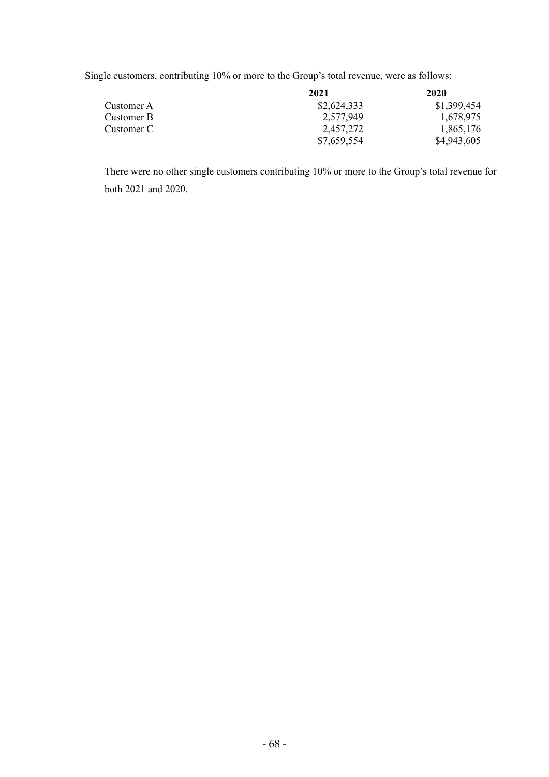Single customers, contributing 10% or more to the Group's total revenue, were as follows:

|            | 2021        | 2020        |  |  |
|------------|-------------|-------------|--|--|
| Customer A | \$2,624,333 | \$1,399,454 |  |  |
| Customer B | 2,577,949   | 1,678,975   |  |  |
| Customer C | 2.457.272   | 1,865,176   |  |  |
|            | \$7,659,554 | \$4,943,605 |  |  |

There were no other single customers contributing 10% or more to the Group's total revenue for both 2021 and 2020.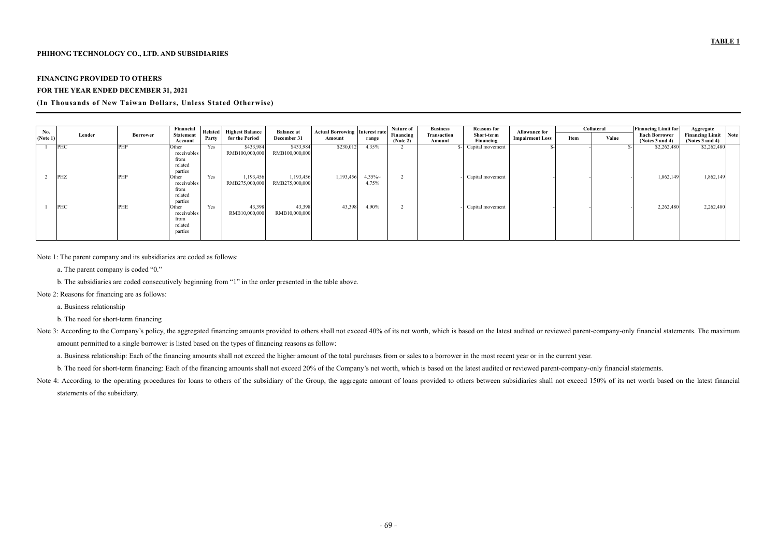## **PHIHONG TECHNOLOGY CO., LTD. AND SUBSIDIARIES**

## **FINANCING PROVIDED TO OTHERS**

#### **FOR THE YEAR ENDED DECEMBER 31, 2021**

## **(In Thousands of New Taiwan Dollars, Unless Stated Otherwise)**

| No.      |            |                 | Financial                                                     |       | Related Highest Balance     | <b>Balance at</b>           | <b>Actual Borrowing Interest rate</b> |                   | Nature of             | <b>Business</b><br><b>Reasons for</b> |                         |                        |      |              |                                              |                                                     |  |  |  |  |  | <b>Allowance for</b> | Collateral |  | <b>Financing Limit for</b> | Aggregate |
|----------|------------|-----------------|---------------------------------------------------------------|-------|-----------------------------|-----------------------------|---------------------------------------|-------------------|-----------------------|---------------------------------------|-------------------------|------------------------|------|--------------|----------------------------------------------|-----------------------------------------------------|--|--|--|--|--|----------------------|------------|--|----------------------------|-----------|
| (Note 1) | Lender     | <b>Borrower</b> | <b>Statement</b><br>Account                                   | Party | for the Period              | December 31                 | Amount                                | range             | Financing<br>(Note 2) | <b>Transaction</b><br>Amount          | Short-term<br>Financing | <b>Impairment Loss</b> | Item | <b>Value</b> | <b>Each Borrower</b><br>(Notes $3$ and $4$ ) | <b>Financing Limit</b> Note<br>(Notes $3$ and $4$ ) |  |  |  |  |  |                      |            |  |                            |           |
|          | <b>PHC</b> | PHP             | Other<br>receivables<br>from<br>related                       | Yes   | \$433,984<br>RMB100,000,000 | \$433,984<br>RMB100,000,000 | \$230,012                             | 4.35%             |                       |                                       | Capital movement        |                        |      |              | \$2,262,480                                  | \$2,262,480                                         |  |  |  |  |  |                      |            |  |                            |           |
|          | <b>PHZ</b> | PHP             | parties<br>Other<br>receivables<br>from<br>related<br>parties | Yes   | 1,193,456<br>RMB275,000,000 | 1,193,456<br>RMB275,000,000 | 1,193,456                             | $4.35\%$<br>4.75% |                       |                                       | Capital movement        |                        |      |              | 1,862,149                                    | 1,862,149                                           |  |  |  |  |  |                      |            |  |                            |           |
|          | PHC        | PHE             | Other<br>receivables<br>from<br>related<br>parties            | Yes   | 43,398<br>RMB10,000,000     | 43,398<br>RMB10,000,000     | 43,398                                | 4.90%             |                       |                                       | Capital movement        |                        |      |              | 2,262,480                                    | 2,262,480                                           |  |  |  |  |  |                      |            |  |                            |           |

Note 3: According to the Company's policy, the aggregated financing amounts provided to others shall not exceed 40% of its net worth, which is based on the latest audited or reviewed parent-company-only financial statement amount permitted to a single borrower is listed based on the types of financing reasons as follow:

Note 1: The parent company and its subsidiaries are coded as follows:

Note 4: According to the operating procedures for loans to others of the subsidiary of the Group, the aggregate amount of loans provided to others between subsidiaries shall not exceed 150% of its net worth based on the la statements of the subsidiary.

a. The parent company is coded "0."

b. The subsidiaries are coded consecutively beginning from "1" in the order presented in the table above.

- Note 2: Reasons for financing are as follows:
	- a. Business relationship

b. The need for short-term financing

a. Business relationship: Each of the financing amounts shall not exceed the higher amount of the total purchases from or sales to a borrower in the most recent year or in the current year.

b. The need for short-term financing: Each of the financing amounts shall not exceed 20% of the Company's net worth, which is based on the latest audited or reviewed parent-company-only financial statements.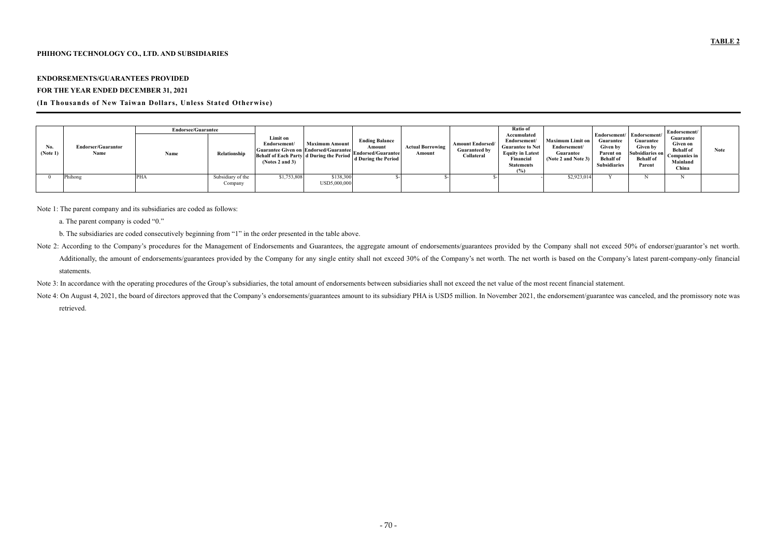# **PHIHONG TECHNOLOGY CO., LTD. AND SUBSIDIARIES**

# **ENDORSEMENTS/GUARANTEES PROVIDED**

# **FOR THE YEAR ENDED DECEMBER 31, 2021**

# **(In Thousands of New Taiwan Dollars, Unless Stated Otherwise)**

|                 |                                   | <b>Endorsee/Guarantee</b> |                              |                                                                                                                                                          |                           |                                              |                                   |                                                               |                                                                                                                            |                                                                             |                                                                                                                   |                                                                                      | Endorsement/                                                                          |             |
|-----------------|-----------------------------------|---------------------------|------------------------------|----------------------------------------------------------------------------------------------------------------------------------------------------------|---------------------------|----------------------------------------------|-----------------------------------|---------------------------------------------------------------|----------------------------------------------------------------------------------------------------------------------------|-----------------------------------------------------------------------------|-------------------------------------------------------------------------------------------------------------------|--------------------------------------------------------------------------------------|---------------------------------------------------------------------------------------|-------------|
| No.<br>(Note 1) | <b>Endorser/Guarantor</b><br>Name | Name                      | Relationship                 | Limit on<br>Endorsement/<br>[Guarantee Given on Endorsed/Guarantee]<br>Endorsed/Guarantee<br>Behalf of Each Party d During the Period<br>(Notes 2 and 3) | <b>Maximum Amount</b>     | <b>Ending Balance</b><br>d During the Period | <b>Actual Borrowing</b><br>Amount | <b>Amount Endorsed/</b><br><b>Guaranteed by</b><br>Collateral | Accumulated<br>Endorsement/<br><b>Guarantee to Net</b><br><b>Equity in Latest</b><br>Financial<br><b>Statements</b><br>(%) | <b>Maximum Limit on</b><br>Endorsement/<br>Guarantee<br>(Note 2 and Note 3) | Endorsement/ Endorsement/<br>Guarantee<br><b>Given by</b><br>Parent on<br><b>Behalf</b> of<br><b>Subsidiaries</b> | Guarantee<br><b>Given by</b><br><b>Subsidiaries on</b><br><b>Behalf</b> of<br>Parent | Guarantee<br>Given on<br><b>Behalf</b> of<br><b>Companies in</b><br>Mainland<br>China | <b>Note</b> |
|                 | Phihong                           | <b>PHA</b>                | Subsidiary of the<br>Company | \$1,753,808                                                                                                                                              | \$138,300<br>USD5,000,000 |                                              |                                   |                                                               |                                                                                                                            | \$2,923,014                                                                 |                                                                                                                   |                                                                                      |                                                                                       |             |

Note 1: The parent company and its subsidiaries are coded as follows:

- a. The parent company is coded "0."
- b. The subsidiaries are coded consecutively beginning from "1" in the order presented in the table above.
- Note 2: According to the Company's procedures for the Management of Endorsements and Guarantees, the aggregate amount of endorsements/guarantees provided by the Company shall not exceed 50% of endorser/guarantor's net wort Additionally, the amount of endorsements/guarantees provided by the Company for any single entity shall not exceed 30% of the Company's net worth. The net worth is based on the Company's latest parent-company-only financia statements.
- Note 3: In accordance with the operating procedures of the Group's subsidiaries, the total amount of endorsements between subsidiaries shall not exceed the net value of the most recent financial statement.
- Note 4: On August 4, 2021, the board of directors approved that the Company's endorsements/guarantees amount to its subsidiary PHA is USD5 million. In November 2021, the endorsement/guarantee was canceled, and the promisso retrieved.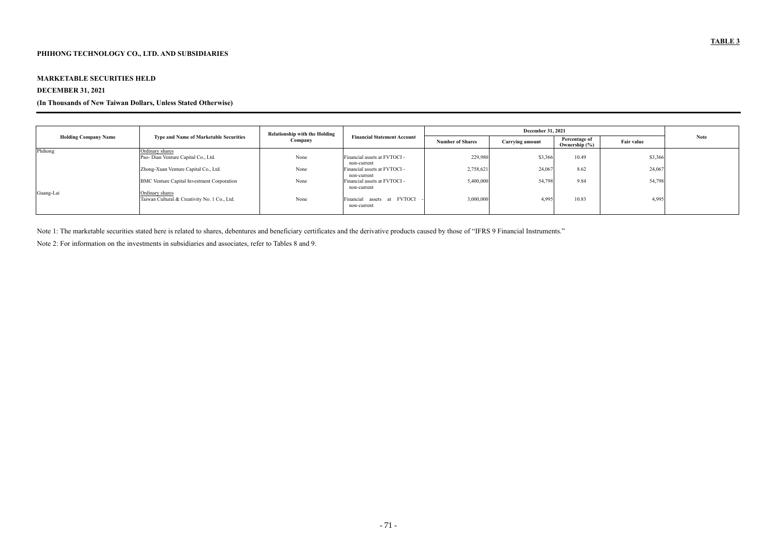## **MARKETABLE SECURITIES HELD**

# **DECEMBER 31, 2021**

## **(In Thousands of New Taiwan Dollars, Unless Stated Otherwise)**

| <b>Holding Company Name</b> |                                                                      | <b>Relationship with the Holding</b> |                                             |                         |                        |                                    |                   |             |
|-----------------------------|----------------------------------------------------------------------|--------------------------------------|---------------------------------------------|-------------------------|------------------------|------------------------------------|-------------------|-------------|
|                             | <b>Type and Name of Marketable Securities</b>                        | Company                              | <b>Financial Statement Account</b>          | <b>Number of Shares</b> | <b>Carrying amount</b> | Percentage of<br>Ownership $(\% )$ | <b>Fair value</b> | <b>Note</b> |
| Phihong                     | Ordinary shares                                                      |                                      |                                             |                         |                        |                                    |                   |             |
|                             | Pao- Dian Venture Capital Co., Ltd.                                  | None                                 | Financial assets at FVTOCI -<br>non-current | 229,980                 | \$3,366                | 10.49                              | \$3,366           |             |
|                             | Zhong-Xuan Venture Capital Co., Ltd.                                 | None                                 | Financial assets at FVTOCI -<br>non-current | 2,758,62                | 24,067                 | 8.62                               | 24,067            |             |
| Guang-Lai                   | <b>BMC</b> Venture Capital Investment Corporation<br>Ordinary shares | None                                 | Financial assets at FVTOCI -<br>non-current | 5,400,000               | 54,798                 | 9.84                               | 54,798            |             |
|                             | Taiwan Cultural & Creativity No. 1 Co., Ltd.                         | None                                 | Financial assets at FVTOCI<br>non-current   | 3,000,000               | 4,995                  | 10.83                              | 4,995             |             |

Note 1: The marketable securities stated here is related to shares, debentures and beneficiary certificates and the derivative products caused by those of "IFRS 9 Financial Instruments."

Note 2: For information on the investments in subsidiaries and associates, refer to Tables 8 and 9.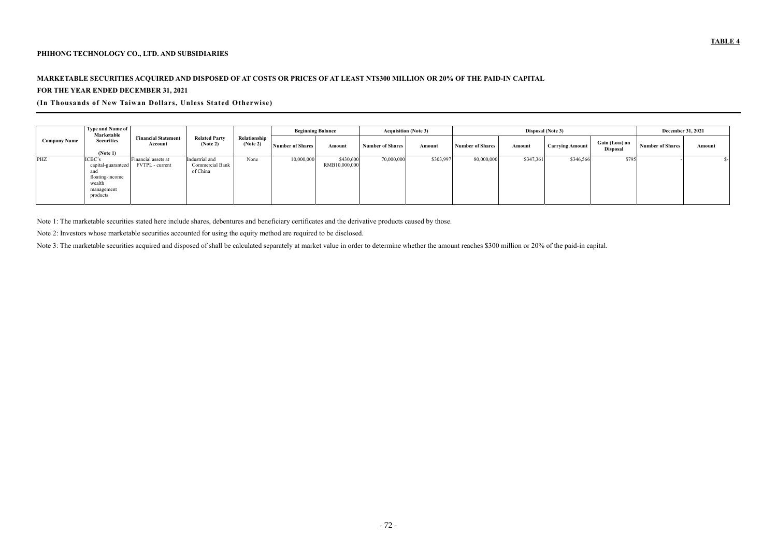# **PHIHONG TECHNOLOGY CO., LTD. AND SUBSIDIARIES**

# **MARKETABLE SECURITIES ACQUIRED AND DISPOSED OF AT COSTS OR PRICES OF AT LEAST NT\$300 MILLION OR 20% OF THE PAID-IN CAPITAL FOR THE YEAR ENDED DECEMBER 31, 2021**

# **(In Thousands of New Taiwan Dollars, Unless Stated Otherwise)**

| <b>Company Name</b> | <b>Type and Name of</b><br>Marketable<br><b>Securities</b><br>(Note 1)                     | <b>Financial Statement</b><br>Account  | <b>Related Party</b><br>(Note 2)              | Relationship<br>(Note 2) | <b>Beginning Balance</b> |                            | <b>Acquisition (Note 3)</b> |           | Disposal (Note 3)       |           |                        |                                   | <b>December 31, 2021</b> |        |
|---------------------|--------------------------------------------------------------------------------------------|----------------------------------------|-----------------------------------------------|--------------------------|--------------------------|----------------------------|-----------------------------|-----------|-------------------------|-----------|------------------------|-----------------------------------|--------------------------|--------|
|                     |                                                                                            |                                        |                                               |                          | <b>Number of Shares</b>  | Amount                     | <b>Number of Shares</b>     | Amount    | <b>Number of Shares</b> | Amount    | <b>Carrying Amount</b> | Gain (Loss) on<br><b>Disposal</b> | <b>Number of Shares</b>  | Amount |
| PHZ                 | ICBC's<br>capital-guaranteed<br>and<br>floating-income<br>wealth<br>management<br>products | Financial assets at<br>FVTPL - current | Industrial and<br>Commercial Bank<br>of China | None                     | 10,000,000               | \$430,600<br>RMB10,000,000 | 70,000,000                  | \$303,997 | 80,000,000              | \$347,361 | \$346,566              | \$795                             |                          |        |

Note 1: The marketable securities stated here include shares, debentures and beneficiary certificates and the derivative products caused by those.

Note 2: Investors whose marketable securities accounted for using the equity method are required to be disclosed.

Note 3: The marketable securities acquired and disposed of shall be calculated separately at market value in order to determine whether the amount reaches \$300 million or 20% of the paid-in capital.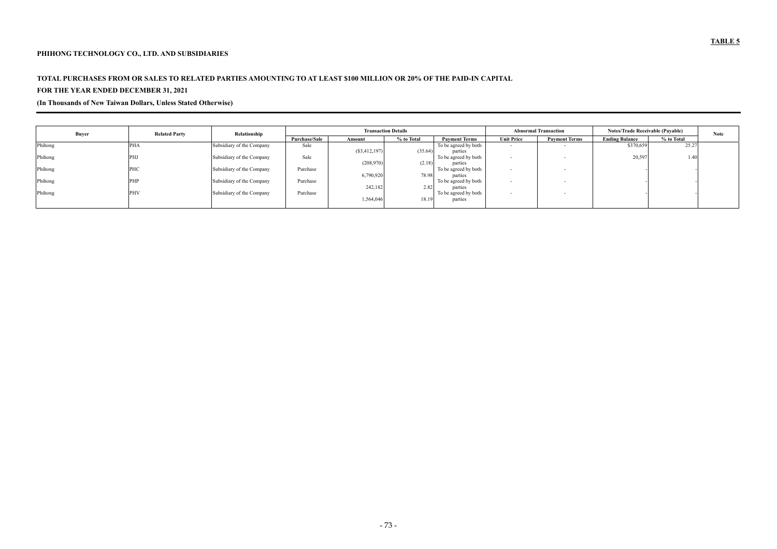## **PHIHONG TECHNOLOGY CO., LTD. AND SUBSIDIARIES**

# **TOTAL PURCHASES FROM OR SALES TO RELATED PARTIES AMOUNTING TO AT LEAST \$100 MILLION OR 20% OF THE PAID-IN CAPITAL**

# **FOR THE YEAR ENDED DECEMBER 31, 2021**

**(In Thousands of New Taiwan Dollars, Unless Stated Otherwise)** 

| <b>Buyer</b> | <b>Related Party</b> | Relationship              |                      | <b>Transaction Details</b> |            |                      |                          | <b>Abnormal Transaction</b> | <b>Notes/Trade Receivable (Payable)</b> |            | <b>Note</b> |
|--------------|----------------------|---------------------------|----------------------|----------------------------|------------|----------------------|--------------------------|-----------------------------|-----------------------------------------|------------|-------------|
|              |                      |                           | <b>Purchase/Sale</b> | Amount                     | % to Total | <b>Payment Terms</b> | <b>Unit Price</b>        | <b>Payment Terms</b>        | <b>Ending Balance</b>                   | % to Total |             |
| Phihong      | <b>PHA</b>           | Subsidiary of the Company | Sale                 |                            |            | To be agreed by both | $\sim$                   |                             | \$370,659                               | 25.27      |             |
|              |                      |                           |                      | $(\$3,412,197)$            | (35.64)    | parties              |                          |                             |                                         |            |             |
| Phihong      | PHJ                  | Subsidiary of the Company | Sale                 |                            |            | To be agreed by both | $\overline{\phantom{a}}$ |                             | 20,597                                  | 1.40       |             |
|              |                      |                           |                      | (208,970)                  | (2.18)     | parties              |                          |                             |                                         |            |             |
| Phihong      | <b>PHC</b>           | Subsidiary of the Company | Purchase             |                            |            | To be agreed by both | $\sim$                   |                             |                                         |            |             |
|              |                      |                           |                      | 6,790,920                  | 78.98      | parties              |                          |                             |                                         |            |             |
| Phihong      | PHP                  | Subsidiary of the Company | Purchase             |                            |            | To be agreed by both |                          |                             |                                         |            |             |
|              |                      |                           |                      | 242,182                    | 2.82       | parties              |                          |                             |                                         |            |             |
| Phihong      | <b>PHV</b>           | Subsidiary of the Company | Purchase             |                            |            | To be agreed by both | $\sim$                   |                             |                                         |            |             |
|              |                      |                           |                      | 1,564,046                  | 18.19      | parties              |                          |                             |                                         |            |             |
|              |                      |                           |                      |                            |            |                      |                          |                             |                                         |            |             |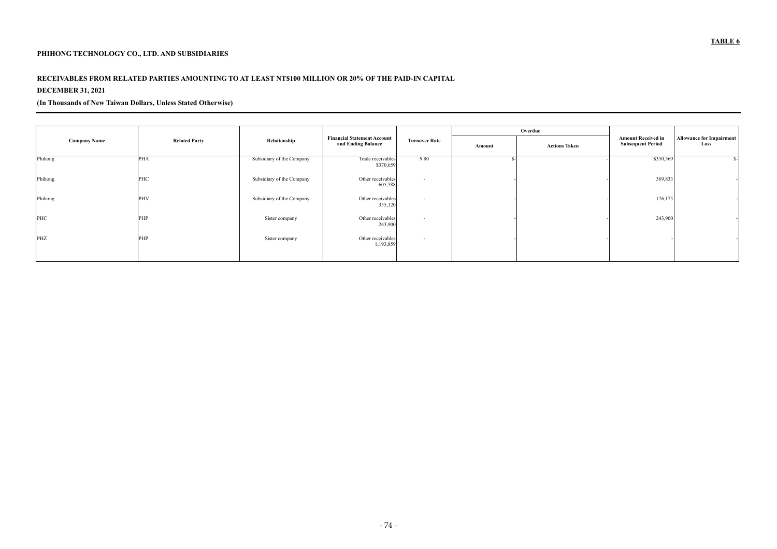# **PHIHONG TECHNOLOGY CO., LTD. AND SUBSIDIARIES**

# **RECEIVABLES FROM RELATED PARTIES AMOUNTING TO AT LEAST NT\$100 MILLION OR 20% OF THE PAID-IN CAPITAL**

# **DECEMBER 31, 2021**

**(In Thousands of New Taiwan Dollars, Unless Stated Otherwise)** 

|                     |                      |                           |                                                          |                          |        | Overdue              |                                                       |                                         |
|---------------------|----------------------|---------------------------|----------------------------------------------------------|--------------------------|--------|----------------------|-------------------------------------------------------|-----------------------------------------|
| <b>Company Name</b> | <b>Related Party</b> | Relationship              | <b>Financial Statement Account</b><br>and Ending Balance | <b>Turnover Rate</b>     | Amount | <b>Actions Taken</b> | <b>Amount Received in</b><br><b>Subsequent Period</b> | <b>Allowance for Impairment</b><br>Loss |
| Phihong             | PHA                  | Subsidiary of the Company | Trade receivables<br>\$370,659                           | 9.80                     |        |                      | \$350,569                                             |                                         |
| Phihong             | PHC                  | Subsidiary of the Company | Other receivables<br>605,588                             | $\sim$                   |        |                      | 369,833                                               |                                         |
| Phihong             | PHV                  | Subsidiary of the Company | Other receivables<br>355,120                             | $\overline{\phantom{0}}$ |        |                      | 176,175                                               |                                         |
| PHC                 | PHP                  | Sister company            | Other receivables<br>243,900                             | $\sim$                   |        |                      | 243,900                                               |                                         |
| PHZ                 | PHP                  | Sister company            | Other receivables<br>1,193,859                           | $\sim$                   |        |                      |                                                       |                                         |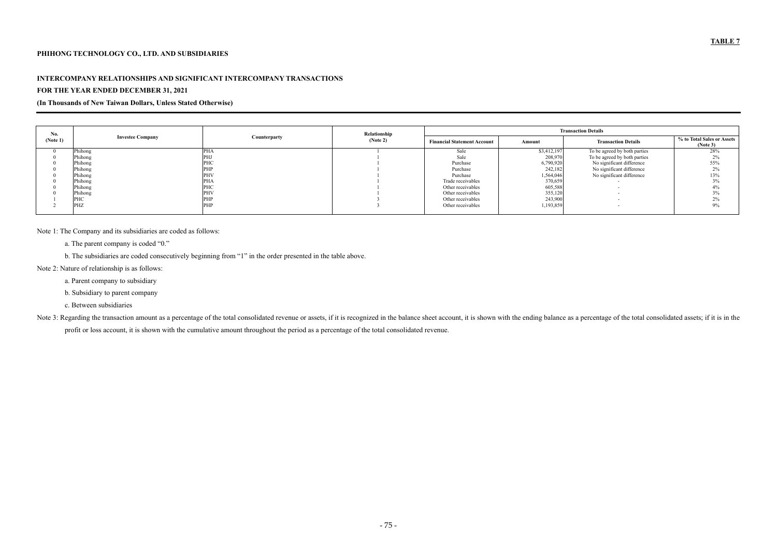#### **PHIHONG TECHNOLOGY CO., LTD. AND SUBSIDIARIES**

#### **INTERCOMPANY RELATIONSHIPS AND SIGNIFICANT INTERCOMPANY TRANSACTIONS**

#### **FOR THE YEAR ENDED DECEMBER 31, 2021**

**(In Thousands of New Taiwan Dollars, Unless Stated Otherwise)** 

| No.      |                         |              | Relationship | <b>Transaction Details</b>         |               |                              |                                        |  |  |
|----------|-------------------------|--------------|--------------|------------------------------------|---------------|------------------------------|----------------------------------------|--|--|
| (Note 1) | <b>Investee Company</b> | Counterparty | (Note 2)     | <b>Financial Statement Account</b> | <b>Amount</b> | <b>Transaction Details</b>   | % to Total Sales or Assets<br>(Note 3) |  |  |
|          | Phihong                 | <b>PHA</b>   |              | Sale                               | \$3,412,197   | To be agreed by both parties | 28%                                    |  |  |
|          | Phihong                 | <b>PHJ</b>   |              | Sale                               | 208,970       | To be agreed by both parties | 2%                                     |  |  |
|          | Phihong                 | <b>PHC</b>   |              | Purchase                           | 6,790,920     | No significant difference    | 55%                                    |  |  |
|          | Phihong                 | <b>PHP</b>   |              | Purchase                           | 242,182       | No significant difference    | 2%                                     |  |  |
|          | Phihong                 | <b>PHV</b>   |              | Purchase                           | 1,564,046     | No significant difference    | 13%                                    |  |  |
|          | Phihong                 | PHA          |              | Trade receivables                  | 370,659       |                              | $3\%$                                  |  |  |
|          | Phihong                 | PHC          |              | Other receivables                  | 605,588       |                              | 4%                                     |  |  |
|          | Phihong                 | <b>PHV</b>   |              | Other receivables                  | 355,120       |                              | $3\%$                                  |  |  |
|          | PHC                     | <b>PHP</b>   |              | Other receivables                  | 243,900       |                              | 2%                                     |  |  |
|          | PHZ                     | <b>PHP</b>   |              | Other receivables                  | 1,193,859     |                              | 9%                                     |  |  |

Note 3: Regarding the transaction amount as a percentage of the total consolidated revenue or assets, if it is recognized in the balance sheet account, it is shown with the ending balance as a percentage of the total conso profit or loss account, it is shown with the cumulative amount throughout the period as a percentage of the total consolidated revenue.

Note 1: The Company and its subsidiaries are coded as follows:

a. The parent company is coded "0."

b. The subsidiaries are coded consecutively beginning from "1" in the order presented in the table above.

Note 2: Nature of relationship is as follows:

a. Parent company to subsidiary

b. Subsidiary to parent company

c. Between subsidiaries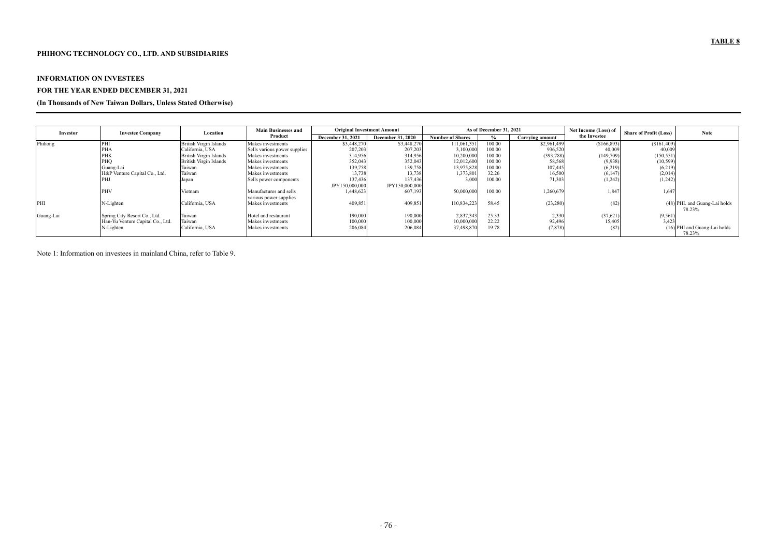## **PHIHONG TECHNOLOGY CO., LTD. AND SUBSIDIARIES**

#### **INFORMATION ON INVESTEES**

# **FOR THE YEAR ENDED DECEMBER 31, 2021**

### **(In Thousands of New Taiwan Dollars, Unless Stated Otherwise)**

| Investor  | <b>Investee Company</b>          | Location                      | <b>Main Businesses and</b>   | <b>Original Investment Amount</b> |                          | As of December 31, 2021 |        |                        | Net Income (Loss) of | <b>Share of Profit (Loss)</b> | <b>Note</b>                              |
|-----------|----------------------------------|-------------------------------|------------------------------|-----------------------------------|--------------------------|-------------------------|--------|------------------------|----------------------|-------------------------------|------------------------------------------|
|           |                                  |                               | Product                      | <b>December 31, 2021</b>          | <b>December 31, 2020</b> | <b>Number of Shares</b> |        | <b>Carrying amount</b> | the Investee         |                               |                                          |
| Phihong   | PHI                              | <b>British Virgin Islands</b> | Makes investments            | \$3,448,270                       | \$3,448,270              | 111,061,351             | 100.00 | \$2,961,499            | \$166,893            | (\$161,409)                   |                                          |
|           | <b>PHA</b>                       | California, USA               | Sells various power supplies | 207,203                           | 207,203                  | 3,100,000               | 100.00 | 936,520                | 40,00                | 40,009                        |                                          |
|           | <b>PHK</b>                       | <b>British Virgin Islands</b> | Makes investments            | 314,956                           | 314,956                  | 10,200,000              | 100.00 | (393, 788)             | (149,709)            | (150, 551)                    |                                          |
|           | PHQ                              | <b>British Virgin Islands</b> | Makes investments            | 352,043                           | 352,043                  | 12,012,600              | 100.00 | 58,568                 | (9,938)              | (10, 599)                     |                                          |
|           | Guang-Lai                        | Taiwan                        | Makes investments            | 139,758                           | 139,758                  | 13,975,828              | 100.00 | 107,445                | (6, 219)             | (6,219)                       |                                          |
|           | H&P Venture Capital Co., Ltd.    | Taiwan                        | Makes investments            | 13,738                            | 13,738                   | 1,373,801               | 32.26  | 16,500                 | (6,147)              | (2,014)                       |                                          |
|           | PHJ                              | Japan                         | Sells power components       | 137,436                           | 137,436                  | 3,000                   | 100.00 | 71,303                 | (1, 242)             | (1,242)                       |                                          |
|           |                                  |                               |                              | JPY150,000,000                    | JPY150,000,000           |                         |        |                        |                      |                               |                                          |
|           | <b>PHV</b>                       | Vietnam                       | Manufactures and sells       | 1,448,623                         | 607,193                  | 50,000,000              | 100.00 | ,260,679               | 1,84                 | 1,647                         |                                          |
|           |                                  |                               | various power supplies       |                                   |                          |                         |        |                        |                      |                               |                                          |
| PHI       | N-Lighten                        | California, USA               | Makes investments            | 409,851                           | 409,851                  | 110,834,223             | 58.45  | (23, 280)              | (82)                 |                               | (48) PHI. and Guang-Lai holds<br>78.23%  |
| Guang-Lai | Spring City Resort Co., Ltd.     | Taiwan                        | Hotel and restaurant         | 190,000                           | 190,000                  | 2,837,343               | 25.33  | 2,330                  | (37, 62)             | (9, 561)                      |                                          |
|           | Han-Yu Venture Capital Co., Ltd. | Taiwan                        | Makes investments            | 100,000                           | 100,000                  | 10,000,000              | 22.22  | 92,496                 | 15,40                | 3,423                         |                                          |
|           | N-Lighten                        | California, USA               | Makes investments            | 206,084                           | 206,08                   | 37,498,870              | 19.78  | (7,878)                | (82)                 |                               | $(16)$ PHI and Guang-Lai holds<br>78.23% |

Note 1: Information on investees in mainland China, refer to Table 9.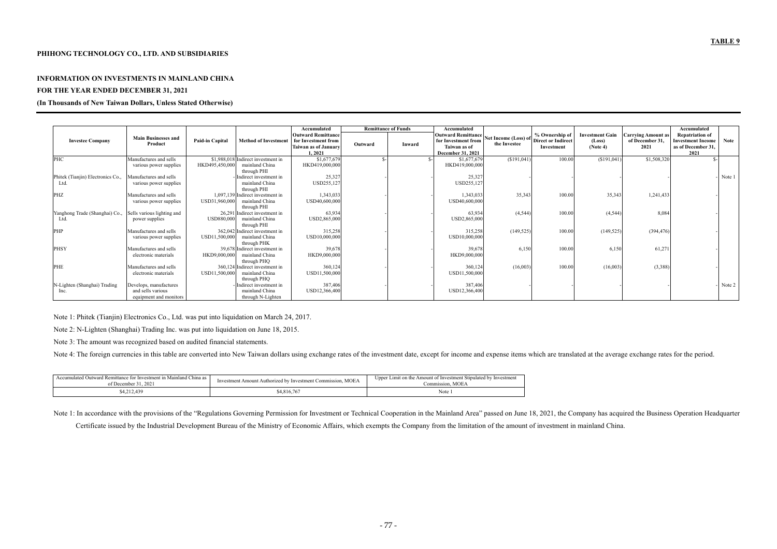#### **PHIHONG TECHNOLOGY CO., LTD. AND SUBSIDIARIES**

#### **INFORMATION ON INVESTMENTS IN MAINLAND CHINA**

#### **FOR THE YEAR ENDED DECEMBER 31, 2021**

#### **(In Thousands of New Taiwan Dollars, Unless Stated Otherwise)**

|                                   |                            |                                                       | Accumulated                                      |         | <b>Remittance of Funds</b> | Accumulated                                      |                                         |            |                                  |                                       | Accumulated                                        |        |
|-----------------------------------|----------------------------|-------------------------------------------------------|--------------------------------------------------|---------|----------------------------|--------------------------------------------------|-----------------------------------------|------------|----------------------------------|---------------------------------------|----------------------------------------------------|--------|
| <b>Investee Company</b>           | <b>Main Businesses and</b> | <b>Paid-in Capital</b><br><b>Method of Investment</b> | <b>Outward Remittance</b><br>for Investment from |         |                            | <b>Outward Remittance</b><br>for Investment from | Net Income (Loss) of Direct or Indirect |            | <b>Investment Gain</b><br>(Loss) | Carrving Amount as<br>of December 31, | <b>Repatriation of</b><br><b>Investment Income</b> | Note   |
|                                   | Product                    |                                                       | Taiwan as of January                             | Outward | Inward                     | Taiwan as of                                     | the Investee                            | Investment | (Note 4)                         | 2021                                  | as of December 31,                                 |        |
|                                   |                            |                                                       | 1,2021                                           |         |                            | December 31, 2021                                |                                         |            |                                  |                                       | 2021                                               |        |
| PHC                               | Manufactures and sells     | \$1,988,018 Indirect investment in                    | \$1,677,679                                      | €.      |                            | \$1,677,679                                      | (\$191,041)                             | 100.00     | (\$191,041)                      | \$1,508,320                           |                                                    |        |
|                                   | various power supplies     | mainland China<br>HKD495,450,000                      | HKD419,000,000                                   |         |                            | HKD419,000,000                                   |                                         |            |                                  |                                       |                                                    |        |
|                                   |                            | through PHI                                           |                                                  |         |                            |                                                  |                                         |            |                                  |                                       |                                                    |        |
| Phitek (Tianjin) Electronics Co., | Manufactures and sells     | Indirect investment in                                | 25,327                                           |         |                            | 25,327                                           |                                         |            |                                  |                                       |                                                    | Note 1 |
| Ltd.                              | various power supplies     | mainland China                                        | USD255,127                                       |         |                            | USD255,127                                       |                                         |            |                                  |                                       |                                                    |        |
|                                   |                            | through PHI                                           |                                                  |         |                            |                                                  |                                         |            |                                  |                                       |                                                    |        |
| <b>PHZ</b>                        | Manufactures and sells     | 1,097,139 Indirect investment in                      | 1,343,033                                        |         |                            | 1,343,033                                        | 35,343                                  | 100.00     | 35,343                           | 1,241,433                             |                                                    |        |
|                                   | various power supplies     | mainland China<br>USD31,960,000                       | USD40,600,000                                    |         |                            | USD40,600,000                                    |                                         |            |                                  |                                       |                                                    |        |
|                                   |                            | through PHI                                           |                                                  |         |                            |                                                  |                                         |            |                                  |                                       |                                                    |        |
| Yanghong Trade (Shanghai) Co.,    | Sells various lighting and | 26,291 Indirect investment in                         | 63,934                                           |         |                            | 63,934                                           | (4,544)                                 | 100.00     | (4,544)                          | 8,084                                 |                                                    |        |
| Ltd.                              | power supplies             | USD880,000<br>mainland China                          | USD2,865,000                                     |         |                            | USD2,865,000                                     |                                         |            |                                  |                                       |                                                    |        |
|                                   |                            | through PHI                                           |                                                  |         |                            |                                                  |                                         |            |                                  |                                       |                                                    |        |
| PHP                               | Manufactures and sells     | 362.042 Indirect investment in                        | 315,258                                          |         |                            | 315,258                                          | (149, 525)                              | 100.00     | (149, 525)                       | (394, 476)                            |                                                    |        |
|                                   | various power supplies     | mainland China<br>USD11,500,000                       | USD10,000,000                                    |         |                            | USD10,000,000                                    |                                         |            |                                  |                                       |                                                    |        |
|                                   |                            | through PHK                                           |                                                  |         |                            |                                                  |                                         |            |                                  |                                       |                                                    |        |
| <b>PHSY</b>                       | Manufactures and sells     | 39,678 Indirect investment in                         | 39,678                                           |         |                            | 39,678                                           | 6,150                                   | 100.00     | 6,150                            | 61,271                                |                                                    |        |
|                                   | electronic materials       | HKD9,000,000<br>mainland China                        | HKD9,000,000                                     |         |                            | HKD9,000,000                                     |                                         |            |                                  |                                       |                                                    |        |
|                                   |                            | through PHQ                                           |                                                  |         |                            |                                                  |                                         |            |                                  |                                       |                                                    |        |
| <b>PHE</b>                        | Manufactures and sells     | 360,124 Indirect investment in                        | 360,124                                          |         |                            | 360,124                                          | (16,003)                                | 100.00     | (16,003)                         | (3,388)                               |                                                    |        |
|                                   | electronic materials       | USD11,500,000<br>mainland China                       | USD11,500,000                                    |         |                            | USD11,500,000                                    |                                         |            |                                  |                                       |                                                    |        |
|                                   |                            | through PHO                                           |                                                  |         |                            |                                                  |                                         |            |                                  |                                       |                                                    |        |
| N-Lighten (Shanghai) Trading      | Develops, manufactures     | Indirect investment in                                | 387,406                                          |         |                            | 387,406                                          |                                         |            |                                  |                                       |                                                    | Note 2 |
| Inc.                              | and sells various          | mainland China                                        | USD12,366,400                                    |         |                            | USD12,366,400                                    |                                         |            |                                  |                                       |                                                    |        |
|                                   | equipment and monitors     | through N-Lighten                                     |                                                  |         |                            |                                                  |                                         |            |                                  |                                       |                                                    |        |

Note 1: Phitek (Tianjin) Electronics Co., Ltd. was put into liquidation on March 24, 2017.

Note 2: N-Lighten (Shanghai) Trading Inc. was put into liquidation on June 18, 2015.

Note 3: The amount was recognized based on audited financial statements.

Note 4: The foreign currencies in this table are converted into New Taiwan dollars using exchange rates of the investment date, except for income and expense items which are translated at the average exchange rates for the

| Accumulated Outward Remittance for Investment in Mainland China as 1 | <b>MOEA</b>                                               | Upper Limit on the Amount of Investment Stipulated by Investment |
|----------------------------------------------------------------------|-----------------------------------------------------------|------------------------------------------------------------------|
| of December 31, 2021                                                 | Investment Amount Authorized by Investment Commission, N. | Commission. MOEA                                                 |
| 4,212,439                                                            | \$4,816,767                                               | Note                                                             |

Note 1: In accordance with the provisions of the "Regulations Governing Permission for Investment or Technical Cooperation in the Mainland Area" passed on June 18, 2021, the Company has acquired the Business Operation Head

Certificate issued by the Industrial Development Bureau of the Ministry of Economic Affairs, which exempts the Company from the limitation of the amount of investment in mainland China.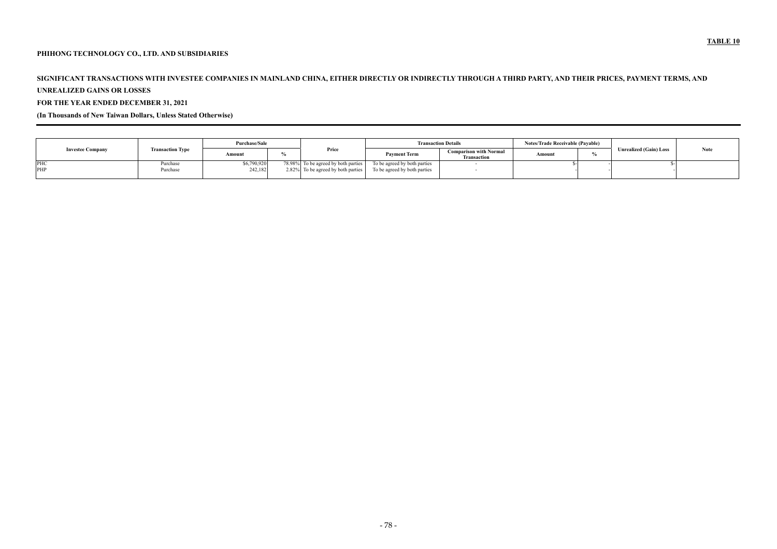## **PHIHONG TECHNOLOGY CO., LTD. AND SUBSIDIARIES**

# **SIGNIFICANT TRANSACTIONS WITH INVESTEE COMPANIES IN MAINLAND CHINA, EITHER DIRECTLY OR INDIRECTLY THROUGH A THIRD PARTY, AND THEIR PRICES, PAYMENT TERMS, AND**

**UNREALIZED GAINS OR LOSSES** 

**FOR THE YEAR ENDED DECEMBER 31, 2021** 

**(In Thousands of New Taiwan Dollars, Unless Stated Otherwise)** 

|                         |                         | <b>Purchase/Sale</b> |  |                                     |                              | <b>Transaction Details</b>                          |        | <b>Notes/Trade Receivable (Pavable)</b> |                               |             |
|-------------------------|-------------------------|----------------------|--|-------------------------------------|------------------------------|-----------------------------------------------------|--------|-----------------------------------------|-------------------------------|-------------|
| <b>Investee Company</b> | <b>Transaction Type</b> | Amount               |  | Price                               | <b>Payment Term</b>          | <b>Comparison with Normal</b><br><b>Transaction</b> | Amount |                                         | <b>Unrealized (Gain) Loss</b> | <b>Note</b> |
| PHC                     | Purchase                | \$6,790,920          |  | 78.98% To be agreed by both parties | To be agreed by both parties |                                                     |        |                                         |                               |             |
| PHP                     | Purchase                | 242,182              |  | 2.82% To be agreed by both parties  | To be agreed by both parties |                                                     |        |                                         |                               |             |